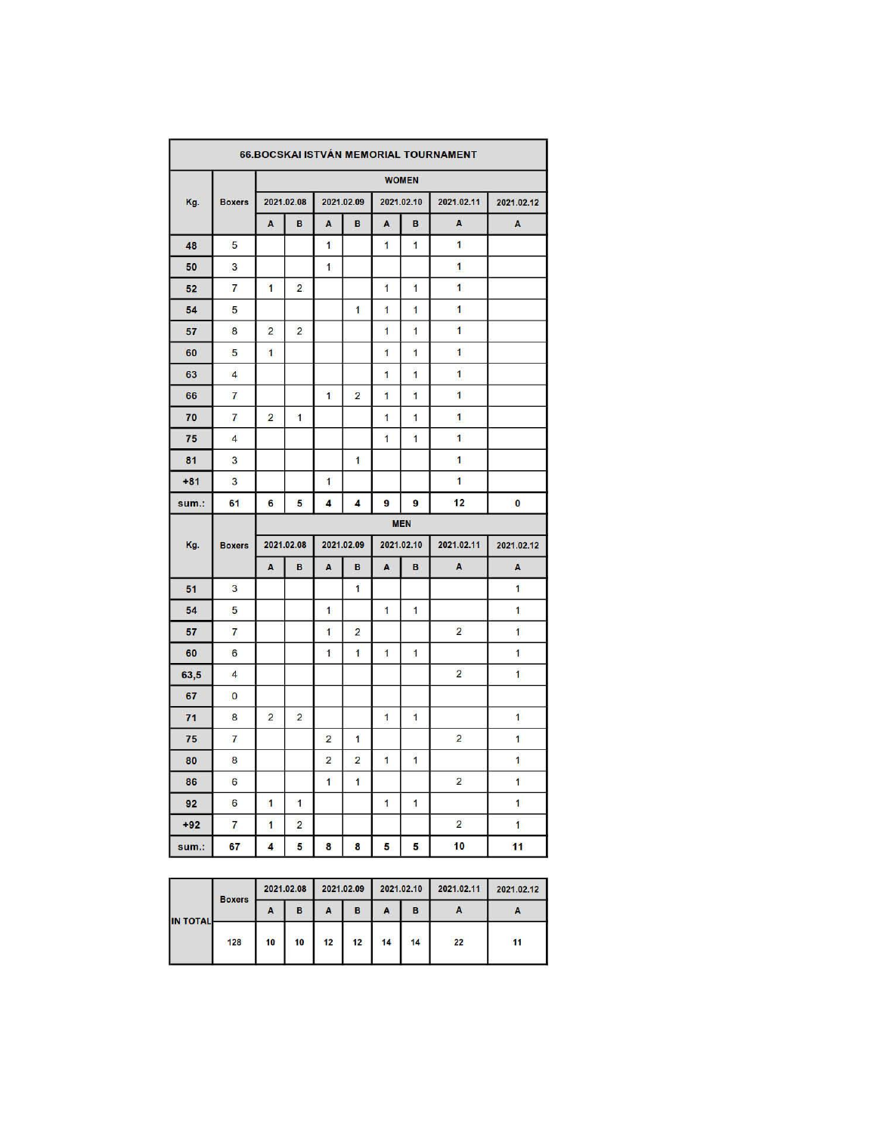| 66.BOCSKAI ISTVÁN MEMORIAL TOURNAMENT |                |                |                |                |                |                |                |                |                |  |  |  |  |
|---------------------------------------|----------------|----------------|----------------|----------------|----------------|----------------|----------------|----------------|----------------|--|--|--|--|
|                                       |                |                |                |                |                |                | <b>WOMEN</b>   |                |                |  |  |  |  |
| Kg.                                   | <b>Boxers</b>  |                | 2021.02.08     |                | 2021.02.09     |                | 2021.02.10     | 2021.02.11     | 2021.02.12     |  |  |  |  |
|                                       |                | A              | B              | A              | B              | A              | B              | A              | $\,$ A         |  |  |  |  |
| 48                                    | 5              |                |                | $\mathbf{1}$   |                | $\overline{1}$ | 1              | $\mathbf{1}$   |                |  |  |  |  |
| 50                                    | 3              |                |                | 1              |                |                |                | $\overline{1}$ |                |  |  |  |  |
| 52                                    | $\overline{7}$ | $\mathbf{1}$   | $\overline{2}$ |                |                | $\overline{1}$ | $\overline{1}$ | $\mathbf{1}$   |                |  |  |  |  |
| 54                                    | 5              |                |                |                | 1              | 1              | 1              | 1              |                |  |  |  |  |
| 57                                    | 8              | $\overline{2}$ | $\overline{2}$ |                |                | $\overline{1}$ | 1              | $\overline{1}$ |                |  |  |  |  |
| 60                                    | 5              | $\mathbf{1}$   |                |                |                | 1              | 1              | $\mathbf{1}$   |                |  |  |  |  |
| 63                                    | $\overline{4}$ |                |                |                |                | 1              | 1              | 1              |                |  |  |  |  |
| 66                                    | $\overline{7}$ |                |                | $\mathbf{1}$   | $\overline{2}$ | $\overline{1}$ | 1              | $\overline{1}$ |                |  |  |  |  |
| 70                                    | $\overline{7}$ | $\overline{2}$ | $\mathbf{1}$   |                |                | 1              | 1              | $\overline{1}$ |                |  |  |  |  |
| 75                                    | $\overline{4}$ |                |                |                |                | $\overline{1}$ | $\overline{1}$ | $\mathbf{1}$   |                |  |  |  |  |
| 81                                    | 3              |                |                |                | 1              |                |                | 1              |                |  |  |  |  |
| $+81$                                 | 3              |                |                | 1              |                |                |                | $\blacksquare$ |                |  |  |  |  |
| sum.:                                 | 61             | 6              | 5              | 4              | 4              | 9              | $\overline{9}$ | 12             | 0              |  |  |  |  |
|                                       |                |                |                |                |                |                | <b>MEN</b>     |                |                |  |  |  |  |
| Kg.                                   | <b>Boxers</b>  |                | 2021.02.08     |                | 2021.02.09     |                | 2021.02.10     | 2021.02.11     | 2021.02.12     |  |  |  |  |
|                                       |                | A              | B              | A              | B              | A              | B              | $\mathsf{A}$   | A              |  |  |  |  |
| 51                                    | 3              |                |                |                | $\mathbf{1}$   |                |                |                | $\mathbf{1}$   |  |  |  |  |
| 54                                    | 5              |                |                | 1              |                | 1              | 1              |                | 1              |  |  |  |  |
| 57                                    | $\overline{7}$ |                |                | 1              | $\overline{2}$ |                |                | $\overline{2}$ | $\overline{1}$ |  |  |  |  |
| 60                                    | 6              |                |                | $\mathbf{1}$   | $\overline{1}$ | 1              | 1              |                | $\overline{1}$ |  |  |  |  |
| 63,5                                  | $\overline{4}$ |                |                |                |                |                |                | $\overline{2}$ | $\overline{1}$ |  |  |  |  |
| 67                                    | $\bf{0}$       |                |                |                |                |                |                |                |                |  |  |  |  |
| 71                                    | 8              | $\overline{2}$ | 2              |                |                | $\overline{1}$ | $\mathbf{1}$   |                | $\overline{1}$ |  |  |  |  |
| 75                                    | $\overline{7}$ |                |                | $\overline{2}$ | 1              |                |                | $\overline{2}$ | $\mathbf{1}$   |  |  |  |  |
| 80                                    | 8              |                |                | $\overline{2}$ | $\overline{2}$ | 1              | 1              |                | $\overline{1}$ |  |  |  |  |
| 86                                    | 6              |                |                | $\overline{1}$ | $\overline{1}$ |                |                | $\overline{2}$ | $\overline{1}$ |  |  |  |  |
| 92                                    | 6              | $\mathbf{1}$   | $\mathbf{1}$   |                |                | $\mathbf{1}$   | 1              |                | 1              |  |  |  |  |
| $+92$                                 | $\overline{7}$ | $\mathbf{1}$   | $\overline{2}$ |                |                |                |                | $\overline{2}$ | $\overline{1}$ |  |  |  |  |
| sum.:                                 | 67             | 4              | 5              | 8              | 8              | 5              | 5              | 10             | 11             |  |  |  |  |

|                 | <b>Boxers</b> | 2021.02.08 |    | 2021.02.09 |    | 2021.02.10 |    | 2021.02.11 | 2021.02.12 |
|-----------------|---------------|------------|----|------------|----|------------|----|------------|------------|
| <b>IN TOTAL</b> |               | A          | в  | A          | в  | A          | в  |            |            |
|                 | 128           | 10         | 10 | 12         | 12 | 14         | 14 | 22         | 11         |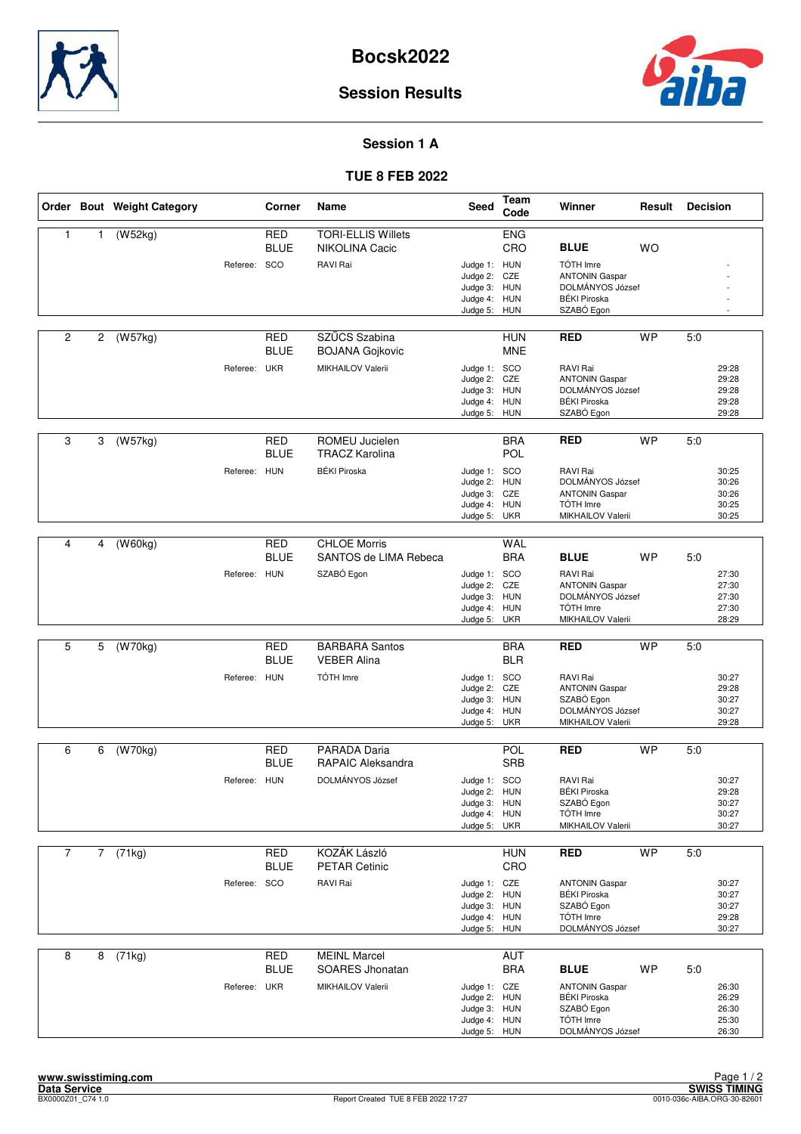



### **Session 1 A**

#### **TUE 8 FEB 2022**

|                |                | Order Bout Weight Category |              | Corner                    | Name                                               | <b>Seed</b>                                                                  | Team<br>Code                                  | Winner                                                                                                     | Result    | <b>Decision</b> |                                           |
|----------------|----------------|----------------------------|--------------|---------------------------|----------------------------------------------------|------------------------------------------------------------------------------|-----------------------------------------------|------------------------------------------------------------------------------------------------------------|-----------|-----------------|-------------------------------------------|
| $\mathbf{1}$   | 1              | (W52kg)                    |              | <b>RED</b><br><b>BLUE</b> | <b>TORI-ELLIS Willets</b><br>NIKOLINA Cacic        |                                                                              | <b>ENG</b><br>CRO                             | <b>BLUE</b>                                                                                                | <b>WO</b> |                 |                                           |
|                |                |                            | Referee: SCO |                           | RAVI Rai                                           | Judge 1: HUN<br>Judge 2:<br>Judge 3:<br>Judge 4:<br>Judge 5:                 | CZE<br><b>HUN</b><br><b>HUN</b><br><b>HUN</b> | TÓTH Imre<br><b>ANTONIN Gaspar</b><br>DOLMÁNYOS József<br><b>BÉKI Piroska</b><br>SZABÓ Egon                |           |                 |                                           |
| $\overline{2}$ | $\overline{c}$ | (W57kg)                    |              | <b>RED</b><br><b>BLUE</b> | SZŰCS Szabina<br><b>BOJANA Gojkovic</b>            |                                                                              | <b>HUN</b><br><b>MNE</b>                      | <b>RED</b>                                                                                                 | <b>WP</b> | 5:0             |                                           |
|                |                |                            | Referee: UKR |                           | MIKHAILOV Valerii                                  | Judge 1: SCO<br>Judge 2:<br>Judge 3: HUN<br>Judge 4: HUN<br>Judge 5: HUN     | CZE                                           | RAVI Rai<br><b>ANTONIN Gaspar</b><br>DOLMÁNYOS József<br><b>BÉKI Piroska</b><br>SZABÓ Egon                 |           |                 | 29:28<br>29:28<br>29:28<br>29:28<br>29:28 |
| 3              | 3              | (W57kg)                    |              | <b>RED</b><br><b>BLUE</b> | ROMEU Jucielen<br><b>TRACZ Karolina</b>            |                                                                              | <b>BRA</b><br><b>POL</b>                      | <b>RED</b>                                                                                                 | <b>WP</b> | 5:0             |                                           |
|                |                |                            | Referee: HUN |                           | <b>BÉKI Piroska</b>                                | Judge 1: SCO<br>Judge 2:<br>Judge 3: CZE<br>Judge 4:<br>Judge 5:             | <b>HUN</b><br><b>HUN</b><br><b>UKR</b>        | RAVI Rai<br>DOLMÁNYOS József<br><b>ANTONIN Gaspar</b><br>TÓTH Imre<br>MIKHAILOV Valerii                    |           |                 | 30:25<br>30:26<br>30:26<br>30:25<br>30:25 |
| 4              | 4              | (W60kg)                    |              | <b>RED</b>                | <b>CHLOE Morris</b>                                |                                                                              | WAL                                           |                                                                                                            |           |                 |                                           |
|                |                |                            |              | <b>BLUE</b>               | SANTOS de LIMA Rebeca                              |                                                                              | <b>BRA</b>                                    | <b>BLUE</b>                                                                                                | <b>WP</b> | 5:0             |                                           |
|                |                |                            | Referee: HUN |                           | SZABÓ Egon                                         | Judge 1: SCO<br>Judge 2:<br>Judge 3: HUN<br>Judge 4: HUN<br>Judge 5:         | CZE<br><b>UKR</b>                             | RAVI Rai<br><b>ANTONIN Gaspar</b><br>DOLMÁNYOS József<br>TÓTH Imre<br>MIKHAILOV Valerii                    |           |                 | 27:30<br>27:30<br>27:30<br>27:30<br>28:29 |
| 5              | 5              | (W70kg)                    |              | <b>RED</b>                | <b>BARBARA Santos</b>                              |                                                                              | <b>BRA</b>                                    | <b>RED</b>                                                                                                 | <b>WP</b> | 5.0             |                                           |
|                |                |                            |              | <b>BLUE</b>               | <b>VEBER Alina</b>                                 |                                                                              | <b>BLR</b>                                    |                                                                                                            |           |                 |                                           |
|                |                |                            | Referee: HUN |                           | TÓTH Imre                                          | Judge 1: SCO<br>Judge 2: CZE<br>Judge 3:<br>Judge 4:<br>Judge 5:             | <b>HUN</b><br><b>HUN</b><br><b>UKR</b>        | RAVI Rai<br><b>ANTONIN Gaspar</b><br>SZABÓ Egon<br>DOLMÁNYOS József<br>MIKHAILOV Valerii                   |           |                 | 30:27<br>29:28<br>30:27<br>30:27<br>29:28 |
| 6              | 6              | (W70kg)                    |              | <b>RED</b>                | PARADA Daria                                       |                                                                              | POL                                           | <b>RED</b>                                                                                                 | <b>WP</b> | 5:0             |                                           |
|                |                |                            |              | <b>BLUE</b>               | <b>RAPAIC Aleksandra</b>                           |                                                                              | <b>SRB</b>                                    |                                                                                                            |           |                 |                                           |
|                |                |                            | Referee: HUN |                           | DOLMÁNYOS József                                   | Judge 1: SCO<br>Judge 2: HUN<br>Judge 3: HUN<br>Judge 4: HUN<br>Judge 5: UKR |                                               | RAVI Rai<br><b>BÉKI Piroska</b><br>SZABÓ Egon<br>TÓTH Imre<br>MIKHAILOV Valerii                            |           |                 | 30:27<br>29:28<br>30:27<br>30:27<br>30:27 |
| $\overline{7}$ | $\overline{7}$ | (71kg)                     |              | <b>RED</b>                | KOZÁK László                                       |                                                                              | <b>HUN</b>                                    | <b>RED</b>                                                                                                 | <b>WP</b> | 5.0             |                                           |
|                |                |                            |              | <b>BLUE</b>               | <b>PETAR Cetinic</b>                               |                                                                              | CRO                                           |                                                                                                            |           |                 |                                           |
|                |                |                            | Referee:     | SCO                       | RAVI Rai                                           | Judge 1: CZE<br>Judge 2: HUN<br>Judge 3: HUN<br>Judge 4: HUN<br>Judge 5: HUN |                                               | <b>ANTONIN Gaspar</b><br><b>BÉKI Piroska</b><br>SZABÓ Egon<br>TÓTH Imre<br>DOLMÁNYOS József                |           |                 | 30:27<br>30:27<br>30:27<br>29:28<br>30:27 |
| 8              | 8              | (71kg)                     |              | <b>RED</b>                | <b>MEINL Marcel</b>                                |                                                                              | <b>AUT</b>                                    |                                                                                                            |           |                 |                                           |
|                |                |                            | Referee: UKR | <b>BLUE</b>               | <b>SOARES Jhonatan</b><br><b>MIKHAILOV Valerii</b> | Judge 1: CZE<br>Judge 2: HUN<br>Judge 3: HUN<br>Judge 4: HUN<br>Judge 5: HUN | <b>BRA</b>                                    | <b>BLUE</b><br><b>ANTONIN Gaspar</b><br><b>BÉKI Piroska</b><br>SZABÓ Egon<br>TÓTH Imre<br>DOLMÁNYOS József | <b>WP</b> | 5:0             | 26:30<br>26:29<br>26:30<br>25:30<br>26:30 |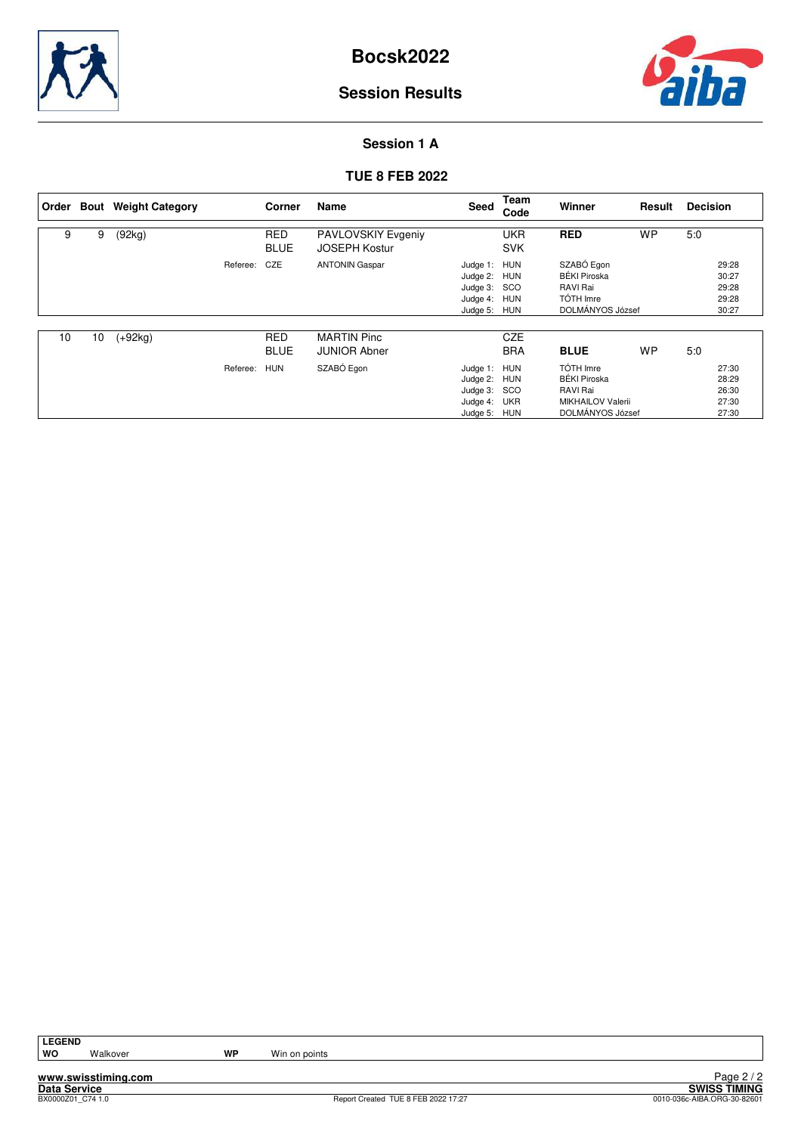



#### **Session 1 A**

#### **TUE 8 FEB 2022**

|    |    | Order Bout Weight Category |          | Corner                    | <b>Name</b>                                       | Seed                                                                     | Team<br>Code                    | Winner                                                                                       | Result    | <b>Decision</b>                           |  |
|----|----|----------------------------|----------|---------------------------|---------------------------------------------------|--------------------------------------------------------------------------|---------------------------------|----------------------------------------------------------------------------------------------|-----------|-------------------------------------------|--|
| 9  | 9  | (92kg)                     |          | <b>RED</b><br><b>BLUE</b> | <b>PAVLOVSKIY Evgeniy</b><br><b>JOSEPH Kostur</b> |                                                                          | <b>UKR</b><br><b>SVK</b>        | <b>RED</b>                                                                                   | <b>WP</b> | 5:0                                       |  |
|    |    |                            | Referee: | CZE                       | <b>ANTONIN Gaspar</b>                             | Judge 1: HUN<br>Judge 2: HUN<br>Judge 3:<br>Judge 4:<br>Judge 5:         | <b>SCO</b><br>HUN<br><b>HUN</b> | SZABÓ Egon<br><b>BÉKI Piroska</b><br>RAVI Rai<br><b>TÓTH Imre</b><br>DOLMÁNYOS József        |           | 29:28<br>30:27<br>29:28<br>29:28<br>30:27 |  |
| 10 | 10 | $(+92kg)$                  |          | <b>RED</b><br><b>BLUE</b> | <b>MARTIN Pinc</b><br><b>JUNIOR Abner</b>         |                                                                          | <b>CZE</b><br><b>BRA</b>        | <b>BLUE</b>                                                                                  | <b>WP</b> | 5:0                                       |  |
|    |    |                            | Referee: | <b>HUN</b>                | SZABÓ Egon                                        | Judge 1: HUN<br>Judge 2: HUN<br>Judge 3: SCO<br>Judge 4:<br>Judge 5: HUN | <b>UKR</b>                      | TÓTH Imre<br><b>BÉKI Piroska</b><br>RAVI Rai<br><b>MIKHAILOV Valerii</b><br>DOLMÁNYOS József |           | 27:30<br>28:29<br>26:30<br>27:30<br>27:30 |  |

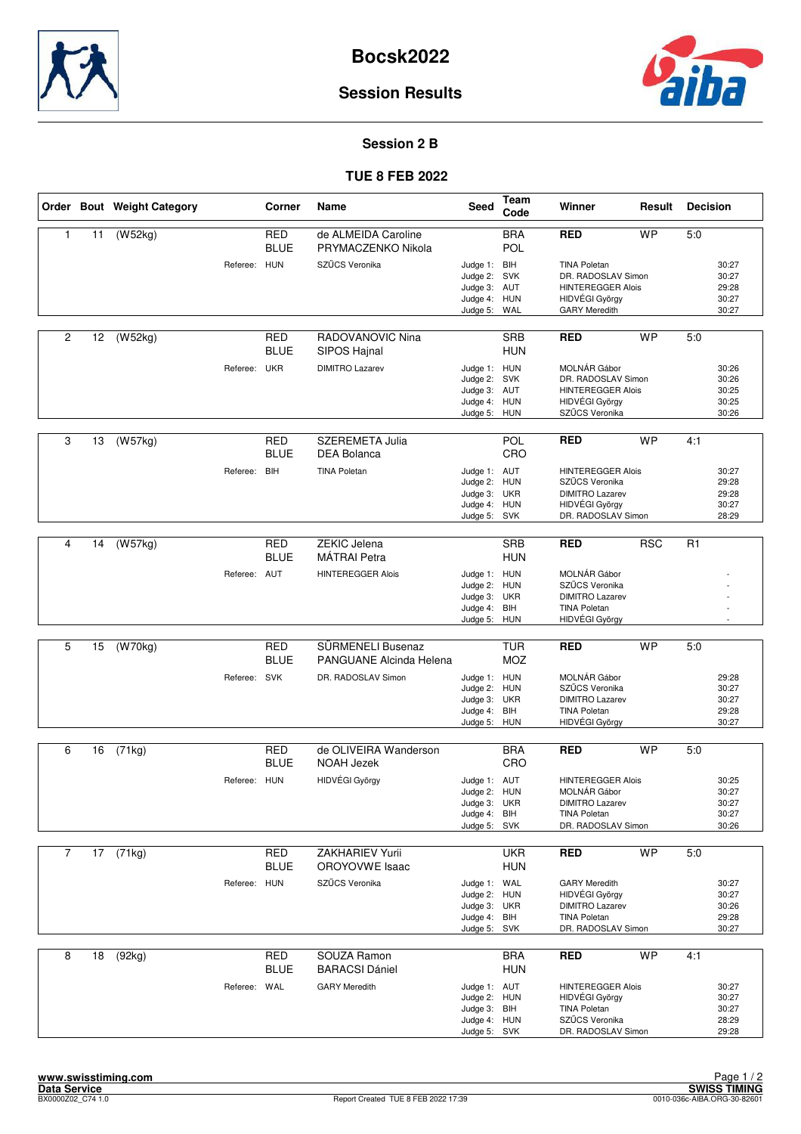



#### **Session 2 B**

#### **TUE 8 FEB 2022**

|                |    | Order Bout Weight Category |              | Corner                    | Name                                                | Seed                                                                         | Team<br>Code             | Winner                                                                                                          | Result     | <b>Decision</b> |                                           |
|----------------|----|----------------------------|--------------|---------------------------|-----------------------------------------------------|------------------------------------------------------------------------------|--------------------------|-----------------------------------------------------------------------------------------------------------------|------------|-----------------|-------------------------------------------|
| 1              | 11 | (W52kg)                    |              | <b>RED</b><br><b>BLUE</b> | de ALMEIDA Caroline<br>PRYMACZENKO Nikola           |                                                                              | <b>BRA</b><br><b>POL</b> | <b>RED</b>                                                                                                      | <b>WP</b>  | 5:0             |                                           |
|                |    |                            | Referee: HUN |                           | SZŰCS Veronika                                      | Judge 1: BIH<br>Judge 2: SVK<br>Judge 3: AUT<br>Judge 4: HUN<br>Judge 5:     | WAL                      | <b>TINA Poletan</b><br>DR. RADOSLAV Simon<br><b>HINTEREGGER Alois</b><br>HIDVÉGI György<br><b>GARY Meredith</b> |            |                 | 30:27<br>30:27<br>29:28<br>30:27<br>30:27 |
| $\overline{c}$ | 12 | (W52kg)                    |              | <b>RED</b><br><b>BLUE</b> | RADOVANOVIC Nina<br>SIPOS Hajnal                    |                                                                              | <b>SRB</b><br><b>HUN</b> | <b>RED</b>                                                                                                      | <b>WP</b>  | 5:0             |                                           |
|                |    |                            | Referee: UKR |                           | <b>DIMITRO Lazarev</b>                              | Judge 1: HUN<br>Judge 2:<br>Judge 3: AUT<br>Judge 4: HUN<br>Judge 5: HUN     | <b>SVK</b>               | MOLNÁR Gábor<br>DR. RADOSLAV Simon<br><b>HINTEREGGER Alois</b><br>HIDVÉGI György<br>SZŰCS Veronika              |            |                 | 30:26<br>30:26<br>30:25<br>30:25<br>30:26 |
| 3              | 13 | (W57kg)                    |              | RED<br><b>BLUE</b>        | <b>SZEREMETA Julia</b><br><b>DEA Bolanca</b>        |                                                                              | POL<br>CRO               | <b>RED</b>                                                                                                      | <b>WP</b>  | 4:1             |                                           |
|                |    |                            | Referee:     | <b>BIH</b>                | <b>TINA Poletan</b>                                 | Judge 1: AUT<br>Judge 2: HUN<br>Judge 3: UKR<br>Judge 4: HUN<br>Judge 5:     | <b>SVK</b>               | <b>HINTEREGGER Alois</b><br>SZŰCS Veronika<br><b>DIMITRO Lazarev</b><br>HIDVÉGI György<br>DR. RADOSLAV Simon    |            |                 | 30:27<br>29:28<br>29:28<br>30:27<br>28:29 |
|                |    |                            |              |                           |                                                     |                                                                              |                          |                                                                                                                 |            |                 |                                           |
| 4              | 14 | (W57kg)                    |              | <b>RED</b><br><b>BLUE</b> | <b>ZEKIC Jelena</b><br><b>MÁTRAI</b> Petra          |                                                                              | <b>SRB</b><br><b>HUN</b> | <b>RED</b>                                                                                                      | <b>RSC</b> | R <sub>1</sub>  |                                           |
|                |    |                            | Referee: AUT |                           | <b>HINTEREGGER Alois</b>                            | Judge 1: HUN<br>Judge 2:<br>Judge 3: UKR<br>Judge 4: BIH<br>Judge 5:         | <b>HUN</b><br>HUN        | MOLNÁR Gábor<br>SZŰCS Veronika<br><b>DIMITRO Lazarev</b><br><b>TINA Poletan</b><br>HIDVÉGI György               |            |                 |                                           |
|                |    |                            |              |                           |                                                     |                                                                              |                          |                                                                                                                 |            |                 |                                           |
| 5              | 15 | (W70kg)                    |              | <b>RED</b><br><b>BLUE</b> | SÜRMENELI Busenaz<br><b>PANGUANE Alcinda Helena</b> |                                                                              | <b>TUR</b><br><b>MOZ</b> | <b>RED</b>                                                                                                      | <b>WP</b>  | 5:0             |                                           |
|                |    |                            | Referee: SVK |                           | DR. RADOSLAV Simon                                  | Judge 1: HUN<br>Judge 2: HUN<br>Judge 3: UKR<br>Judge 4: BIH<br>Judge 5:     | <b>HUN</b>               | MOLNÁR Gábor<br>SZŰCS Veronika<br><b>DIMITRO Lazarev</b><br><b>TINA Poletan</b><br>HIDVÉGI György               |            |                 | 29:28<br>30:27<br>30:27<br>29:28<br>30:27 |
| 6              | 16 | (71kg)                     |              | <b>RED</b>                | de OLIVEIRA Wanderson                               |                                                                              | <b>BRA</b>               | <b>RED</b>                                                                                                      | <b>WP</b>  | 5:0             |                                           |
|                |    |                            |              | <b>BLUE</b>               | <b>NOAH Jezek</b>                                   |                                                                              | CRO                      |                                                                                                                 |            |                 |                                           |
|                |    |                            | Referee: HUN |                           | HIDVÉGI György                                      | Judge 1: AUT<br>Judge 2: HUN<br>Judge 3: UKR<br>Judge 4: BIH<br>Judge 5: SVK |                          | <b>HINTEREGGER Alois</b><br>MOLNÁR Gábor<br><b>DIMITRO Lazarev</b><br><b>TINA Poletan</b><br>DR. RADOSLAV Simon |            |                 | 30:25<br>30:27<br>30:27<br>30:27<br>30:26 |
| $\overline{7}$ | 17 | (71kg)                     |              | RED                       | ZAKHARIEV Yurii                                     |                                                                              | <b>UKR</b>               | <b>RED</b>                                                                                                      | <b>WP</b>  | 5:0             |                                           |
|                |    |                            |              | <b>BLUE</b>               | OROYOVWE Isaac                                      |                                                                              | <b>HUN</b>               |                                                                                                                 |            |                 |                                           |
|                |    |                            | Referee: HUN |                           | SZŰCS Veronika                                      | Judge 1: WAL<br>Judge 2: HUN<br>Judge 3: UKR<br>Judge 4: BIH<br>Judge 5: SVK |                          | <b>GARY Meredith</b><br>HIDVÉGI György<br><b>DIMITRO Lazarev</b><br><b>TINA Poletan</b><br>DR. RADOSLAV Simon   |            |                 | 30:27<br>30:27<br>30:26<br>29:28<br>30:27 |
| 8              | 18 | (92kg)                     |              | <b>RED</b><br><b>BLUE</b> | SOUZA Ramon<br><b>BARACSI Dániel</b>                |                                                                              | <b>BRA</b><br><b>HUN</b> | <b>RED</b>                                                                                                      | <b>WP</b>  | 4:1             |                                           |
|                |    |                            | Referee: WAL |                           | <b>GARY Meredith</b>                                | Judge 1: AUT<br>Judge 2: HUN<br>Judge 3: BIH<br>Judge 4: HUN<br>Judge 5: SVK |                          | <b>HINTEREGGER Alois</b><br>HIDVÉGI György<br><b>TINA Poletan</b><br>SZŰCS Veronika<br>DR. RADOSLAV Simon       |            |                 | 30:27<br>30:27<br>30:27<br>28:29<br>29:28 |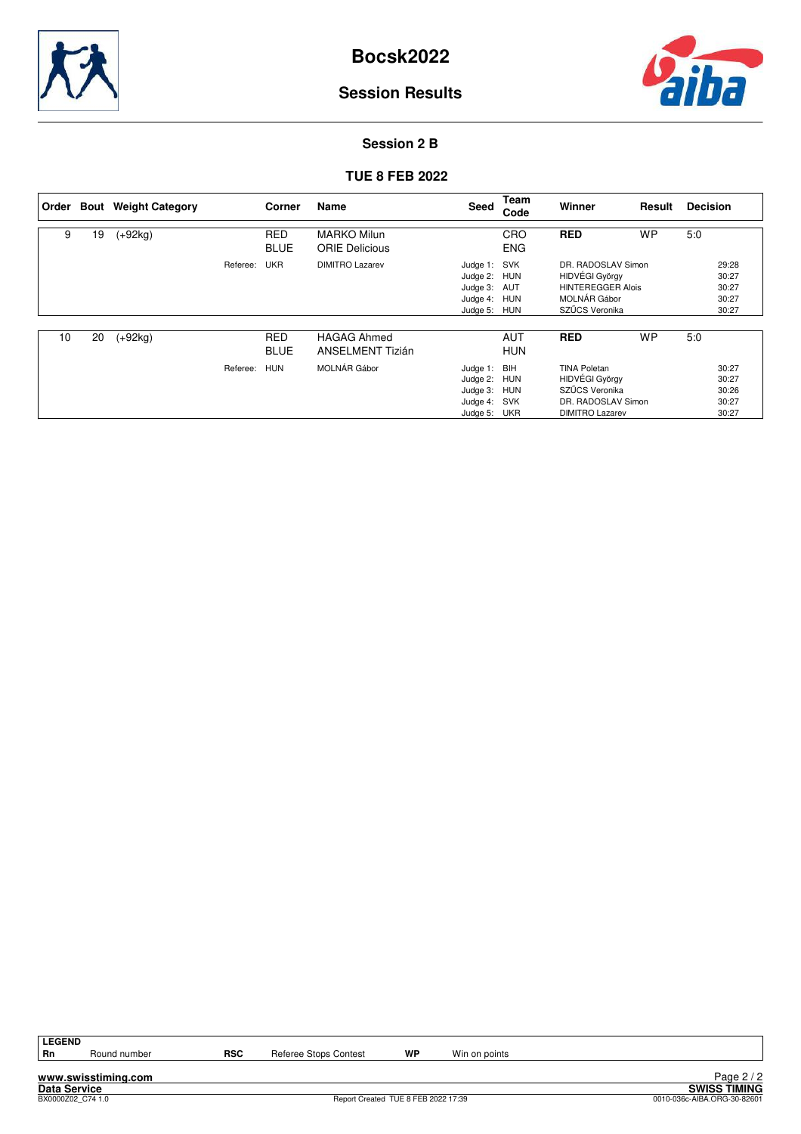



#### **Session 2 B**

#### **TUE 8 FEB 2022**

|    |    | Order Bout Weight Category | Corner                    | Name                                          | Seed                                                             | <b>Team</b><br>Code             | Winner                                                                                                         | Result    | <b>Decision</b>                           |
|----|----|----------------------------|---------------------------|-----------------------------------------------|------------------------------------------------------------------|---------------------------------|----------------------------------------------------------------------------------------------------------------|-----------|-------------------------------------------|
| 9  | 19 | $(+92kg)$                  | <b>RED</b><br><b>BLUE</b> | <b>MARKO Milun</b><br><b>ORIE Delicious</b>   |                                                                  | CRO<br><b>ENG</b>               | <b>RED</b>                                                                                                     | <b>WP</b> | 5:0                                       |
|    |    |                            | <b>UKR</b><br>Referee:    | <b>DIMITRO Lazarev</b>                        | Judge 1: SVK<br>Judge 2: HUN<br>Judge 3:<br>Judge 4:<br>Judge 5: | AUT<br>HUN<br><b>HUN</b>        | DR. RADOSLAV Simon<br><b>HIDVÉGI György</b><br><b>HINTEREGGER Alois</b><br>MOLNÁR Gábor<br>SZŰCS Veronika      |           | 29:28<br>30:27<br>30:27<br>30:27<br>30:27 |
| 10 | 20 | $(+92kg)$                  | <b>RED</b><br><b>BLUE</b> | <b>HAGAG Ahmed</b><br><b>ANSELMENT Tizián</b> |                                                                  | <b>AUT</b><br><b>HUN</b>        | <b>RED</b>                                                                                                     | <b>WP</b> | 5:0                                       |
|    |    |                            | <b>HUN</b><br>Referee:    | MOLNÁR Gábor                                  | Judge 1: BIH<br>Judge 2:<br>Judge 3:<br>Judge 4:<br>Judge 5:     | HUN<br>HUN<br>SVK<br><b>UKR</b> | <b>TINA Poletan</b><br><b>HIDVÉGI György</b><br>SZŰCS Veronika<br>DR. RADOSLAV Simon<br><b>DIMITRO Lazarev</b> |           | 30:27<br>30:27<br>30:26<br>30:27<br>30:27 |

| ı<br>L<br>σ<br>۰. |
|-------------------|
|                   |

**www.swisstiming.com**

Round number **RSC** Referee Stops Contest **WP** Win on points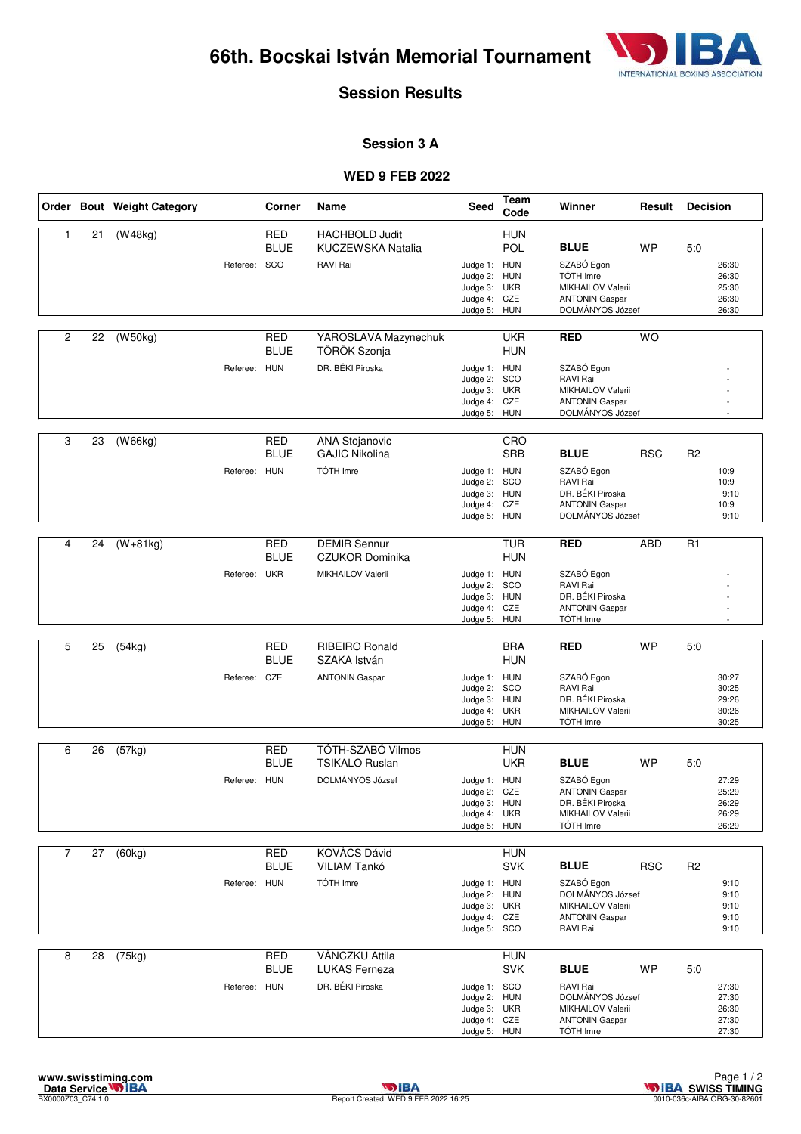

#### **Session 3 A**

|                |    | Order Bout Weight Category |              | Corner                    | Name                                           | Seed                         | Team<br>Code             | Winner                                     | Result     | <b>Decision</b> |                |
|----------------|----|----------------------------|--------------|---------------------------|------------------------------------------------|------------------------------|--------------------------|--------------------------------------------|------------|-----------------|----------------|
| 1              | 21 | (W48kg)                    |              | <b>RED</b>                | <b>HACHBOLD Judit</b>                          |                              | <b>HUN</b>               |                                            |            |                 |                |
|                |    |                            |              | <b>BLUE</b>               | KUCZEWSKA Natalia                              |                              | POL                      | <b>BLUE</b>                                | <b>WP</b>  | 5:0             |                |
|                |    |                            | Referee: SCO |                           | RAVI Rai                                       | Judge 1: HUN                 |                          | SZABÓ Egon                                 |            |                 | 26:30          |
|                |    |                            |              |                           |                                                | Judge 2: HUN                 |                          | TÓTH Imre                                  |            |                 | 26:30          |
|                |    |                            |              |                           |                                                | Judge 3: UKR<br>Judge 4: CZE |                          | MIKHAILOV Valerii<br><b>ANTONIN Gaspar</b> |            |                 | 25:30<br>26:30 |
|                |    |                            |              |                           |                                                | Judge 5:                     | HUN                      | DOLMÁNYOS József                           |            |                 | 26:30          |
|                |    |                            |              |                           |                                                |                              |                          |                                            |            |                 |                |
| $\overline{c}$ | 22 | (W50kg)                    |              | <b>RED</b><br><b>BLUE</b> | YAROSLAVA Mazynechuk<br>TÖRÖK Szonja           |                              | <b>UKR</b><br><b>HUN</b> | <b>RED</b>                                 | <b>WO</b>  |                 |                |
|                |    |                            | Referee: HUN |                           | DR. BÉKI Piroska                               | Judge 1: HUN                 |                          | SZABÓ Egon                                 |            |                 |                |
|                |    |                            |              |                           |                                                | Judge 2: SCO<br>Judge 3: UKR |                          | RAVI Rai<br>MIKHAILOV Valerii              |            |                 |                |
|                |    |                            |              |                           |                                                | Judge 4: CZE                 |                          | <b>ANTONIN Gaspar</b>                      |            |                 |                |
|                |    |                            |              |                           |                                                | Judge 5: HUN                 |                          | DOLMÁNYOS József                           |            |                 |                |
| 3              | 23 |                            |              | <b>RED</b>                |                                                |                              | CRO                      |                                            |            |                 |                |
|                |    | (W66kg)                    |              | <b>BLUE</b>               | <b>ANA Stojanovic</b><br><b>GAJIC Nikolina</b> |                              | SRB                      | <b>BLUE</b>                                | <b>RSC</b> | R <sub>2</sub>  |                |
|                |    |                            | Referee: HUN |                           | TÓTH Imre                                      | Judge 1: HUN                 |                          | SZABÓ Egon                                 |            |                 | 10:9           |
|                |    |                            |              |                           |                                                | Judge 2: SCO                 |                          | RAVI Rai                                   |            |                 | 10:9           |
|                |    |                            |              |                           |                                                | Judge 3: HUN                 |                          | DR. BÉKI Piroska                           |            |                 | 9:10           |
|                |    |                            |              |                           |                                                | Judge 4:<br>Judge 5: HUN     | CZE                      | <b>ANTONIN Gaspar</b><br>DOLMÁNYOS József  |            |                 | 10:9<br>9:10   |
|                |    |                            |              |                           |                                                |                              |                          |                                            |            |                 |                |
| 4              | 24 | $(W+81kg)$                 |              | <b>RED</b>                | <b>DEMIR Sennur</b>                            |                              | <b>TUR</b>               | <b>RED</b>                                 | <b>ABD</b> | R1              |                |
|                |    |                            |              | <b>BLUE</b>               | <b>CZUKOR Dominika</b>                         |                              | <b>HUN</b>               |                                            |            |                 |                |
|                |    |                            | Referee: UKR |                           | MIKHAILOV Valerii                              | Judge 1: HUN                 |                          | SZABÓ Egon                                 |            |                 |                |
|                |    |                            |              |                           |                                                | Judge 2: SCO<br>Judge 3: HUN |                          | RAVI Rai<br>DR. BÉKI Piroska               |            |                 |                |
|                |    |                            |              |                           |                                                | Judge 4: CZE                 |                          | <b>ANTONIN Gaspar</b>                      |            |                 |                |
|                |    |                            |              |                           |                                                | Judge 5: HUN                 |                          | TÓTH Imre                                  |            |                 |                |
|                |    |                            |              |                           |                                                |                              |                          |                                            |            |                 |                |
| 5              | 25 | (54kg)                     |              | <b>RED</b><br><b>BLUE</b> | <b>RIBEIRO Ronald</b><br>SZAKA István          |                              | <b>BRA</b><br><b>HUN</b> | <b>RED</b>                                 | <b>WP</b>  | 5.0             |                |
|                |    |                            | Referee: CZE |                           | <b>ANTONIN Gaspar</b>                          | Judge 1: HUN                 |                          | SZABÓ Egon<br>RAVI Rai                     |            |                 | 30:27          |
|                |    |                            |              |                           |                                                | Judge 2: SCO<br>Judge 3: HUN |                          | DR. BÉKI Piroska                           |            |                 | 30:25<br>29:26 |
|                |    |                            |              |                           |                                                | Judge 4: UKR                 |                          | MIKHAILOV Valerii                          |            |                 | 30:26          |
|                |    |                            |              |                           |                                                | Judge 5: HUN                 |                          | TÓTH Imre                                  |            |                 | 30:25          |
| 6              | 26 | (57kg)                     |              | <b>RED</b>                | TÓTH-SZABÓ Vilmos                              |                              | <b>HUN</b>               |                                            |            |                 |                |
|                |    |                            |              | <b>BLUE</b>               | <b>TSIKALO Ruslan</b>                          |                              | <b>UKR</b>               | <b>BLUE</b>                                | <b>WP</b>  | 5:0             |                |
|                |    |                            | Referee: HUN |                           | DOLMÁNYOS József                               | Judge 1: HUN                 |                          | SZABÓ Egon                                 |            |                 | 27:29          |
|                |    |                            |              |                           |                                                | Judge 2: CZE                 |                          | <b>ANTONIN Gaspar</b>                      |            |                 | 25:29          |
|                |    |                            |              |                           |                                                | Judge 3: HUN                 |                          | DR. BÉKI Piroska                           |            |                 | 26:29          |
|                |    |                            |              |                           |                                                | Judge 4: UKR<br>Judge 5: HUN |                          | MIKHAILOV Valerii<br>TÓTH Imre             |            |                 | 26:29<br>26:29 |
|                |    |                            |              |                           |                                                |                              |                          |                                            |            |                 |                |
| $\overline{7}$ | 27 | (60kg)                     |              | RED                       | <b>KOVÁCS Dávid</b>                            |                              | <b>HUN</b>               |                                            |            |                 |                |
|                |    |                            |              | <b>BLUE</b>               | VILIAM Tankó                                   |                              | <b>SVK</b>               | <b>BLUE</b>                                | <b>RSC</b> | R <sub>2</sub>  |                |
|                |    |                            | Referee: HUN |                           | TÓTH Imre                                      | Judge 1: HUN                 |                          | SZABÓ Egon                                 |            |                 | 9:10           |
|                |    |                            |              |                           |                                                | Judge 2: HUN<br>Judge 3: UKR |                          | DOLMÁNYOS József<br>MIKHAILOV Valerii      |            |                 | 9:10           |
|                |    |                            |              |                           |                                                | Judge 4: CZE                 |                          | <b>ANTONIN Gaspar</b>                      |            |                 | 9:10<br>9:10   |
|                |    |                            |              |                           |                                                | Judge 5: SCO                 |                          | RAVI Rai                                   |            |                 | 9:10           |
|                |    |                            |              |                           |                                                |                              |                          |                                            |            |                 |                |
| 8              | 28 | (75kg)                     |              | <b>RED</b><br><b>BLUE</b> | VÁNCZKU Attila<br><b>LUKAS Ferneza</b>         |                              | <b>HUN</b><br><b>SVK</b> | <b>BLUE</b>                                | <b>WP</b>  | 5:0             |                |
|                |    |                            |              |                           |                                                |                              |                          |                                            |            |                 |                |
|                |    |                            | Referee: HUN |                           | DR. BÉKI Piroska                               | Judge 1: SCO<br>Judge 2: HUN |                          | RAVI Rai<br>DOLMÁNYOS József               |            |                 | 27:30<br>27:30 |
|                |    |                            |              |                           |                                                | Judge 3: UKR                 |                          | MIKHAILOV Valerii                          |            |                 | 26:30          |
|                |    |                            |              |                           |                                                | Judge 4: CZE                 |                          | <b>ANTONIN Gaspar</b>                      |            |                 | 27:30          |
|                |    |                            |              |                           |                                                | Judge 5: HUN                 |                          | TÓTH Imre                                  |            |                 | 27:30          |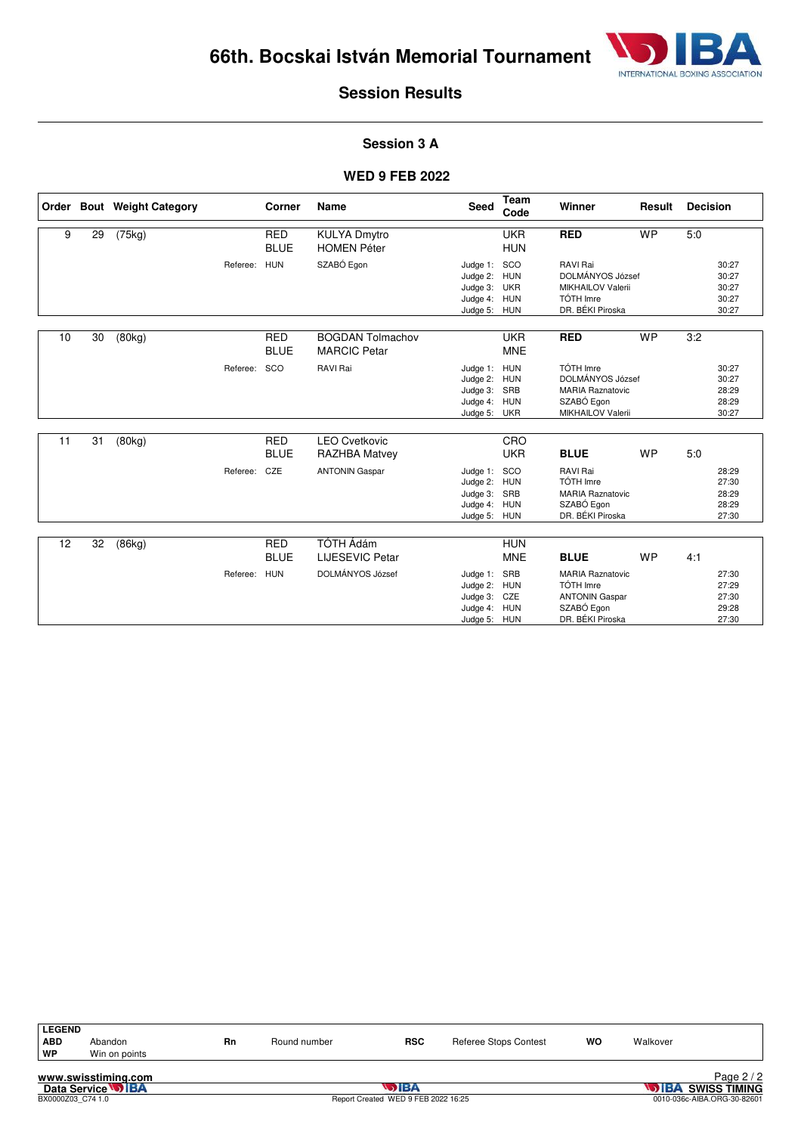

#### **Session 3 A**

|    |    | Order Bout Weight Category |              | <b>Corner</b>             | <b>Name</b>                                    | <b>Seed</b>                                                                  | <b>Team</b><br>Code                           | Winner                                                                                          | Result    | <b>Decision</b>                           |
|----|----|----------------------------|--------------|---------------------------|------------------------------------------------|------------------------------------------------------------------------------|-----------------------------------------------|-------------------------------------------------------------------------------------------------|-----------|-------------------------------------------|
| 9  | 29 | (75kg)                     |              | <b>RED</b><br><b>BLUE</b> | <b>KULYA Dmytro</b><br><b>HOMEN Péter</b>      |                                                                              | <b>UKR</b><br><b>HUN</b>                      | <b>RED</b>                                                                                      | <b>WP</b> | 5:0                                       |
|    |    |                            | Referee: HUN |                           | SZABÓ Egon                                     | Judge 1: SCO<br>Judge 2: HUN<br>Judge 3: UKR<br>Judge 4: HUN<br>Judge 5: HUN |                                               | RAVI Rai<br>DOLMÁNYOS József<br><b>MIKHAILOV Valerii</b><br>TÓTH Imre<br>DR. BÉKI Piroska       |           | 30:27<br>30:27<br>30:27<br>30:27<br>30:27 |
| 10 | 30 | (80kg)                     |              | <b>RED</b><br><b>BLUE</b> | <b>BOGDAN Tolmachov</b><br><b>MARCIC Petar</b> |                                                                              | <b>UKR</b><br><b>MNE</b>                      | <b>RED</b>                                                                                      | <b>WP</b> | 3:2                                       |
|    |    |                            | Referee:     | SCO                       | RAVI Rai                                       | Judge 1:<br>Judge 2:<br>Judge 3:<br>Judge 4: HUN<br>Judge 5: UKR             | <b>HUN</b><br><b>HUN</b><br>SRB               | TÓTH Imre<br>DOLMÁNYOS József<br><b>MARIA Raznatovic</b><br>SZABÓ Egon<br>MIKHAILOV Valerii     |           | 30:27<br>30:27<br>28:29<br>28:29<br>30:27 |
| 11 | 31 | (80kg)                     |              | <b>RED</b><br><b>BLUE</b> | <b>LEO Cvetkovic</b><br><b>RAZHBA Matvey</b>   |                                                                              | CRO<br><b>UKR</b>                             | <b>BLUE</b>                                                                                     | <b>WP</b> | 5.0                                       |
|    |    |                            | Referee:     | CZE                       | <b>ANTONIN Gaspar</b>                          | Judge 1:<br>Judge 2: HUN<br>Judge 3: SRB<br>Judge 4: HUN<br>Judge 5: HUN     | SCO                                           | RAVI Rai<br>TÓTH Imre<br><b>MARIA Raznatovic</b><br>SZABÓ Egon<br>DR. BÉKI Piroska              |           | 28:29<br>27:30<br>28:29<br>28:29<br>27:30 |
| 12 | 32 | (86kg)                     |              | <b>RED</b><br><b>BLUE</b> | <b>TÓTH Ádám</b><br><b>LIJESEVIC Petar</b>     |                                                                              | <b>HUN</b><br><b>MNE</b>                      | <b>BLUE</b>                                                                                     | <b>WP</b> | 4:1                                       |
|    |    |                            | Referee:     | <b>HUN</b>                | DOLMÁNYOS József                               | Judge 1:<br>Judge 2:<br>Judge 3:<br>Judge 4:<br>Judge 5:                     | SRB<br><b>HUN</b><br>CZE<br>HUN<br><b>HUN</b> | <b>MARIA Raznatovic</b><br>TÓTH Imre<br><b>ANTONIN Gaspar</b><br>SZABÓ Egon<br>DR. BÉKI Piroska |           | 27:30<br>27:29<br>27:30<br>29:28<br>27:30 |

| <b>LEGEND</b> |               |    |              |            |                              |           |          |                          |               |
|---------------|---------------|----|--------------|------------|------------------------------|-----------|----------|--------------------------|---------------|
| <b>ABD</b>    | Abandon       | Rn | Round number | <b>RSC</b> | <b>Referee Stops Contest</b> | <b>WO</b> | Walkover |                          |               |
| ∣ WP          | Win on points |    |              |            |                              |           |          |                          |               |
|               | .             |    |              |            |                              |           |          | $\overline{\phantom{0}}$ | $\sim$ $\sim$ |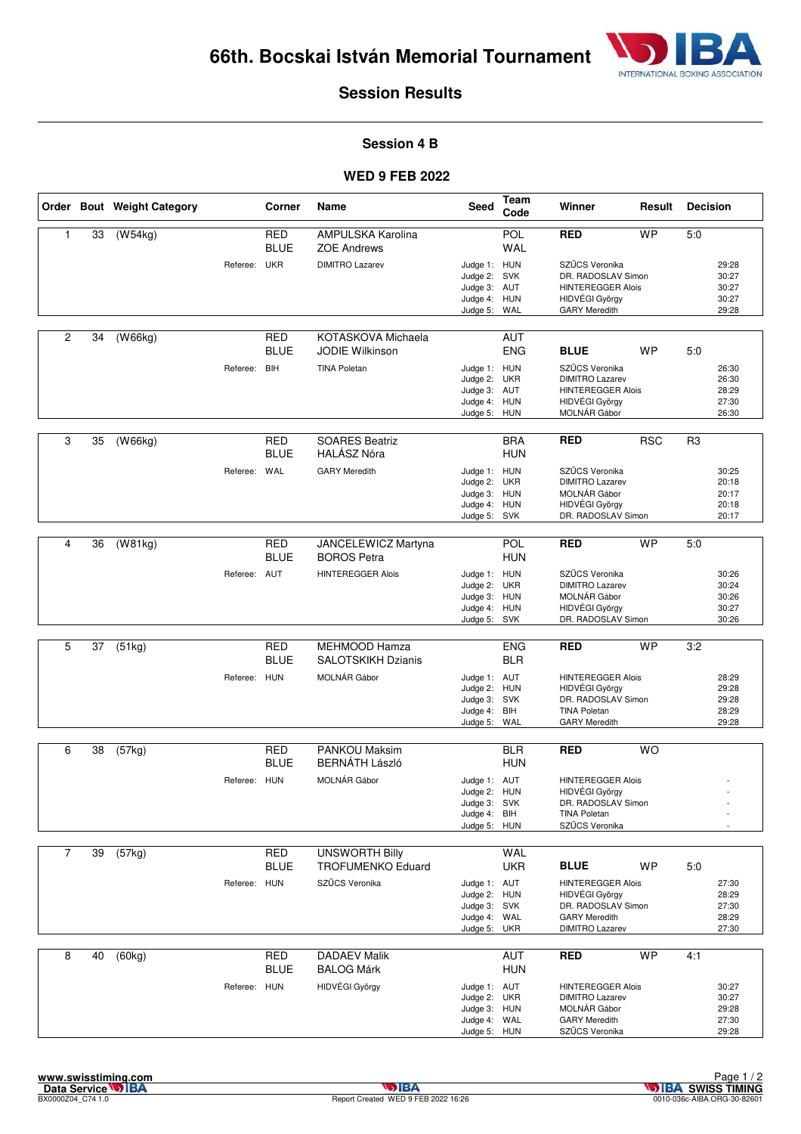

#### **Session 4 B**

|                |    | Order Bout Weight Category |              | Corner                    | Name                                         | Seed                                                                         | Team<br>Code             | Winner                                                                                                          | Result     | <b>Decision</b> |                                           |
|----------------|----|----------------------------|--------------|---------------------------|----------------------------------------------|------------------------------------------------------------------------------|--------------------------|-----------------------------------------------------------------------------------------------------------------|------------|-----------------|-------------------------------------------|
| 1              | 33 | (W54kg)                    |              | <b>RED</b>                | AMPULSKA Karolina                            |                                                                              | POL                      | <b>RED</b>                                                                                                      | <b>WP</b>  | 5:0             |                                           |
|                |    |                            | Referee: UKR | <b>BLUE</b>               | <b>ZOE Andrews</b><br><b>DIMITRO Lazarev</b> | Judge 1: HUN<br>Judge 2: SVK<br>Judge 3: AUT<br>Judge 4: HUN<br>Judge 5:     | WAL<br>WAL               | SZŰCS Veronika<br>DR. RADOSLAV Simon<br><b>HINTEREGGER Alois</b><br>HIDVÉGI György<br><b>GARY Meredith</b>      |            |                 | 29:28<br>30:27<br>30:27<br>30:27<br>29:28 |
| 2              | 34 | (W66kg)                    |              | <b>RED</b><br><b>BLUE</b> | KOTASKOVA Michaela<br><b>JODIE Wilkinson</b> |                                                                              | <b>AUT</b><br><b>ENG</b> | <b>BLUE</b>                                                                                                     | WP         | 5:0             |                                           |
|                |    |                            | Referee: BIH |                           | <b>TINA Poletan</b>                          | Judge 1: HUN<br>Judge 2:<br>Judge 3: AUT<br>Judge 4: HUN<br>Judge 5: HUN     | <b>UKR</b>               | SZŰCS Veronika<br><b>DIMITRO Lazarev</b><br><b>HINTEREGGER Alois</b><br>HIDVÉGI György<br>MOLNÁR Gábor          |            |                 | 26:30<br>26:30<br>28:29<br>27:30<br>26:30 |
| 3              | 35 | (W66kg)                    |              | <b>RED</b><br><b>BLUE</b> | <b>SOARES Beatriz</b><br><b>HALÁSZ Nóra</b>  |                                                                              | <b>BRA</b><br><b>HUN</b> | <b>RED</b>                                                                                                      | <b>RSC</b> | R <sub>3</sub>  |                                           |
|                |    |                            | Referee: WAL |                           | <b>GARY Meredith</b>                         | Judge 1: HUN<br>Judge 2:<br>Judge 3: HUN<br>Judge 4:<br>Judge 5: SVK         | <b>UKR</b><br><b>HUN</b> | SZŰCS Veronika<br><b>DIMITRO Lazarev</b><br>MOLNÁR Gábor<br>HIDVÉGI György<br>DR. RADOSLAV Simon                |            |                 | 30:25<br>20:18<br>20:17<br>20:18<br>20:17 |
| 4              | 36 | (W81kg)                    |              | <b>RED</b><br><b>BLUE</b> | JANCELEWICZ Martyna<br><b>BOROS Petra</b>    |                                                                              | POL<br><b>HUN</b>        | <b>RED</b>                                                                                                      | <b>WP</b>  | 5:0             |                                           |
|                |    |                            | Referee: AUT |                           | <b>HINTEREGGER Alois</b>                     | Judge 1: HUN<br>Judge 2:<br>Judge 3: HUN<br>Judge 4: HUN<br>Judge 5: SVK     | <b>UKR</b>               | SZŰCS Veronika<br><b>DIMITRO Lazarev</b><br>MOLNÁR Gábor<br>HIDVÉGI György<br>DR. RADOSLAV Simon                |            |                 | 30:26<br>30:24<br>30:26<br>30:27<br>30:26 |
| 5              | 37 | (51kg)                     |              | <b>RED</b>                | MEHMOOD Hamza                                |                                                                              | <b>ENG</b>               | <b>RED</b>                                                                                                      | <b>WP</b>  | 3:2             |                                           |
|                |    |                            |              | <b>BLUE</b>               | <b>SALOTSKIKH Dzianis</b>                    |                                                                              | <b>BLR</b>               |                                                                                                                 |            |                 |                                           |
|                |    |                            | Referee: HUN |                           | MOLNÁR Gábor                                 | Judge 1: AUT<br>Judge 2: HUN<br>Judge 3: SVK<br>Judge 4: BIH<br>Judge 5:     | WAL                      | <b>HINTEREGGER Alois</b><br>HIDVÉGI György<br>DR. RADOSLAV Simon<br><b>TINA Poletan</b><br><b>GARY Meredith</b> |            |                 | 28:29<br>29:28<br>29:28<br>28:29<br>29:28 |
| 6              | 38 | (57kg)                     |              | RED                       | <b>PANKOU Maksim</b>                         |                                                                              | <b>BLR</b>               | <b>RED</b>                                                                                                      | <b>WO</b>  |                 |                                           |
|                |    |                            |              | <b>BLUE</b>               | <b>BERNÁTH László</b>                        |                                                                              | <b>HUN</b>               |                                                                                                                 |            |                 |                                           |
|                |    |                            | Referee: HUN |                           | MOLNÁR Gábor                                 | Judge 1: AUT<br>Judge 2: HUN<br>Judge 3: SVK<br>Judge 4: BIH<br>Judge 5: HUN |                          | <b>HINTEREGGER Alois</b><br>HIDVÉGI György<br>DR. RADOSLAV Simon<br><b>TINA Poletan</b><br>SZŰCS Veronika       |            |                 |                                           |
| $\overline{7}$ | 39 | (57kg)                     |              | <b>RED</b>                | <b>UNSWORTH Billy</b>                        |                                                                              | <b>WAL</b>               |                                                                                                                 |            |                 |                                           |
|                |    |                            | Referee: HUN | <b>BLUE</b>               | TROFUMENKO Eduard<br>SZŰCS Veronika          | Judge 1: AUT                                                                 | <b>UKR</b>               | <b>BLUE</b><br><b>HINTEREGGER Alois</b>                                                                         | <b>WP</b>  | 5:0             | 27:30                                     |
|                |    |                            |              |                           |                                              | Judge 2: HUN<br>Judge 3: SVK<br>Judge 4: WAL<br>Judge 5: UKR                 |                          | HIDVÉGI György<br>DR. RADOSLAV Simon<br><b>GARY Meredith</b><br><b>DIMITRO Lazarev</b>                          |            |                 | 28:29<br>27:30<br>28:29<br>27:30          |
| 8              | 40 | (60kg)                     |              | <b>RED</b><br><b>BLUE</b> | <b>DADAEV Malik</b><br><b>BALOG Márk</b>     |                                                                              | AUT<br><b>HUN</b>        | <b>RED</b>                                                                                                      | <b>WP</b>  | 4:1             |                                           |
|                |    |                            | Referee: HUN |                           | HIDVÉGI György                               | Judge 1: AUT<br>Judge 2: UKR<br>Judge 3: HUN<br>Judge 4: WAL<br>Judge 5: HUN |                          | <b>HINTEREGGER Alois</b><br><b>DIMITRO Lazarev</b><br>MOLNÁR Gábor<br><b>GARY Meredith</b><br>SZŰCS Veronika    |            |                 | 30:27<br>30:27<br>29:28<br>27:30<br>29:28 |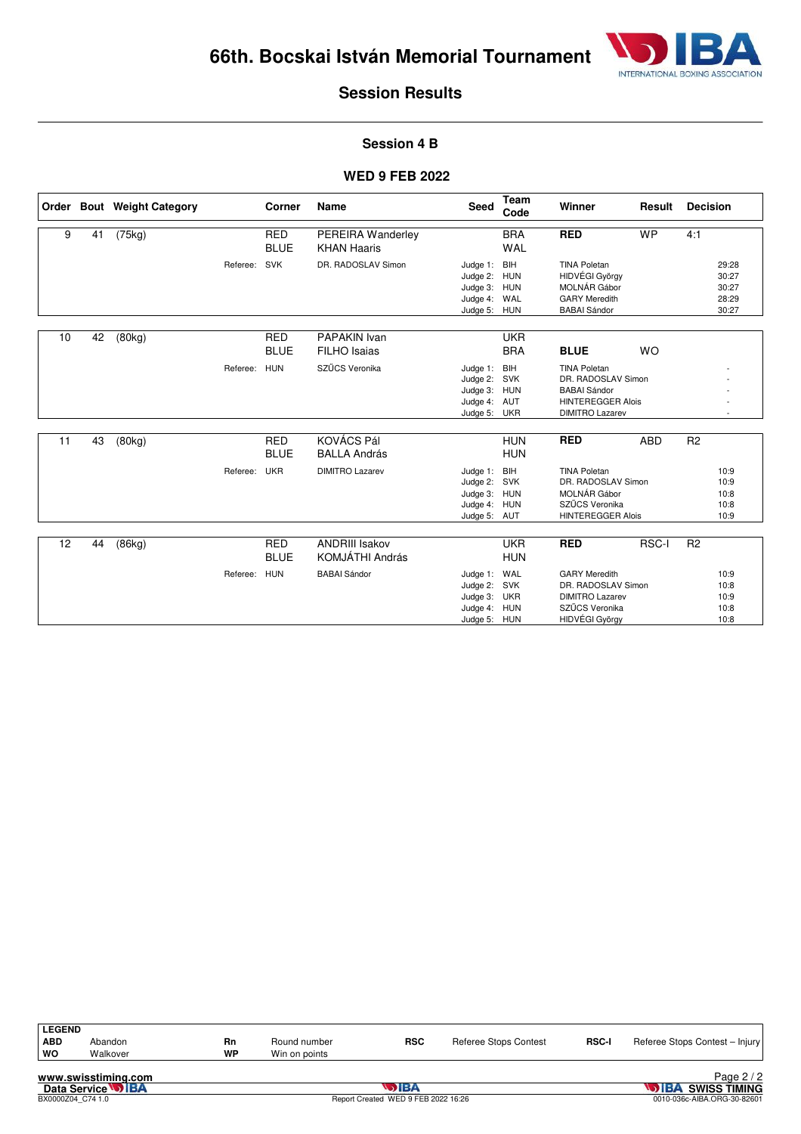

#### **Session 4 B**

|    |    | Order Bout Weight Category |              | Corner                    | Name                                       | Seed                                                                     | Team<br>Code             | Winner                                                                                                                 | Result     | <b>Decision</b> |                                           |
|----|----|----------------------------|--------------|---------------------------|--------------------------------------------|--------------------------------------------------------------------------|--------------------------|------------------------------------------------------------------------------------------------------------------------|------------|-----------------|-------------------------------------------|
| 9  | 41 | (75kg)                     |              | <b>RED</b><br><b>BLUE</b> | PEREIRA Wanderley<br><b>KHAN Haaris</b>    |                                                                          | <b>BRA</b><br><b>WAL</b> | <b>RED</b>                                                                                                             | <b>WP</b>  | 4:1             |                                           |
|    |    |                            | Referee:     | SVK                       | DR. RADOSLAV Simon                         | Judge 1: BIH<br>Judge 2: HUN<br>Judge 3: HUN<br>Judge 4: WAL<br>Judge 5: | HUN                      | <b>TINA Poletan</b><br>HIDVÉGI György<br>MOLNÁR Gábor<br><b>GARY Meredith</b><br><b>BABAI</b> Sándor                   |            |                 | 29:28<br>30:27<br>30:27<br>28:29<br>30:27 |
| 10 | 42 | (80kg)                     |              | <b>RED</b><br><b>BLUE</b> | <b>PAPAKIN Ivan</b><br><b>FILHO</b> Isaias |                                                                          | <b>UKR</b><br><b>BRA</b> | <b>BLUE</b>                                                                                                            | <b>WO</b>  |                 |                                           |
|    |    |                            | Referee: HUN |                           | SZŰCS Veronika                             | Judge 1:<br>Judge 2: SVK<br>Judge 3: HUN<br>Judge 4: AUT<br>Judge 5: UKR | <b>BIH</b>               | <b>TINA Poletan</b><br>DR. RADOSLAV Simon<br><b>BABAI Sándor</b><br><b>HINTEREGGER Alois</b><br><b>DIMITRO Lazarev</b> |            |                 |                                           |
| 11 | 43 | (80kg)                     |              | <b>RED</b><br><b>BLUE</b> | KOVÁCS Pál<br><b>BALLA András</b>          |                                                                          | <b>HUN</b><br><b>HUN</b> | <b>RED</b>                                                                                                             | <b>ABD</b> | R <sub>2</sub>  |                                           |
|    |    |                            | Referee:     | <b>UKR</b>                | <b>DIMITRO Lazarev</b>                     | Judge 1:<br>Judge 2: SVK<br>Judge 3: HUN<br>Judge 4: HUN<br>Judge 5: AUT | BIH                      | <b>TINA Poletan</b><br>DR. RADOSLAV Simon<br>MOLNÁR Gábor<br>SZŰCS Veronika<br><b>HINTEREGGER Alois</b>                |            |                 | 10:9<br>10:9<br>10:8<br>10:8<br>10:9      |
| 12 | 44 | (86kg)                     |              | <b>RED</b>                | <b>ANDRIII Isakov</b>                      |                                                                          | <b>UKR</b>               | <b>RED</b>                                                                                                             | RSC-I      | R <sub>2</sub>  |                                           |
|    |    |                            |              | <b>BLUE</b>               | KOMJÁTHI András                            |                                                                          | <b>HUN</b>               |                                                                                                                        |            |                 |                                           |
|    |    |                            | Referee:     | HUN                       | <b>BABAI Sándor</b>                        | Judge 1:<br>Judge 2: SVK<br>Judge 3: UKR<br>Judge 4:<br>Judge 5: HUN     | WAL<br><b>HUN</b>        | <b>GARY Meredith</b><br>DR. RADOSLAV Simon<br><b>DIMITRO Lazarev</b><br>SZŰCS Veronika<br>HIDVÉGI György               |            |                 | 10:9<br>10:8<br>10:9<br>10:8<br>10:8      |

| <b>LEGEND</b> |          |    |               |            |                       |              |                                |
|---------------|----------|----|---------------|------------|-----------------------|--------------|--------------------------------|
| <b>ABD</b>    | Abandon  | Rn | Round number  | <b>RSC</b> | Referee Stops Contest | <b>RSC-I</b> | Referee Stops Contest - Injury |
| <b>WO</b>     | Walkover | WP | Win on points |            |                       |              |                                |
|               |          |    |               |            |                       |              |                                |

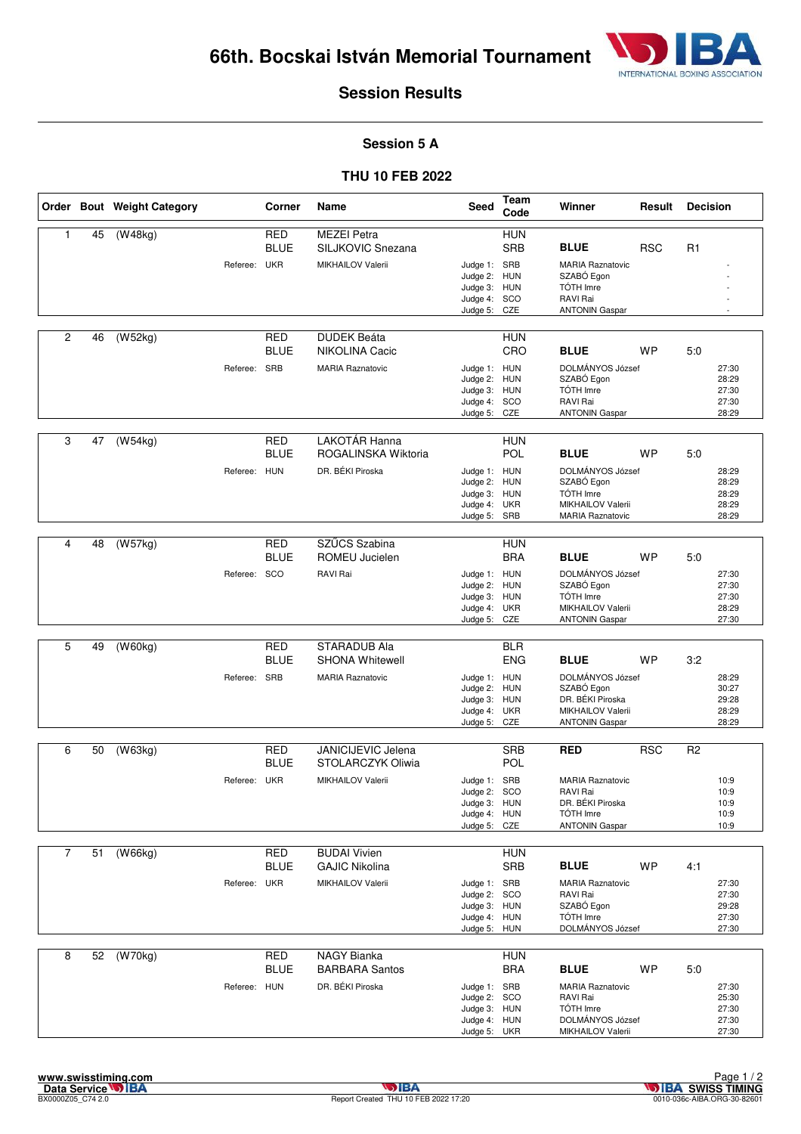

#### **Session 5 A**

#### **THU 10 FEB 2022**

|                |    | Order Bout Weight Category |              | Corner                    | Name                                                         | <b>Seed</b>                                                                  | Team<br>Code             | Winner                                                                                                   | Result     | <b>Decision</b> |                                           |
|----------------|----|----------------------------|--------------|---------------------------|--------------------------------------------------------------|------------------------------------------------------------------------------|--------------------------|----------------------------------------------------------------------------------------------------------|------------|-----------------|-------------------------------------------|
| $\mathbf{1}$   | 45 | (W48kg)                    | Referee: UKR | <b>RED</b><br><b>BLUE</b> | <b>MEZEI Petra</b><br>SILJKOVIC Snezana<br>MIKHAILOV Valerii | Judge 1: SRB                                                                 | <b>HUN</b><br><b>SRB</b> | <b>BLUE</b><br><b>MARIA Raznatovic</b>                                                                   | <b>RSC</b> | R1              |                                           |
|                |    |                            |              |                           |                                                              | Judge 2: HUN<br>Judge 3:<br>Judge 4: SCO<br>Judge 5:                         | <b>HUN</b><br>CZE        | SZABÓ Egon<br>TÓTH Imre<br>RAVI Rai<br><b>ANTONIN Gaspar</b>                                             |            |                 |                                           |
| $\overline{2}$ | 46 | (W52kg)                    |              | <b>RED</b><br><b>BLUE</b> | <b>DUDEK Beáta</b><br>NIKOLINA Cacic                         |                                                                              | <b>HUN</b><br>CRO        | <b>BLUE</b>                                                                                              | <b>WP</b>  | 5:0             |                                           |
|                |    |                            | Referee: SRB |                           | <b>MARIA Raznatovic</b>                                      | Judge 1: HUN<br>Judge 2: HUN<br>Judge 3: HUN<br>Judge 4: SCO<br>Judge 5: CZE |                          | DOLMÁNYOS József<br>SZABÓ Egon<br>TÓTH Imre<br>RAVI Rai<br><b>ANTONIN Gaspar</b>                         |            |                 | 27:30<br>28:29<br>27:30<br>27:30<br>28:29 |
| 3              | 47 | (W54kg)                    |              | <b>RED</b><br><b>BLUE</b> | LAKOTÁR Hanna<br>ROGALINSKA Wiktoria                         |                                                                              | <b>HUN</b><br><b>POL</b> | <b>BLUE</b>                                                                                              | WP         | 5:0             |                                           |
|                |    |                            | Referee: HUN |                           | DR. BÉKI Piroska                                             | Judge 1: HUN<br>Judge 2:<br>Judge 3: HUN<br>Judge 4: UKR<br>Judge 5: SRB     | HUN                      | DOLMÁNYOS József<br>SZABÓ Egon<br>TÓTH Imre<br>MIKHAILOV Valerii<br><b>MARIA Raznatovic</b>              |            |                 | 28:29<br>28:29<br>28:29<br>28:29<br>28:29 |
| 4              | 48 | (W57kg)                    |              | <b>RED</b>                | SZŰCS Szabina                                                |                                                                              | <b>HUN</b>               |                                                                                                          |            |                 |                                           |
|                |    |                            |              | <b>BLUE</b>               | ROMEU Jucielen                                               |                                                                              | <b>BRA</b>               | <b>BLUE</b>                                                                                              | <b>WP</b>  | 5:0             |                                           |
|                |    |                            | Referee: SCO |                           | RAVI Rai                                                     | Judge 1: HUN<br>Judge 2: HUN<br>Judge 3: HUN<br>Judge 4: UKR<br>Judge 5:     | CZE                      | DOLMÁNYOS József<br>SZABÓ Egon<br><b>TÓTH Imre</b><br>MIKHAILOV Valerii<br><b>ANTONIN Gaspar</b>         |            |                 | 27:30<br>27:30<br>27:30<br>28:29<br>27:30 |
| 5              | 49 | (W60kg)                    |              | <b>RED</b>                | STARADUB Ala                                                 |                                                                              | <b>BLR</b>               |                                                                                                          |            |                 |                                           |
|                |    |                            |              | <b>BLUE</b>               | <b>SHONA Whitewell</b>                                       |                                                                              | <b>ENG</b>               | <b>BLUE</b>                                                                                              | <b>WP</b>  | 3:2             |                                           |
|                |    |                            | Referee: SRB |                           | <b>MARIA Raznatovic</b>                                      | Judge 1: HUN<br>Judge 2: HUN<br>Judge 3: HUN<br>Judge 4: UKR<br>Judge 5:     | CZE                      | DOLMÁNYOS József<br>SZABÓ Egon<br>DR. BÉKI Piroska<br>MIKHAILOV Valerii<br><b>ANTONIN Gaspar</b>         |            |                 | 28:29<br>30:27<br>29:28<br>28:29<br>28:29 |
| 6              | 50 | (W63kg)                    |              | <b>RED</b>                | JANICIJEVIC Jelena                                           |                                                                              | <b>SRB</b>               | <b>RED</b>                                                                                               | <b>RSC</b> | R <sub>2</sub>  |                                           |
|                |    |                            |              | <b>BLUE</b>               | STOLARCZYK Oliwia                                            |                                                                              | <b>POL</b>               |                                                                                                          |            |                 |                                           |
|                |    |                            | Referee: UKR |                           | MIKHAILOV Valerii                                            | Judge 1: SRB<br>Judge 2:<br>Judge 3: HUN<br>Judge 4: HUN<br>Judge 5: CZE     | SCO                      | <b>MARIA Raznatovic</b><br>RAVI Rai<br>DR. BÉKI Piroska<br>TÓTH Imre<br><b>ANTONIN Gaspar</b>            |            |                 | 10:9<br>10:9<br>10:9<br>10:9<br>10:9      |
| $\overline{7}$ | 51 | (W66kg)                    |              | <b>RED</b>                | <b>BUDAI Vivien</b>                                          |                                                                              | <b>HUN</b>               |                                                                                                          |            |                 |                                           |
|                |    |                            |              | <b>BLUE</b>               | <b>GAJIC Nikolina</b>                                        |                                                                              | <b>SRB</b>               | <b>BLUE</b>                                                                                              | <b>WP</b>  | 4:1             |                                           |
|                |    |                            | Referee: UKR |                           | MIKHAILOV Valerii                                            | Judge 1: SRB<br>Judge 2: SCO<br>Judge 3: HUN<br>Judge 4: HUN<br>Judge 5: HUN |                          | <b>MARIA Raznatovic</b><br>RAVI Rai<br>SZABÓ Egon<br>TÓTH Imre<br>DOLMÁNYOS József                       |            |                 | 27:30<br>27:30<br>29:28<br>27:30<br>27:30 |
| 8              | 52 | (W70kg)                    |              | <b>RED</b>                | NAGY Bianka                                                  |                                                                              | <b>HUN</b>               |                                                                                                          |            |                 |                                           |
|                |    |                            | Referee: HUN | BLUE                      | <b>BARBARA Santos</b><br>DR. BÉKI Piroska                    | Judge 1: SRB<br>Judge 2: SCO<br>Judge 3: HUN<br>Judge 4: HUN<br>Judge 5: UKR | <b>BRA</b>               | <b>BLUE</b><br><b>MARIA Raznatovic</b><br>RAVI Rai<br>TÓTH Imre<br>DOLMÁNYOS József<br>MIKHAILOV Valerii | <b>WP</b>  | 5:0             | 27:30<br>25:30<br>27:30<br>27:30<br>27:30 |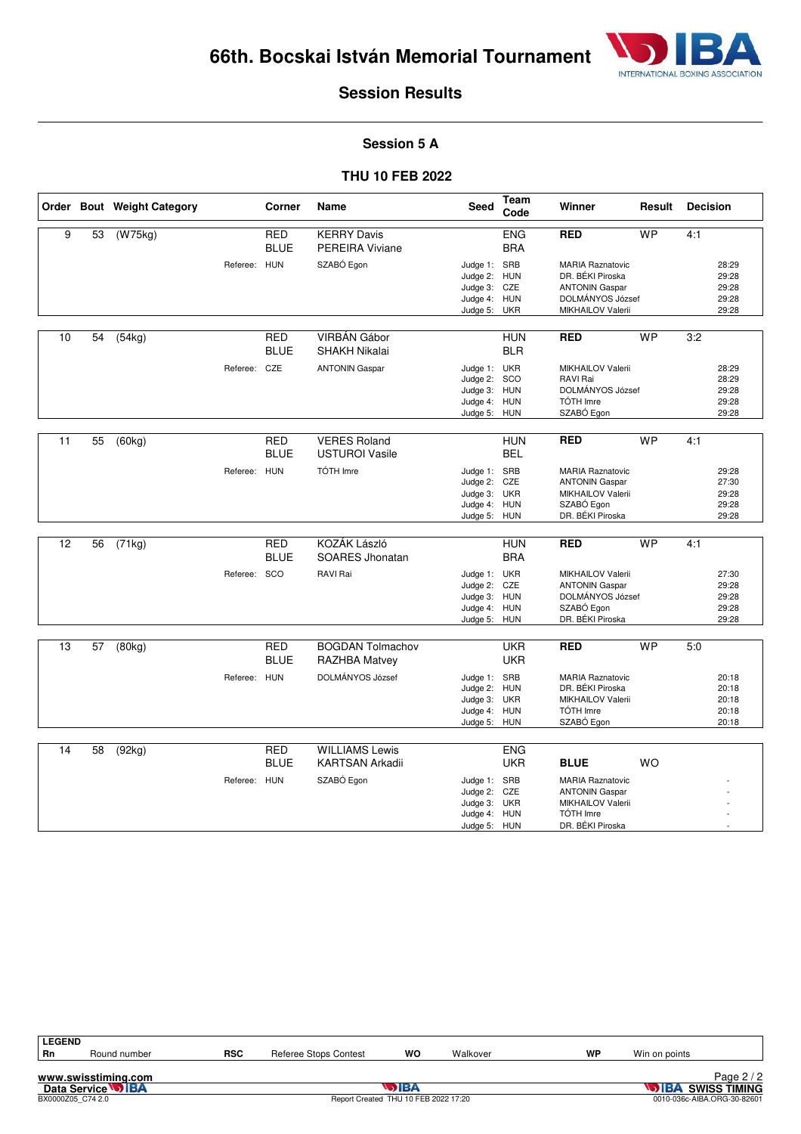

#### **Session 5 A**

#### **THU 10 FEB 2022**

|    |    | Order Bout Weight Category |              | Corner                    | Name                                            | <b>Seed</b>                                                                  | Team<br>Code             | Winner                                                                                                        | Result    | <b>Decision</b> |                                           |
|----|----|----------------------------|--------------|---------------------------|-------------------------------------------------|------------------------------------------------------------------------------|--------------------------|---------------------------------------------------------------------------------------------------------------|-----------|-----------------|-------------------------------------------|
| 9  | 53 | (W75kg)                    |              | <b>RED</b><br><b>BLUE</b> | <b>KERRY Davis</b><br><b>PEREIRA Viviane</b>    |                                                                              | <b>ENG</b><br><b>BRA</b> | <b>RED</b>                                                                                                    | <b>WP</b> | 4:1             |                                           |
|    |    |                            | Referee: HUN |                           | SZABÓ Egon                                      | Judge 1: SRB<br>Judge 2: HUN<br>Judge 3: CZE<br>Judge 4: HUN<br>Judge 5: UKR |                          | <b>MARIA Raznatovic</b><br>DR. BÉKI Piroska<br><b>ANTONIN Gaspar</b><br>DOLMÁNYOS József<br>MIKHAILOV Valerii |           |                 | 28:29<br>29:28<br>29:28<br>29:28<br>29:28 |
| 10 | 54 | $\sqrt{(54kg)}$            |              | <b>RED</b><br><b>BLUE</b> | VIRBÁN Gábor<br>SHAKH Nikalai                   |                                                                              | <b>HUN</b><br><b>BLR</b> | <b>RED</b>                                                                                                    | <b>WP</b> | 3:2             |                                           |
|    |    |                            | Referee:     | CZE                       | <b>ANTONIN Gaspar</b>                           | Judge 1: UKR<br>Judge 2: SCO<br>Judge 3: HUN<br>Judge 4: HUN<br>Judge 5: HUN |                          | MIKHAILOV Valerii<br>RAVI Rai<br>DOLMÁNYOS József<br>TÓTH Imre<br>SZABÓ Egon                                  |           |                 | 28:29<br>28:29<br>29:28<br>29:28<br>29:28 |
| 11 | 55 | (60kg)                     |              | <b>RED</b><br><b>BLUE</b> | <b>VERES Roland</b><br><b>USTUROI Vasile</b>    |                                                                              | <b>HUN</b><br><b>BEL</b> | <b>RED</b>                                                                                                    | <b>WP</b> | 4:1             |                                           |
|    |    |                            | Referee: HUN |                           | TÓTH Imre                                       | Judge 1: SRB<br>Judge 2: CZE<br>Judge 3: UKR<br>Judge 4: HUN<br>Judge 5: HUN |                          | <b>MARIA Raznatovic</b><br><b>ANTONIN Gaspar</b><br>MIKHAILOV Valerii<br>SZABÓ Egon<br>DR. BÉKI Piroska       |           |                 | 29:28<br>27:30<br>29:28<br>29:28<br>29:28 |
| 12 | 56 | (71kg)                     |              | <b>RED</b><br><b>BLUE</b> | KOZÁK László<br>SOARES Jhonatan                 |                                                                              | <b>HUN</b><br><b>BRA</b> | <b>RED</b>                                                                                                    | <b>WP</b> | 4:1             |                                           |
|    |    |                            | Referee: SCO |                           | RAVI Rai                                        | Judge 1: UKR<br>Judge 2: CZE<br>Judge 3: HUN<br>Judge 4: HUN<br>Judge 5: HUN |                          | MIKHAILOV Valerii<br><b>ANTONIN Gaspar</b><br>DOLMÁNYOS József<br>SZABÓ Egon<br>DR. BÉKI Piroska              |           |                 | 27:30<br>29:28<br>29:28<br>29:28<br>29:28 |
| 13 | 57 | (80kg)                     |              | <b>RED</b><br><b>BLUE</b> | <b>BOGDAN Tolmachov</b><br>RAZHBA Matvey        |                                                                              | <b>UKR</b><br><b>UKR</b> | <b>RED</b>                                                                                                    | <b>WP</b> | 5.0             |                                           |
|    |    |                            | Referee: HUN |                           | DOLMÁNYOS József                                | Judge 1: SRB<br>Judge 2: HUN<br>Judge 3: UKR<br>Judge 4:<br>Judge 5: HUN     | <b>HUN</b>               | <b>MARIA Raznatovic</b><br>DR. BÉKI Piroska<br>MIKHAILOV Valerii<br>TÓTH Imre<br>SZABÓ Egon                   |           |                 | 20:18<br>20:18<br>20:18<br>20:18<br>20:18 |
| 14 | 58 | (92kg)                     |              | <b>RED</b><br><b>BLUE</b> | <b>WILLIAMS Lewis</b><br><b>KARTSAN Arkadii</b> |                                                                              | <b>ENG</b><br><b>UKR</b> | <b>BLUE</b>                                                                                                   | <b>WO</b> |                 |                                           |
|    |    |                            | Referee: HUN |                           | SZABÓ Egon                                      | Judge 1: SRB<br>Judge 2: CZE<br>Judge 3:<br>Judge 4: HUN<br>Judge 5: HUN     | <b>UKR</b>               | <b>MARIA Raznatovic</b><br><b>ANTONIN Gaspar</b><br>MIKHAILOV Valerii<br>TÓTH Imre<br>DR. BÉKI Piroska        |           |                 |                                           |

| <b>LEGEND</b> |                     |            |                              |    |          |    |               |          |
|---------------|---------------------|------------|------------------------------|----|----------|----|---------------|----------|
| Rn            | Round number        | <b>RSC</b> | <b>Referee Stops Contest</b> | WO | Walkover | WP | Win on points |          |
|               |                     |            |                              |    |          |    |               |          |
|               | www.swisstiming.com |            |                              |    |          |    |               | Page 2 / |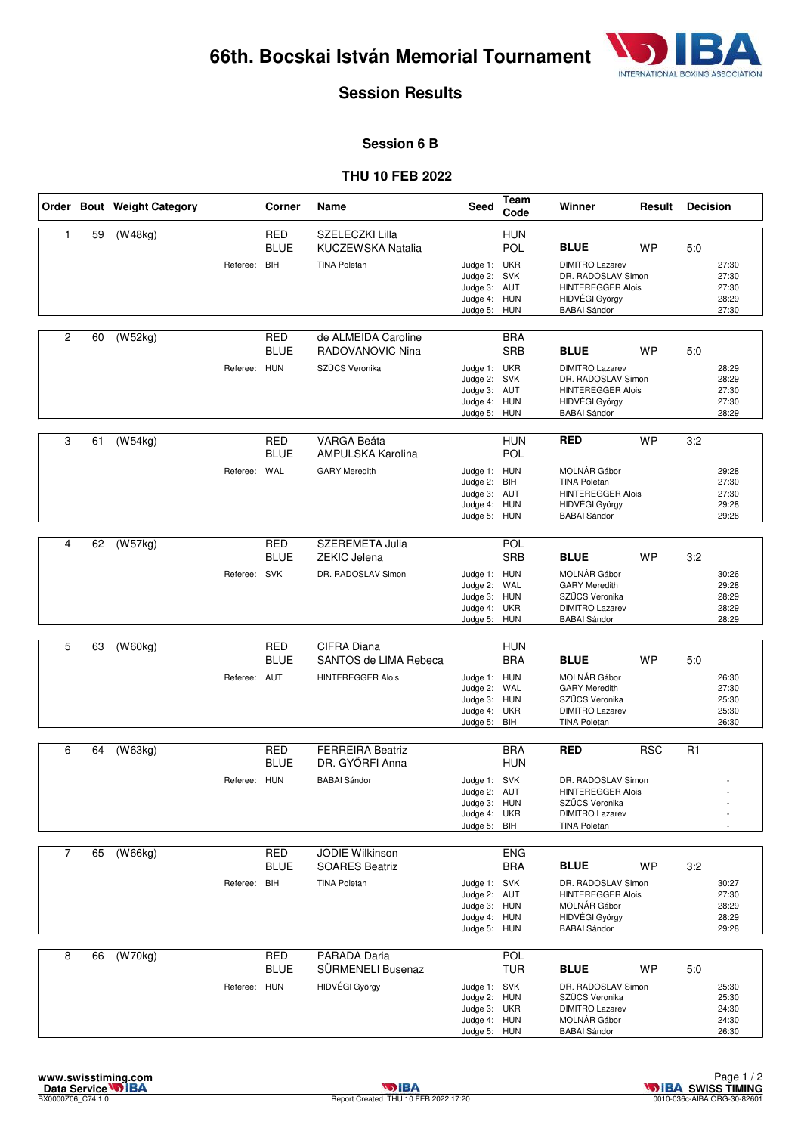

#### **Session 6 B**

#### **THU 10 FEB 2022**

|                |    | Order Bout Weight Category |              | Corner                    | Name                                          | <b>Seed</b>                                                                  | Team<br>Code             | Winner                                                                                                               | Result     | <b>Decision</b> |                                           |
|----------------|----|----------------------------|--------------|---------------------------|-----------------------------------------------|------------------------------------------------------------------------------|--------------------------|----------------------------------------------------------------------------------------------------------------------|------------|-----------------|-------------------------------------------|
| 1              | 59 | (W48kg)                    |              | <b>RED</b><br><b>BLUE</b> | SZELECZKI Lilla<br><b>KUCZEWSKA Natalia</b>   |                                                                              | <b>HUN</b><br>POL        | <b>BLUE</b>                                                                                                          | <b>WP</b>  | 5:0             |                                           |
|                |    |                            | Referee: BIH |                           | <b>TINA Poletan</b>                           | Judge 1: UKR<br>Judge 2: SVK<br>Judge 3: AUT<br>Judge 4: HUN<br>Judge 5: HUN |                          | <b>DIMITRO Lazarev</b><br>DR. RADOSLAV Simon<br><b>HINTEREGGER Alois</b><br>HIDVÉGI György<br><b>BABAI Sándor</b>    |            |                 | 27:30<br>27:30<br>27:30<br>28:29<br>27:30 |
| $\overline{2}$ | 60 | (W52kg)                    |              | RED<br><b>BLUE</b>        | de ALMEIDA Caroline<br>RADOVANOVIC Nina       |                                                                              | <b>BRA</b><br><b>SRB</b> | <b>BLUE</b>                                                                                                          | <b>WP</b>  | 5:0             |                                           |
|                |    |                            | Referee: HUN |                           | SZŰCS Veronika                                | Judge 1: UKR<br>Judge 2: SVK<br>Judge 3: AUT<br>Judge 4: HUN<br>Judge 5: HUN |                          | <b>DIMITRO Lazarev</b><br>DR. RADOSLAV Simon<br><b>HINTEREGGER Alois</b><br>HIDVÉGI György<br><b>BABAI Sándor</b>    |            |                 | 28:29<br>28:29<br>27:30<br>27:30<br>28:29 |
| 3              | 61 | (W54kg)                    |              | <b>RED</b><br><b>BLUE</b> | <b>VARGA Beáta</b><br>AMPULSKA Karolina       |                                                                              | <b>HUN</b><br>POL        | <b>RED</b>                                                                                                           | <b>WP</b>  | 3:2             |                                           |
|                |    |                            | Referee: WAL |                           | <b>GARY Meredith</b>                          | Judge 1: HUN<br>Judge 2: BIH<br>Judge 3: AUT<br>Judge 4: HUN<br>Judge 5: HUN |                          | MOLNÁR Gábor<br><b>TINA Poletan</b><br><b>HINTEREGGER Alois</b><br>HIDVÉGI György<br><b>BABAI Sándor</b>             |            |                 | 29:28<br>27:30<br>27:30<br>29:28<br>29:28 |
|                |    |                            |              |                           |                                               |                                                                              | POL                      |                                                                                                                      |            |                 |                                           |
| 4              | 62 | (W57kg)                    |              | <b>RED</b><br><b>BLUE</b> | <b>SZEREMETA Julia</b><br><b>ZEKIC Jelena</b> |                                                                              | <b>SRB</b>               | <b>BLUE</b>                                                                                                          | <b>WP</b>  | 3:2             |                                           |
|                |    |                            | Referee: SVK |                           | DR. RADOSLAV Simon                            | Judge 1: HUN<br>Judge 2: WAL<br>Judge 3: HUN<br>Judge 4: UKR<br>Judge 5: HUN |                          | MOLNÁR Gábor<br><b>GARY Meredith</b><br>SZŰCS Veronika<br><b>DIMITRO Lazarev</b><br><b>BABAI Sándor</b>              |            |                 | 30:26<br>29:28<br>28:29<br>28:29<br>28:29 |
|                |    |                            |              |                           |                                               |                                                                              |                          |                                                                                                                      |            |                 |                                           |
| 5              | 63 | (W60kg)                    |              | <b>RED</b><br><b>BLUE</b> | CIFRA Diana<br>SANTOS de LIMA Rebeca          |                                                                              | <b>HUN</b><br><b>BRA</b> | <b>BLUE</b>                                                                                                          | WP         | 5:0             |                                           |
|                |    |                            | Referee: AUT |                           | <b>HINTEREGGER Alois</b>                      | Judge 1: HUN<br>Judge 2: WAL<br>Judge 3: HUN<br>Judge 4: UKR<br>Judge 5:     | BIH                      | MOLNÁR Gábor<br><b>GARY Meredith</b><br>SZŰCS Veronika<br><b>DIMITRO Lazarev</b><br><b>TINA Poletan</b>              |            |                 | 26:30<br>27:30<br>25:30<br>25:30<br>26:30 |
|                |    |                            |              |                           | <b>FERREIRA Beatriz</b>                       |                                                                              |                          |                                                                                                                      |            |                 |                                           |
| 6              | 64 | (W63kg)                    |              | <b>RED</b><br><b>BLUE</b> | DR. GYŐRFI Anna                               |                                                                              | <b>BRA</b><br><b>HUN</b> | <b>RED</b>                                                                                                           | <b>RSC</b> | R1              |                                           |
|                |    |                            | Referee: HUN |                           | <b>BABAI Sándor</b>                           | Judge 1: SVK<br>Judge 2: AUT<br>Judge 3: HUN<br>Judge 4: UKR<br>Judge 5: BIH |                          | DR. RADOSLAV Simon<br><b>HINTEREGGER Alois</b><br>SZŰCS Veronika<br><b>DIMITRO Lazarev</b><br><b>TINA Poletan</b>    |            |                 |                                           |
| $\overline{7}$ | 65 | (W66kg)                    |              | <b>RED</b>                | <b>JODIE Wilkinson</b>                        |                                                                              | <b>ENG</b>               |                                                                                                                      |            |                 |                                           |
|                |    |                            |              | <b>BLUE</b>               | <b>SOARES Beatriz</b>                         |                                                                              | <b>BRA</b>               | <b>BLUE</b>                                                                                                          | <b>WP</b>  | 3:2             |                                           |
|                |    |                            | Referee: BIH |                           | <b>TINA Poletan</b>                           | Judge 1: SVK<br>Judge 2: AUT<br>Judge 3: HUN<br>Judge 4: HUN<br>Judge 5: HUN |                          | DR. RADOSLAV Simon<br><b>HINTEREGGER Alois</b><br>MOLNÁR Gábor<br>HIDVÉGI György<br><b>BABAI Sándor</b>              |            |                 | 30:27<br>27:30<br>28:29<br>28:29<br>29:28 |
| 8              | 66 | (W70kg)                    |              | <b>RED</b>                | PARADA Daria                                  |                                                                              | <b>POL</b>               |                                                                                                                      |            |                 |                                           |
|                |    |                            | Referee: HUN | <b>BLUE</b>               | SÜRMENELI Busenaz<br>HIDVÉGI György           | Judge 1: SVK<br>Judge 2: HUN<br>Judge 3: UKR<br>Judge 4: HUN<br>Judge 5: HUN | <b>TUR</b>               | <b>BLUE</b><br>DR. RADOSLAV Simon<br>SZŰCS Veronika<br><b>DIMITRO Lazarev</b><br>MOLNÁR Gábor<br><b>BABAI Sándor</b> | <b>WP</b>  | 5:0             | 25:30<br>25:30<br>24:30<br>24:30<br>26:30 |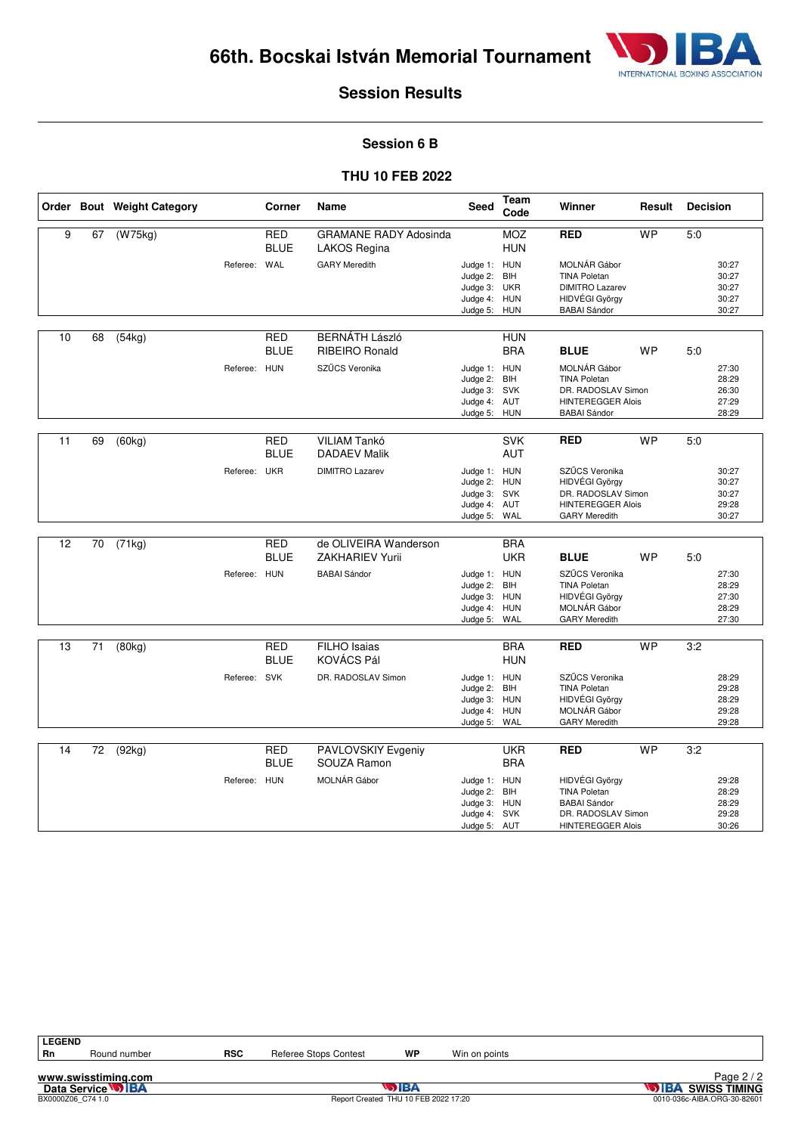

#### **Session 6 B**

#### **THU 10 FEB 2022**

|    |    | Order Bout Weight Category |              | Corner                    | Name                                            | Seed                                                                         | Team<br>Code             | Winner                                                                                                         | Result    | <b>Decision</b> |                                           |
|----|----|----------------------------|--------------|---------------------------|-------------------------------------------------|------------------------------------------------------------------------------|--------------------------|----------------------------------------------------------------------------------------------------------------|-----------|-----------------|-------------------------------------------|
| 9  | 67 | $\overline{(W75kg)}$       |              | <b>RED</b><br><b>BLUE</b> | <b>GRAMANE RADY Adosinda</b><br>LAKOS Regina    |                                                                              | <b>MOZ</b><br><b>HUN</b> | <b>RED</b>                                                                                                     | <b>WP</b> | 5:0             |                                           |
|    |    |                            | Referee: WAL |                           | <b>GARY Meredith</b>                            | Judge 1: HUN<br>Judge 2:<br>Judge 3:<br>Judge 4: HUN<br>Judge 5:             | <b>BIH</b><br>UKR<br>HUN | MOLNÁR Gábor<br><b>TINA Poletan</b><br><b>DIMITRO Lazarev</b><br>HIDVÉGI György<br><b>BABAI</b> Sándor         |           |                 | 30:27<br>30:27<br>30:27<br>30:27<br>30:27 |
|    |    |                            |              |                           |                                                 |                                                                              |                          |                                                                                                                |           |                 |                                           |
| 10 | 68 | (54kg)                     |              | <b>RED</b><br><b>BLUE</b> | <b>BERNÁTH László</b><br><b>RIBEIRO Ronald</b>  |                                                                              | <b>HUN</b><br><b>BRA</b> | <b>BLUE</b>                                                                                                    | <b>WP</b> | 5:0             |                                           |
|    |    |                            | Referee: HUN |                           | SZŰCS Veronika                                  | Judge 1: HUN<br>Judge 2: BIH<br>Judge 3: SVK<br>Judge 4: AUT<br>Judge 5: HUN |                          | MOLNÁR Gábor<br><b>TINA Poletan</b><br>DR. RADOSLAV Simon<br><b>HINTEREGGER Alois</b><br><b>BABAI Sándor</b>   |           |                 | 27:30<br>28:29<br>26:30<br>27:29<br>28:29 |
| 11 | 69 | (60kg)                     |              | RED<br><b>BLUE</b>        | VILIAM Tankó<br><b>DADAEV Malik</b>             |                                                                              | <b>SVK</b><br><b>AUT</b> | <b>RED</b>                                                                                                     | <b>WP</b> | 5:0             |                                           |
|    |    |                            | Referee:     | UKR                       | <b>DIMITRO Lazarev</b>                          | Judge 1: HUN<br>Judge 2: HUN<br>Judge 3: SVK<br>Judge 4: AUT<br>Judge 5:     | WAL                      | SZŰCS Veronika<br>HIDVÉGI György<br>DR. RADOSLAV Simon<br><b>HINTEREGGER Alois</b><br><b>GARY Meredith</b>     |           |                 | 30:27<br>30:27<br>30:27<br>29:28<br>30:27 |
| 12 | 70 | (71kg)                     |              | <b>RED</b><br><b>BLUE</b> | de OLIVEIRA Wanderson<br><b>ZAKHARIEV Yurii</b> |                                                                              | <b>BRA</b><br><b>UKR</b> | <b>BLUE</b>                                                                                                    | <b>WP</b> | 5:0             |                                           |
|    |    |                            | Referee: HUN |                           | <b>BABAI Sándor</b>                             | Judge 1: HUN<br>Judge 2:<br>Judge 3: HUN<br>Judge 4: HUN<br>Judge 5: WAL     | BIH                      | SZŰCS Veronika<br><b>TINA Poletan</b><br>HIDVÉGI György<br>MOLNÁR Gábor<br><b>GARY Meredith</b>                |           |                 | 27:30<br>28:29<br>27:30<br>28:29<br>27:30 |
| 13 | 71 | (80kg)                     |              | <b>RED</b><br><b>BLUE</b> | <b>FILHO</b> Isaias<br>KOVÁCS Pál               |                                                                              | <b>BRA</b><br><b>HUN</b> | <b>RED</b>                                                                                                     | <b>WP</b> | 3:2             |                                           |
|    |    |                            | Referee: SVK |                           | DR. RADOSLAV Simon                              | Judge 1: HUN<br>Judge 2:<br>Judge 3: HUN<br>Judge 4:<br>Judge 5:             | BIH<br><b>HUN</b><br>WAL | SZŰCS Veronika<br><b>TINA Poletan</b><br>HIDVÉGI György<br>MOLNÁR Gábor<br><b>GARY Meredith</b>                |           |                 | 28:29<br>29:28<br>28:29<br>29:28<br>29:28 |
| 14 | 72 | (92kg)                     |              | <b>RED</b><br><b>BLUE</b> | PAVLOVSKIY Evgeniy<br>SOUZA Ramon               |                                                                              | <b>UKR</b><br><b>BRA</b> | <b>RED</b>                                                                                                     | <b>WP</b> | 3:2             |                                           |
|    |    |                            | Referee: HUN |                           | MOLNÁR Gábor                                    | Judge 1: HUN<br>Judge 2:<br>Judge 3: HUN<br>Judge 4:<br>Judge 5: AUT         | BIH<br>SVK               | HIDVÉGI György<br><b>TINA Poletan</b><br><b>BABAI Sándor</b><br>DR. RADOSLAV Simon<br><b>HINTEREGGER Alois</b> |           |                 | 29:28<br>28:29<br>28:29<br>29:28<br>30:26 |

**www.swisstiming.com**<br>Data Service **DIBA**<br>BX0000206\_C74 1.0

Round number **RSC** Referee Stops Contest **WP** Win on points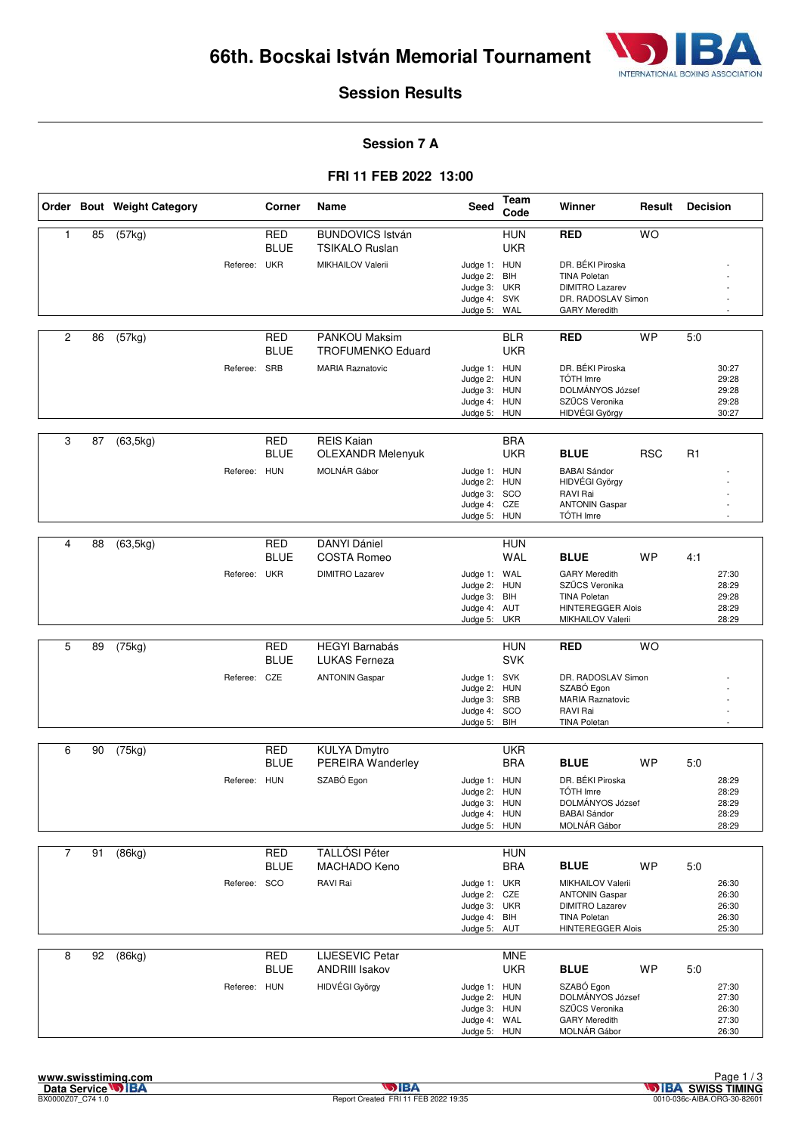

#### **Session 7 A**

#### **FRI 11 FEB 2022 13:00**

|                |    | Order Bout Weight Category |              | Corner                    | <b>Name</b>                                      | <b>Seed</b>                                                                  | Team<br>Code             | Winner                                                                                                                         | Result     | <b>Decision</b> |                                           |
|----------------|----|----------------------------|--------------|---------------------------|--------------------------------------------------|------------------------------------------------------------------------------|--------------------------|--------------------------------------------------------------------------------------------------------------------------------|------------|-----------------|-------------------------------------------|
| $\mathbf{1}$   | 85 | (57kg)                     |              | <b>RED</b><br><b>BLUE</b> | <b>BUNDOVICS István</b><br><b>TSIKALO Ruslan</b> |                                                                              | <b>HUN</b><br><b>UKR</b> | <b>RED</b>                                                                                                                     | <b>WO</b>  |                 |                                           |
|                |    |                            | Referee: UKR |                           | MIKHAILOV Valerii                                | Judge 1: HUN<br>Judge 2: BIH<br>Judge 3: UKR<br>Judge 4: SVK<br>Judge 5: WAL |                          | DR. BÉKI Piroska<br><b>TINA Poletan</b><br><b>DIMITRO Lazarev</b><br>DR. RADOSLAV Simon<br><b>GARY Meredith</b>                |            |                 |                                           |
| $\overline{c}$ | 86 | (57kg)                     |              | <b>RED</b><br><b>BLUE</b> | <b>PANKOU Maksim</b><br><b>TROFUMENKO Eduard</b> |                                                                              | <b>BLR</b><br><b>UKR</b> | <b>RED</b>                                                                                                                     | <b>WP</b>  | 5:0             |                                           |
|                |    |                            | Referee: SRB |                           | <b>MARIA Raznatovic</b>                          | Judge 1: HUN<br>Judge 2: HUN<br>Judge 3: HUN<br>Judge 4: HUN<br>Judge 5: HUN |                          | DR. BÉKI Piroska<br>TÓTH Imre<br>DOLMÁNYOS József<br>SZŰCS Veronika<br>HIDVÉGI György                                          |            |                 | 30:27<br>29:28<br>29:28<br>29:28<br>30:27 |
| 3              | 87 | (63, 5kg)                  |              | <b>RED</b><br><b>BLUE</b> | <b>REIS Kaian</b><br><b>OLEXANDR Melenyuk</b>    |                                                                              | <b>BRA</b><br><b>UKR</b> | <b>BLUE</b>                                                                                                                    | <b>RSC</b> | R1              |                                           |
|                |    |                            | Referee: HUN |                           | MOLNÁR Gábor                                     | Judge 1: HUN<br>Judge 2: HUN<br>Judge 3: SCO<br>Judge 4: CZE<br>Judge 5: HUN |                          | <b>BABAI</b> Sándor<br>HIDVÉGI György<br><b>RAVI Rai</b><br><b>ANTONIN Gaspar</b><br>TÓTH Imre                                 |            |                 |                                           |
|                |    |                            |              |                           |                                                  |                                                                              |                          |                                                                                                                                |            |                 |                                           |
| 4              | 88 | (63, 5kg)                  |              | <b>RED</b><br><b>BLUE</b> | <b>DANYI Dániel</b><br><b>COSTA Romeo</b>        |                                                                              | <b>HUN</b><br><b>WAL</b> | <b>BLUE</b>                                                                                                                    | <b>WP</b>  | 4:1             |                                           |
|                |    |                            | Referee: UKR |                           | <b>DIMITRO Lazarev</b>                           | Judge 1: WAL<br>Judge 2: HUN<br>Judge 3: BIH<br>Judge 4: AUT<br>Judge 5: UKR |                          | <b>GARY Meredith</b><br>SZŰCS Veronika<br><b>TINA Poletan</b><br><b>HINTEREGGER Alois</b><br>MIKHAILOV Valerii                 |            |                 | 27:30<br>28:29<br>29:28<br>28:29<br>28:29 |
|                |    |                            |              |                           |                                                  |                                                                              |                          |                                                                                                                                |            |                 |                                           |
| 5              | 89 | (75kg)                     |              | <b>RED</b><br><b>BLUE</b> | <b>HEGYI Barnabás</b><br><b>LUKAS Ferneza</b>    |                                                                              | <b>HUN</b><br><b>SVK</b> | <b>RED</b>                                                                                                                     | <b>WO</b>  |                 |                                           |
|                |    |                            | Referee: CZE |                           | <b>ANTONIN Gaspar</b>                            | Judge 1: SVK<br>Judge 2: HUN<br>Judge 3: SRB<br>Judge 4: SCO<br>Judge 5:     | BIH                      | DR. RADOSLAV Simon<br>SZABÓ Egon<br><b>MARIA Raznatovic</b><br><b>RAVI Rai</b><br><b>TINA Poletan</b>                          |            |                 |                                           |
| 6              |    |                            |              |                           |                                                  |                                                                              |                          |                                                                                                                                |            |                 |                                           |
|                | 90 | (75kg)                     |              | RED<br><b>BLUE</b>        | KULYA Dmytro<br>PEREIRA Wanderley                |                                                                              | <b>UKR</b><br><b>BRA</b> | <b>BLUE</b>                                                                                                                    | <b>WP</b>  | 5:0             |                                           |
|                |    |                            | Referee: HUN |                           | SZABÓ Egon                                       | Judge 1: HUN<br>Judge 2: HUN<br>Judge 3: HUN<br>Judge 4: HUN<br>Judge 5: HUN |                          | DR. BÉKI Piroska<br>TÓTH Imre<br>DOLMÁNYOS József<br><b>BABAI Sándor</b><br>MOLNÁR Gábor                                       |            |                 | 28:29<br>28:29<br>28:29<br>28:29<br>28:29 |
| $\overline{7}$ | 91 | (86kg)                     |              | RED                       | <b>TALLÓSI Péter</b>                             |                                                                              | <b>HUN</b>               |                                                                                                                                |            |                 |                                           |
|                |    |                            |              | <b>BLUE</b>               | MACHADO Keno                                     |                                                                              | <b>BRA</b>               | <b>BLUE</b>                                                                                                                    | <b>WP</b>  | 5:0             |                                           |
|                |    |                            | Referee: SCO |                           | RAVI Rai                                         | Judge 1: UKR<br>Judge 2: CZE<br>Judge 3: UKR<br>Judge 4: BIH<br>Judge 5: AUT |                          | <b>MIKHAILOV Valerii</b><br><b>ANTONIN Gaspar</b><br><b>DIMITRO Lazarev</b><br><b>TINA Poletan</b><br><b>HINTEREGGER Alois</b> |            |                 | 26:30<br>26:30<br>26:30<br>26:30<br>25:30 |
| 8              | 92 | (86kg)                     |              | <b>RED</b>                | <b>LIJESEVIC Petar</b>                           |                                                                              | <b>MNE</b>               |                                                                                                                                |            |                 |                                           |
|                |    |                            |              | <b>BLUE</b>               | <b>ANDRIII Isakov</b>                            |                                                                              | <b>UKR</b>               | <b>BLUE</b>                                                                                                                    | <b>WP</b>  | 5:0             |                                           |
|                |    |                            | Referee: HUN |                           | HIDVÉGI György                                   | Judge 1: HUN<br>Judge 2: HUN<br>Judge 3: HUN<br>Judge 4: WAL<br>Judge 5: HUN |                          | SZABÓ Egon<br>DOLMÁNYOS József<br>SZŰCS Veronika<br><b>GARY Meredith</b><br>MOLNÁR Gábor                                       |            |                 | 27:30<br>27:30<br>26:30<br>27:30<br>26:30 |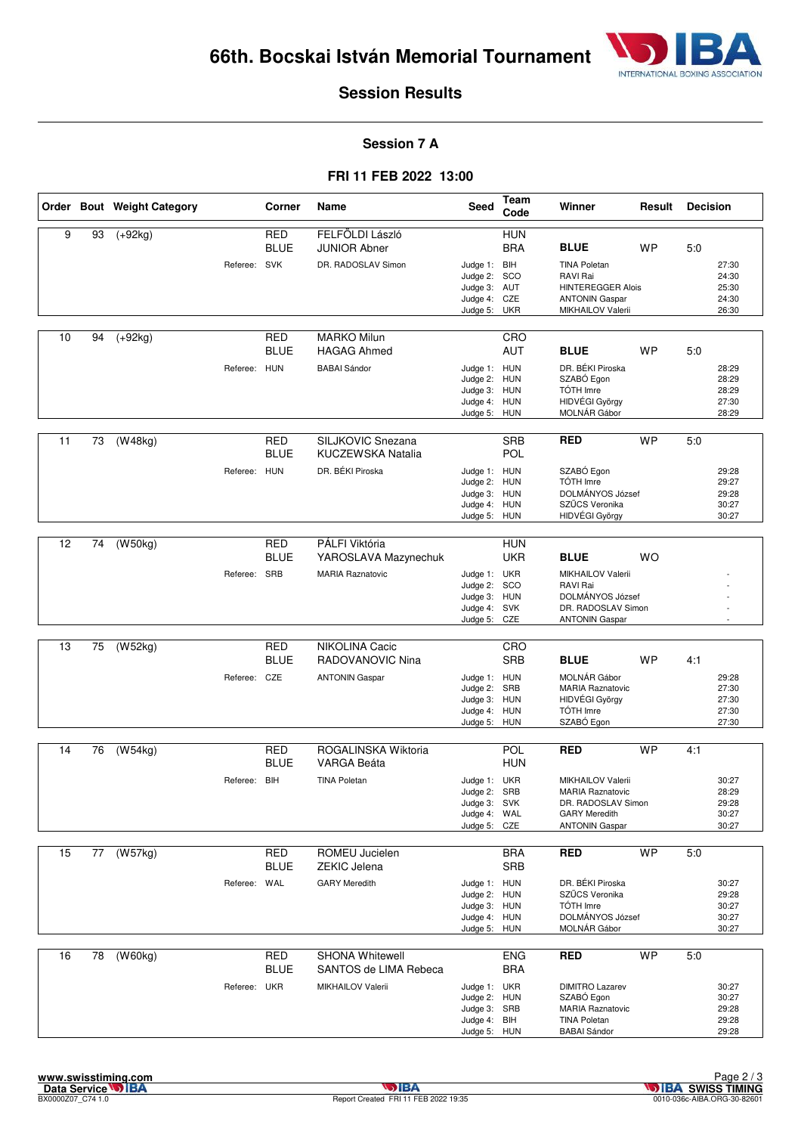

#### **Session 7 A**

#### **FRI 11 FEB 2022 13:00**

|    |    | Order Bout Weight Category |              | Corner                    | Name                                                         | Seed                                                                         | Team<br>Code             | Winner                                                                                                              | Result    | <b>Decision</b> |                                           |
|----|----|----------------------------|--------------|---------------------------|--------------------------------------------------------------|------------------------------------------------------------------------------|--------------------------|---------------------------------------------------------------------------------------------------------------------|-----------|-----------------|-------------------------------------------|
| 9  | 93 | $(+92kg)$                  | Referee: SVK | <b>RED</b><br><b>BLUE</b> | FELFÖLDI László<br><b>JUNIOR Abner</b><br>DR. RADOSLAV Simon | Judge 1: BIH<br>Judge 2: SCO                                                 | <b>HUN</b><br><b>BRA</b> | <b>BLUE</b><br><b>TINA Poletan</b><br>RAVI Rai                                                                      | <b>WP</b> | 5:0             | 27:30<br>24:30                            |
|    |    |                            |              |                           |                                                              | Judge 3: AUT<br>Judge 4: CZE<br>Judge 5:                                     | UKR                      | <b>HINTEREGGER Alois</b><br><b>ANTONIN Gaspar</b><br>MIKHAILOV Valerii                                              |           |                 | 25:30<br>24:30<br>26:30                   |
| 10 | 94 | $(+92kg)$                  |              | <b>RED</b><br><b>BLUE</b> | <b>MARKO Milun</b><br><b>HAGAG Ahmed</b>                     |                                                                              | CRO<br><b>AUT</b>        | <b>BLUE</b>                                                                                                         | <b>WP</b> | 5:0             |                                           |
|    |    |                            | Referee: HUN |                           | <b>BABAI</b> Sándor                                          | Judge 1: HUN<br>Judge 2:<br>Judge 3: HUN<br>Judge 4: HUN<br>Judge 5: HUN     | <b>HUN</b>               | DR. BÉKI Piroska<br>SZABÓ Egon<br>TÓTH Imre<br>HIDVÉGI György<br>MOLNÁR Gábor                                       |           |                 | 28:29<br>28:29<br>28:29<br>27:30<br>28:29 |
| 11 | 73 | (W48kg)                    |              | RED<br><b>BLUE</b>        | SILJKOVIC Snezana<br>KUCZEWSKA Natalia                       |                                                                              | <b>SRB</b><br>POL        | <b>RED</b>                                                                                                          | <b>WP</b> | 5:0             |                                           |
|    |    |                            | Referee: HUN |                           | DR. BÉKI Piroska                                             | Judge 1: HUN<br>Judge 2:<br>Judge 3: HUN<br>Judge 4:<br>Judge 5: HUN         | HUN<br>HUN               | SZABÓ Egon<br>TÓTH Imre<br>DOLMÁNYOS József<br>SZŰCS Veronika<br>HIDVÉGI György                                     |           |                 | 29:28<br>29:27<br>29:28<br>30:27<br>30:27 |
| 12 | 74 | (W50kg)                    |              | <b>RED</b><br><b>BLUE</b> | PÁLFI Viktória<br>YAROSLAVA Mazynechuk                       |                                                                              | <b>HUN</b><br><b>UKR</b> | <b>BLUE</b>                                                                                                         | <b>WO</b> |                 |                                           |
|    |    |                            | Referee: SRB |                           | <b>MARIA Raznatovic</b>                                      | Judge 1: UKR<br>Judge 2:<br>Judge 3: HUN<br>Judge 4: SVK<br>Judge 5:         | SCO<br>CZE               | MIKHAILOV Valerii<br>RAVI Rai<br>DOLMÁNYOS József<br>DR. RADOSLAV Simon<br><b>ANTONIN Gaspar</b>                    |           |                 |                                           |
|    |    |                            |              |                           |                                                              |                                                                              |                          |                                                                                                                     |           |                 |                                           |
| 13 | 75 | (W52kg)                    |              | <b>RED</b><br><b>BLUE</b> | NIKOLINA Cacic<br>RADOVANOVIC Nina                           |                                                                              | CRO<br><b>SRB</b>        | <b>BLUE</b>                                                                                                         | <b>WP</b> | 4:1             |                                           |
|    |    |                            | Referee: CZE |                           | <b>ANTONIN Gaspar</b>                                        | Judge 1: HUN<br>Judge 2: SRB<br>Judge 3: HUN<br>Judge 4: HUN<br>Judge 5:     | <b>HUN</b>               | MOLNÁR Gábor<br><b>MARIA Raznatovic</b><br>HIDVÉGI György<br>TÓTH Imre<br>SZABÓ Egon                                |           |                 | 29:28<br>27:30<br>27:30<br>27:30<br>27:30 |
| 14 | 76 | (W54kg)                    |              | RED                       | ROGALINSKA Wiktoria                                          |                                                                              | POL                      | <b>RED</b>                                                                                                          | <b>WP</b> | 4:1             |                                           |
|    |    |                            |              | <b>BLUE</b>               | VARGA Beáta                                                  |                                                                              | <b>HUN</b>               |                                                                                                                     |           |                 |                                           |
|    |    |                            | Referee: BIH |                           | <b>TINA Poletan</b>                                          | Judge 1: UKR<br>Judge 2: SRB<br>Judge 3: SVK<br>Judge 4: WAL<br>Judge 5: CZE |                          | MIKHAILOV Valerii<br><b>MARIA Raznatovic</b><br>DR. RADOSLAV Simon<br><b>GARY Meredith</b><br><b>ANTONIN Gaspar</b> |           |                 | 30:27<br>28:29<br>29:28<br>30:27<br>30:27 |
| 15 | 77 | (W57kg)                    |              | <b>RED</b>                | ROMEU Jucielen                                               |                                                                              | <b>BRA</b>               | <b>RED</b>                                                                                                          | <b>WP</b> | 5:0             |                                           |
|    |    |                            |              | <b>BLUE</b>               | <b>ZEKIC Jelena</b>                                          |                                                                              | <b>SRB</b>               |                                                                                                                     |           |                 |                                           |
|    |    |                            | Referee: WAL |                           | <b>GARY Meredith</b>                                         | Judge 1: HUN<br>Judge 2: HUN<br>Judge 3: HUN<br>Judge 4: HUN<br>Judge 5: HUN |                          | DR. BÉKI Piroska<br>SZŰCS Veronika<br>TÓTH Imre<br>DOLMÁNYOS József<br>MOLNÁR Gábor                                 |           |                 | 30:27<br>29:28<br>30:27<br>30:27<br>30:27 |
| 16 | 78 | (W60kg)                    |              | <b>RED</b><br><b>BLUE</b> | <b>SHONA Whitewell</b><br>SANTOS de LIMA Rebeca              |                                                                              | <b>ENG</b><br><b>BRA</b> | <b>RED</b>                                                                                                          | <b>WP</b> | 5:0             |                                           |
|    |    |                            | Referee: UKR |                           | MIKHAILOV Valerii                                            | Judge 1: UKR<br>Judge 2: HUN<br>Judge 3: SRB<br>Judge 4: BIH<br>Judge 5: HUN |                          | <b>DIMITRO Lazarev</b><br>SZABÓ Egon<br><b>MARIA Raznatovic</b><br><b>TINA Poletan</b><br><b>BABAI Sándor</b>       |           |                 | 30:27<br>30:27<br>29:28<br>29:28<br>29:28 |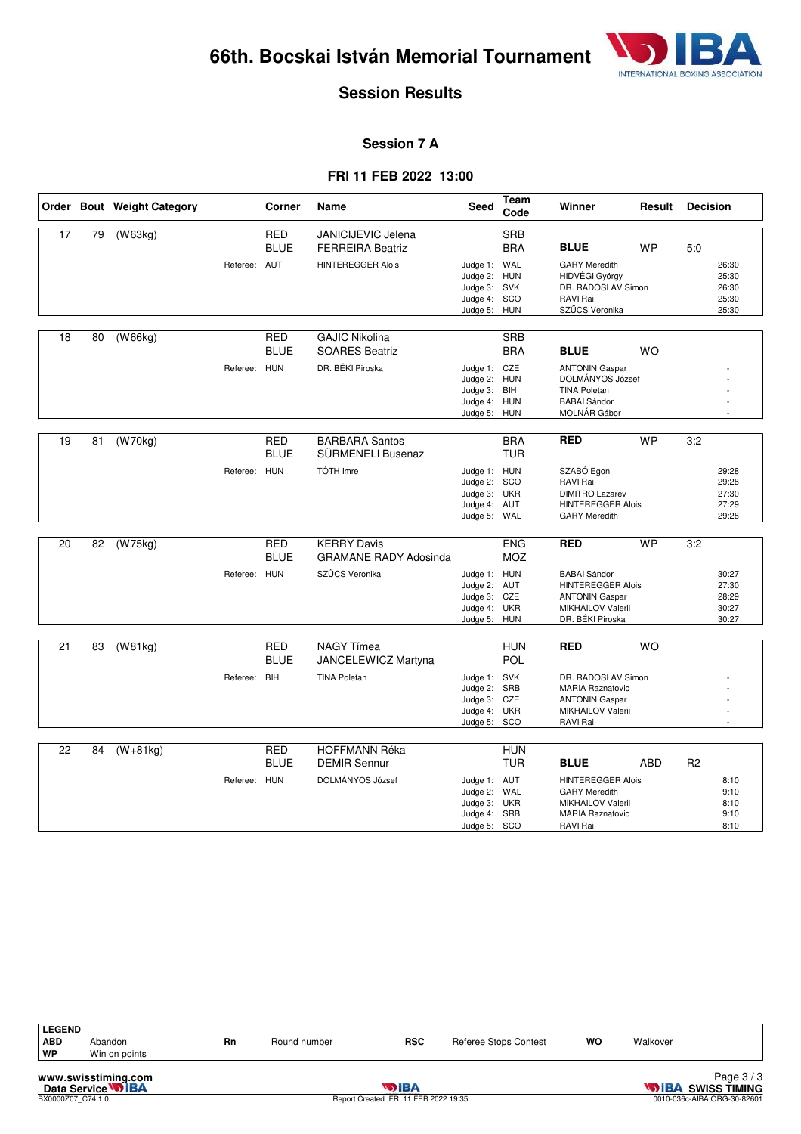

#### **Session 7 A**

#### **FRI 11 FEB 2022 13:00**

|    |    | Order Bout Weight Category |              | Corner                    | Name                                                 | <b>Seed</b>                                                                  | Team<br>Code             | Winner                                                                                                              | Result     | <b>Decision</b> |                                           |
|----|----|----------------------------|--------------|---------------------------|------------------------------------------------------|------------------------------------------------------------------------------|--------------------------|---------------------------------------------------------------------------------------------------------------------|------------|-----------------|-------------------------------------------|
| 17 | 79 | (W63kg)                    |              | <b>RED</b><br><b>BLUE</b> | <b>JANICIJEVIC Jelena</b><br><b>FERREIRA Beatriz</b> |                                                                              | <b>SRB</b><br><b>BRA</b> | <b>BLUE</b>                                                                                                         | <b>WP</b>  | 5:0             |                                           |
|    |    |                            | Referee: AUT |                           | <b>HINTEREGGER Alois</b>                             | Judge 1: WAL<br>Judge 2: HUN<br>Judge 3: SVK<br>Judge 4: SCO<br>Judge 5:     | <b>HUN</b>               | <b>GARY Meredith</b><br>HIDVÉGI György<br>DR. RADOSLAV Simon<br>RAVI Rai<br>SZŰCS Veronika                          |            |                 | 26:30<br>25:30<br>26:30<br>25:30<br>25:30 |
| 18 | 80 | (W66kg)                    |              | <b>RED</b><br><b>BLUE</b> | <b>GAJIC Nikolina</b><br><b>SOARES Beatriz</b>       |                                                                              | <b>SRB</b><br><b>BRA</b> | <b>BLUE</b>                                                                                                         | <b>WO</b>  |                 |                                           |
|    |    |                            | Referee: HUN |                           | DR. BÉKI Piroska                                     | Judge 1: CZE<br>Judge 2: HUN<br>Judge 3: BIH<br>Judge 4: HUN<br>Judge 5: HUN |                          | <b>ANTONIN Gaspar</b><br>DOLMÁNYOS József<br><b>TINA Poletan</b><br><b>BABAI</b> Sándor<br>MOLNÁR Gábor             |            |                 |                                           |
| 19 | 81 | (W70kg)                    |              | <b>RED</b><br><b>BLUE</b> | <b>BARBARA Santos</b><br>SÜRMENELI Busenaz           |                                                                              | <b>BRA</b><br><b>TUR</b> | <b>RED</b>                                                                                                          | <b>WP</b>  | 3:2             |                                           |
|    |    |                            | Referee: HUN |                           | <b>TÓTH Imre</b>                                     | Judge 1: HUN<br>Judge 2: SCO<br>Judge 3: UKR<br>Judge 4: AUT<br>Judge 5: WAL |                          | SZABÓ Egon<br>RAVI Rai<br><b>DIMITRO Lazarev</b><br><b>HINTEREGGER Alois</b><br><b>GARY Meredith</b>                |            |                 | 29:28<br>29:28<br>27:30<br>27:29<br>29:28 |
| 20 | 82 | (W75kg)                    |              | <b>RED</b><br><b>BLUE</b> | <b>KERRY Davis</b><br><b>GRAMANE RADY Adosinda</b>   |                                                                              | <b>ENG</b><br><b>MOZ</b> | <b>RED</b>                                                                                                          | <b>WP</b>  | 3:2             |                                           |
|    |    |                            | Referee: HUN |                           | SZŰCS Veronika                                       | Judge 1: HUN<br>Judge 2: AUT<br>Judge 3: CZE<br>Judge 4:<br>Judge 5: HUN     | <b>UKR</b>               | <b>BABAI Sándor</b><br><b>HINTEREGGER Alois</b><br><b>ANTONIN Gaspar</b><br>MIKHAILOV Valerii<br>DR. BÉKI Piroska   |            |                 | 30:27<br>27:30<br>28:29<br>30:27<br>30:27 |
| 21 | 83 | (W81kg)                    |              | RED<br><b>BLUE</b>        | <b>NAGY Tímea</b><br>JANCELEWICZ Martyna             |                                                                              | <b>HUN</b><br><b>POL</b> | <b>RED</b>                                                                                                          | WO         |                 |                                           |
|    |    |                            | Referee: BIH |                           | <b>TINA Poletan</b>                                  | Judge 1: SVK<br>Judge 2:<br>Judge 3: CZE<br>Judge 4:<br>Judge 5: SCO         | SRB<br><b>UKR</b>        | DR. RADOSLAV Simon<br><b>MARIA Raznatovic</b><br><b>ANTONIN Gaspar</b><br>MIKHAILOV Valerii<br>RAVI Rai             |            |                 |                                           |
| 22 | 84 | $(W+81kg)$                 |              | <b>RED</b><br><b>BLUE</b> | <b>HOFFMANN Réka</b><br><b>DEMIR Sennur</b>          |                                                                              | <b>HUN</b><br><b>TUR</b> | <b>BLUE</b>                                                                                                         | <b>ABD</b> | R <sub>2</sub>  |                                           |
|    |    |                            | Referee: HUN |                           | DOLMÁNYOS József                                     | Judge 1: AUT<br>Judge 2: WAL<br>Judge 3: UKR<br>Judge 4: SRB<br>Judge 5: SCO |                          | <b>HINTEREGGER Alois</b><br><b>GARY Meredith</b><br><b>MIKHAILOV Valerii</b><br><b>MARIA Raznatovic</b><br>RAVI Rai |            |                 | 8:10<br>9:10<br>8:10<br>9:10<br>8:10      |

| <b>LEGEND</b><br><b>ABD</b><br>WP | Abandon<br>Win on points | Rn | Round number | <b>RSC</b>                                          | <b>Referee Stops Contest</b> | <b>WO</b> | Walkover |                                                          |
|-----------------------------------|--------------------------|----|--------------|-----------------------------------------------------|------------------------------|-----------|----------|----------------------------------------------------------|
|                                   | www.swisstiming.com      |    |              |                                                     |                              |           |          | Page $3/3$                                               |
| BX0000Z07 C74 1.0                 | Data Service <b>WIBA</b> |    |              | <b>WIBA</b><br>Report Created FRI 11 FEB 2022 19:35 |                              |           |          | <b>STIBA SWISS TIMING</b><br>0010-036c-AIBA.ORG-30-82601 |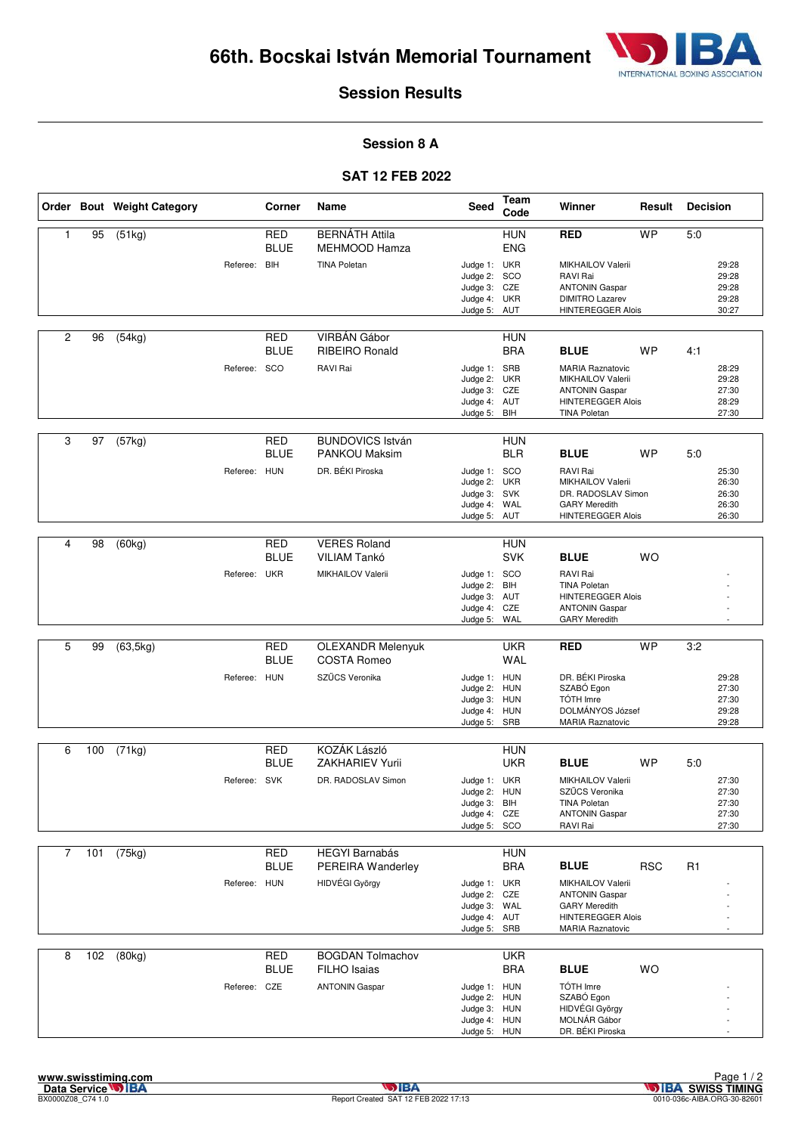

#### **Session 8 A**

### **SAT 12 FEB 2022**

|   |     | Order Bout Weight Category |              | Corner                    | Name                                            | Seed                                                                         | Team<br>Code             | Winner                                                                                                                   | Result     | <b>Decision</b> |                                           |
|---|-----|----------------------------|--------------|---------------------------|-------------------------------------------------|------------------------------------------------------------------------------|--------------------------|--------------------------------------------------------------------------------------------------------------------------|------------|-----------------|-------------------------------------------|
| 1 | 95  | (51kg)                     |              | <b>RED</b><br><b>BLUE</b> | <b>BERNÁTH Attila</b><br>MEHMOOD Hamza          |                                                                              | <b>HUN</b><br><b>ENG</b> | <b>RED</b>                                                                                                               | <b>WP</b>  | 5.0             |                                           |
|   |     |                            | Referee: BIH |                           | <b>TINA Poletan</b>                             | Judge 1: UKR<br>Judge 2: SCO<br>Judge 3: CZE                                 |                          | <b>MIKHAILOV Valerii</b><br>RAVI Rai<br><b>ANTONIN Gaspar</b>                                                            |            |                 | 29:28<br>29:28<br>29:28                   |
|   |     |                            |              |                           |                                                 | Judge 4: UKR<br>Judge 5:                                                     | AUT                      | <b>DIMITRO Lazarev</b><br><b>HINTEREGGER Alois</b>                                                                       |            |                 | 29:28<br>30:27                            |
| 2 | 96  | (54kg)                     |              | <b>RED</b><br><b>BLUE</b> | VIRBÁN Gábor<br><b>RIBEIRO Ronald</b>           |                                                                              | <b>HUN</b><br><b>BRA</b> | <b>BLUE</b>                                                                                                              | <b>WP</b>  | 4:1             |                                           |
|   |     |                            | Referee: SCO |                           | RAVI Rai                                        | Judge 1: SRB<br>Judge 2: UKR<br>Judge 3: CZE<br>Judge 4: AUT<br>Judge 5: BIH |                          | <b>MARIA Raznatovic</b><br>MIKHAILOV Valerii<br><b>ANTONIN Gaspar</b><br><b>HINTEREGGER Alois</b><br><b>TINA Poletan</b> |            |                 | 28:29<br>29:28<br>27:30<br>28:29<br>27:30 |
| 3 | 97  | (57kg)                     |              | RED<br><b>BLUE</b>        | <b>BUNDOVICS István</b><br><b>PANKOU Maksim</b> |                                                                              | <b>HUN</b><br><b>BLR</b> | <b>BLUE</b>                                                                                                              | <b>WP</b>  | 5:0             |                                           |
|   |     |                            | Referee: HUN |                           | DR. BÉKI Piroska                                | Judge 1: SCO<br>Judge 2: UKR<br>Judge 3: SVK<br>Judge 4: WAL<br>Judge 5: AUT |                          | RAVI Rai<br>MIKHAILOV Valerii<br>DR. RADOSLAV Simon<br><b>GARY Meredith</b><br><b>HINTEREGGER Alois</b>                  |            |                 | 25:30<br>26:30<br>26:30<br>26:30<br>26:30 |
| 4 | 98  | (60kg)                     |              | <b>RED</b><br><b>BLUE</b> | <b>VERES Roland</b><br>VILIAM Tankó             |                                                                              | <b>HUN</b><br><b>SVK</b> | <b>BLUE</b>                                                                                                              | <b>WO</b>  |                 |                                           |
|   |     |                            | Referee: UKR |                           | <b>MIKHAILOV Valerii</b>                        | Judge 1: SCO<br>Judge 2:<br>Judge 3: AUT<br>Judge 4: CZE<br>Judge 5: WAL     | BIH                      | RAVI Rai<br><b>TINA Poletan</b><br><b>HINTEREGGER Alois</b><br><b>ANTONIN Gaspar</b><br><b>GARY Meredith</b>             |            |                 |                                           |
|   |     |                            |              |                           |                                                 |                                                                              |                          |                                                                                                                          |            |                 |                                           |
| 5 | 99  | (63, 5kg)                  |              | <b>RED</b><br><b>BLUE</b> | <b>OLEXANDR Melenyuk</b><br><b>COSTA Romeo</b>  |                                                                              | <b>UKR</b><br><b>WAL</b> | <b>RED</b>                                                                                                               | <b>WP</b>  | 3:2             |                                           |
|   |     |                            | Referee: HUN |                           | SZŰCS Veronika                                  | Judge 1: HUN<br>Judge 2: HUN<br>Judge 3: HUN<br>Judge 4: HUN                 |                          | DR. BÉKI Piroska<br>SZABÓ Egon<br>TÓTH Imre<br>DOLMÁNYOS József                                                          |            |                 | 29:28<br>27:30<br>27:30<br>29:28          |
|   |     |                            |              |                           |                                                 | Judge 5: SRB                                                                 |                          | <b>MARIA Raznatovic</b>                                                                                                  |            |                 | 29:28                                     |
| 6 | 100 | (71kg)                     |              | RED                       | KOZÁK László                                    |                                                                              | <b>HUN</b>               |                                                                                                                          |            |                 |                                           |
|   |     |                            |              | <b>BLUE</b>               | <b>ZAKHARIEV Yurii</b>                          |                                                                              | <b>UKR</b>               | <b>BLUE</b>                                                                                                              | <b>WP</b>  | 5:0             |                                           |
|   |     |                            | Referee: SVK |                           | DR. RADOSLAV Simon                              | Judge 1: UKR<br>Judge 2: HUN                                                 |                          | MIKHAILOV Valerii<br>SZŰCS Veronika                                                                                      |            |                 | 27:30<br>27:30                            |
|   |     |                            |              |                           |                                                 | Judge 3: BIH<br>Judge 4: CZE<br>Judge 5: SCO                                 |                          | <b>TINA Poletan</b><br><b>ANTONIN Gaspar</b><br>RAVI Rai                                                                 |            |                 | 27:30<br>27:30<br>27:30                   |
|   |     |                            |              |                           |                                                 |                                                                              |                          |                                                                                                                          |            |                 |                                           |
| 7 | 101 | (75kg)                     |              | <b>RED</b><br><b>BLUE</b> | <b>HEGYI Barnabás</b><br>PEREIRA Wanderley      |                                                                              | <b>HUN</b><br><b>BRA</b> | <b>BLUE</b>                                                                                                              | <b>RSC</b> | R <sub>1</sub>  |                                           |
|   |     |                            | Referee: HUN |                           | HIDVÉGI György                                  | Judge 1: UKR                                                                 |                          | MIKHAILOV Valerii                                                                                                        |            |                 |                                           |
|   |     |                            |              |                           |                                                 | Judge 2: CZE<br>Judge 3: WAL                                                 |                          | <b>ANTONIN Gaspar</b><br><b>GARY Meredith</b>                                                                            |            |                 |                                           |
|   |     |                            |              |                           |                                                 | Judge 4: AUT<br>Judge 5: SRB                                                 |                          | <b>HINTEREGGER Alois</b><br><b>MARIA Raznatovic</b>                                                                      |            |                 |                                           |
| 8 | 102 | (80kg)                     |              | <b>RED</b>                | <b>BOGDAN Tolmachov</b>                         |                                                                              | <b>UKR</b>               |                                                                                                                          |            |                 |                                           |
|   |     |                            | Referee: CZE | <b>BLUE</b>               | <b>FILHO</b> Isaias<br><b>ANTONIN Gaspar</b>    | Judge 1: HUN                                                                 | <b>BRA</b>               | <b>BLUE</b><br>TÓTH Imre                                                                                                 | <b>WO</b>  |                 |                                           |
|   |     |                            |              |                           |                                                 | Judge 2: HUN                                                                 |                          | SZABÓ Egon                                                                                                               |            |                 |                                           |
|   |     |                            |              |                           |                                                 | Judge 3: HUN<br>Judge 4: HUN                                                 |                          | HIDVÉGI György<br>MOLNÁR Gábor                                                                                           |            |                 |                                           |
|   |     |                            |              |                           |                                                 | Judge 5: HUN                                                                 |                          | DR. BÉKI Piroska                                                                                                         |            |                 |                                           |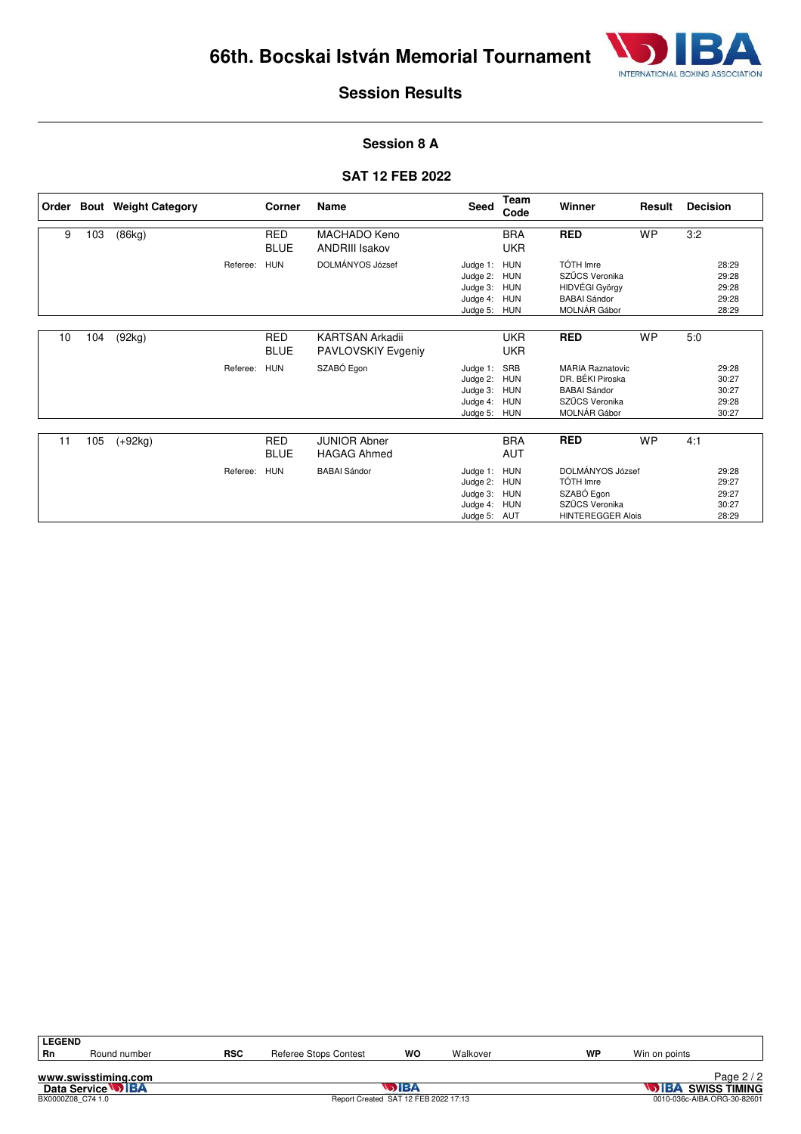

#### **Session 8 A**

#### **SAT 12 FEB 2022**

|    |     | Order Bout Weight Category |          | Corner                    | Name                                         | Seed                                                             | <b>Team</b><br>Code                                         | Winner                                                                                               | Result    | <b>Decision</b>                           |
|----|-----|----------------------------|----------|---------------------------|----------------------------------------------|------------------------------------------------------------------|-------------------------------------------------------------|------------------------------------------------------------------------------------------------------|-----------|-------------------------------------------|
| 9  | 103 | (86kg)                     |          | <b>RED</b><br><b>BLUE</b> | MACHADO Keno<br><b>ANDRIII Isakov</b>        |                                                                  | <b>BRA</b><br><b>UKR</b>                                    | <b>RED</b>                                                                                           | <b>WP</b> | 3:2                                       |
|    |     |                            | Referee: | <b>HUN</b>                | DOLMÁNYOS József                             | Judge 1:<br>Judge 2:<br>Judge 3: HUN<br>Judge 4:<br>Judge 5: HUN | <b>HUN</b><br><b>HUN</b><br><b>HUN</b>                      | TÓTH Imre<br>SZŰCS Veronika<br>HIDVÉGI György<br><b>BABAI Sándor</b><br>MOLNÁR Gábor                 |           | 28:29<br>29:28<br>29:28<br>29:28<br>28:29 |
| 10 | 104 | (92kg)                     |          | <b>RED</b><br><b>BLUE</b> | <b>KARTSAN Arkadii</b><br>PAVLOVSKIY Evgeniy |                                                                  | <b>UKR</b><br><b>UKR</b>                                    | <b>RED</b>                                                                                           | <b>WP</b> | 5:0                                       |
|    |     |                            | Referee: | <b>HUN</b>                | SZABÓ Egon                                   | Judge 1:<br>Judge 2:<br>Judge 3:<br>Judge 4:<br>Judge 5:         | SRB<br><b>HUN</b><br><b>HUN</b><br><b>HUN</b><br><b>HUN</b> | <b>MARIA Raznatovic</b><br>DR. BÉKI Piroska<br><b>BABAI Sándor</b><br>SZŰCS Veronika<br>MOLNÁR Gábor |           | 29:28<br>30:27<br>30:27<br>29:28<br>30:27 |
| 11 | 105 | $(+92kg)$                  |          | <b>RED</b><br><b>BLUE</b> | <b>JUNIOR Abner</b><br><b>HAGAG Ahmed</b>    |                                                                  | <b>BRA</b><br><b>AUT</b>                                    | <b>RED</b>                                                                                           | <b>WP</b> | 4:1                                       |
|    |     |                            | Referee: | <b>HUN</b>                | <b>BABAI Sándor</b>                          | Judge 1:<br>Judge 2:<br>Judge 3:<br>Judge 4:<br>Judge 5: AUT     | <b>HUN</b><br><b>HUN</b><br><b>HUN</b><br><b>HUN</b>        | DOLMÁNYOS József<br>TÓTH Imre<br>SZABÓ Egon<br>SZŰCS Veronika<br><b>HINTEREGGER Alois</b>            |           | 29:28<br>29:27<br>29:27<br>30:27<br>28:29 |

**www.swisstiming.com**<br>Data Service **DIBA**<br>BX0000208\_C74 1.0 **Data Service <b>SWISS TIMING**<br>BX0000Z08\_C74 1.0 **Report Created SAT 12 FEB 2022 17:13** 0010-036c-AIBA.ORG-30-82601 **LEGEND**<br>Rn **Rn** Round number **RSC** Referee Stops Contest **WO** Walkover **WP** Win on points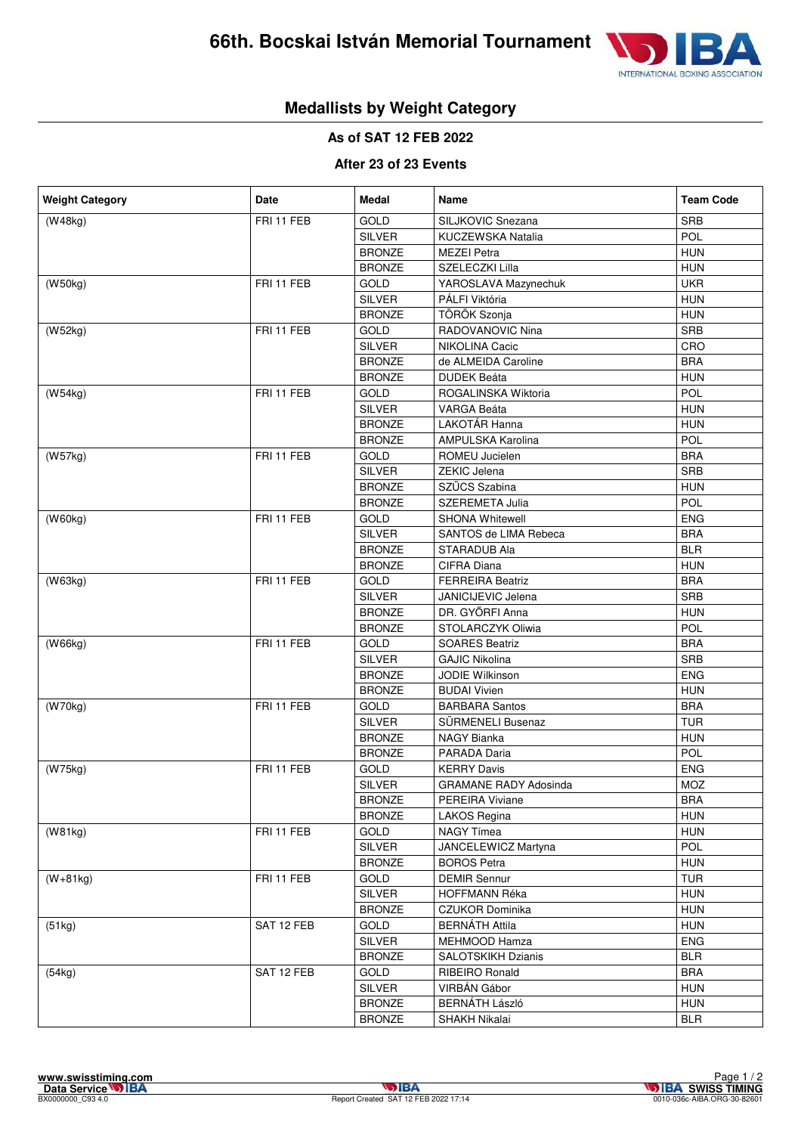

# **Medallists by Weight Category**

**As of SAT 12 FEB 2022**

#### **After 23 of 23 Events**

| (W48kg)<br>FRI 11 FEB<br>SILJKOVIC Snezana<br><b>SRB</b><br>GOLD<br>POL<br><b>SILVER</b><br>KUCZEWSKA Natalia<br><b>HUN</b><br><b>BRONZE</b><br><b>MEZEI Petra</b><br><b>HUN</b><br><b>BRONZE</b><br>SZELECZKI Lilla<br><b>UKR</b><br>FRI 11 FEB<br>(W50kg)<br>GOLD<br>YAROSLAVA Mazynechuk<br><b>HUN</b><br><b>SILVER</b><br>PÁLFI Viktória<br>TÖRÖK Szonja<br><b>HUN</b><br><b>BRONZE</b><br>SRB<br>(W52kg)<br>FRI 11 FEB<br><b>GOLD</b><br><b>RADOVANOVIC Nina</b><br>CRO<br><b>SILVER</b><br>NIKOLINA Cacic<br><b>BRONZE</b><br><b>BRA</b><br>de ALMEIDA Caroline<br><b>HUN</b><br><b>BRONZE</b><br><b>DUDEK Beáta</b><br>POL<br>FRI 11 FEB<br>(W54kg)<br><b>GOLD</b><br>ROGALINSKA Wiktoria |  |  |  |  |
|--------------------------------------------------------------------------------------------------------------------------------------------------------------------------------------------------------------------------------------------------------------------------------------------------------------------------------------------------------------------------------------------------------------------------------------------------------------------------------------------------------------------------------------------------------------------------------------------------------------------------------------------------------------------------------------------------|--|--|--|--|
|                                                                                                                                                                                                                                                                                                                                                                                                                                                                                                                                                                                                                                                                                                  |  |  |  |  |
|                                                                                                                                                                                                                                                                                                                                                                                                                                                                                                                                                                                                                                                                                                  |  |  |  |  |
|                                                                                                                                                                                                                                                                                                                                                                                                                                                                                                                                                                                                                                                                                                  |  |  |  |  |
|                                                                                                                                                                                                                                                                                                                                                                                                                                                                                                                                                                                                                                                                                                  |  |  |  |  |
|                                                                                                                                                                                                                                                                                                                                                                                                                                                                                                                                                                                                                                                                                                  |  |  |  |  |
|                                                                                                                                                                                                                                                                                                                                                                                                                                                                                                                                                                                                                                                                                                  |  |  |  |  |
|                                                                                                                                                                                                                                                                                                                                                                                                                                                                                                                                                                                                                                                                                                  |  |  |  |  |
|                                                                                                                                                                                                                                                                                                                                                                                                                                                                                                                                                                                                                                                                                                  |  |  |  |  |
|                                                                                                                                                                                                                                                                                                                                                                                                                                                                                                                                                                                                                                                                                                  |  |  |  |  |
|                                                                                                                                                                                                                                                                                                                                                                                                                                                                                                                                                                                                                                                                                                  |  |  |  |  |
|                                                                                                                                                                                                                                                                                                                                                                                                                                                                                                                                                                                                                                                                                                  |  |  |  |  |
|                                                                                                                                                                                                                                                                                                                                                                                                                                                                                                                                                                                                                                                                                                  |  |  |  |  |
| <b>HUN</b><br><b>SILVER</b><br>VARGA Beáta                                                                                                                                                                                                                                                                                                                                                                                                                                                                                                                                                                                                                                                       |  |  |  |  |
| LAKOTÁR Hanna<br><b>HUN</b><br><b>BRONZE</b>                                                                                                                                                                                                                                                                                                                                                                                                                                                                                                                                                                                                                                                     |  |  |  |  |
| POL<br><b>BRONZE</b><br>AMPULSKA Karolina                                                                                                                                                                                                                                                                                                                                                                                                                                                                                                                                                                                                                                                        |  |  |  |  |
| <b>BRA</b><br>(W57kg)<br>FRI 11 FEB<br>GOLD<br>ROMEU Jucielen                                                                                                                                                                                                                                                                                                                                                                                                                                                                                                                                                                                                                                    |  |  |  |  |
| <b>SRB</b><br><b>SILVER</b><br><b>ZEKIC Jelena</b>                                                                                                                                                                                                                                                                                                                                                                                                                                                                                                                                                                                                                                               |  |  |  |  |
| SZŰCS Szabina<br><b>HUN</b><br><b>BRONZE</b>                                                                                                                                                                                                                                                                                                                                                                                                                                                                                                                                                                                                                                                     |  |  |  |  |
| POL<br><b>BRONZE</b><br>SZEREMETA Julia                                                                                                                                                                                                                                                                                                                                                                                                                                                                                                                                                                                                                                                          |  |  |  |  |
| FRI 11 FEB<br><b>ENG</b><br><b>GOLD</b><br><b>SHONA Whitewell</b><br>(W60kg)                                                                                                                                                                                                                                                                                                                                                                                                                                                                                                                                                                                                                     |  |  |  |  |
| <b>SILVER</b><br>SANTOS de LIMA Rebeca<br><b>BRA</b>                                                                                                                                                                                                                                                                                                                                                                                                                                                                                                                                                                                                                                             |  |  |  |  |
| <b>BLR</b><br><b>BRONZE</b><br>STARADUB Ala                                                                                                                                                                                                                                                                                                                                                                                                                                                                                                                                                                                                                                                      |  |  |  |  |
| <b>HUN</b><br><b>BRONZE</b><br>CIFRA Diana                                                                                                                                                                                                                                                                                                                                                                                                                                                                                                                                                                                                                                                       |  |  |  |  |
| FRI 11 FEB<br><b>BRA</b><br>(W63kg)<br><b>GOLD</b><br><b>FERREIRA Beatriz</b>                                                                                                                                                                                                                                                                                                                                                                                                                                                                                                                                                                                                                    |  |  |  |  |
| <b>SRB</b><br><b>SILVER</b><br>JANICIJEVIC Jelena                                                                                                                                                                                                                                                                                                                                                                                                                                                                                                                                                                                                                                                |  |  |  |  |
| DR. GYŐRFI Anna<br><b>HUN</b><br><b>BRONZE</b>                                                                                                                                                                                                                                                                                                                                                                                                                                                                                                                                                                                                                                                   |  |  |  |  |
| POL<br><b>BRONZE</b><br>STOLARCZYK Oliwia                                                                                                                                                                                                                                                                                                                                                                                                                                                                                                                                                                                                                                                        |  |  |  |  |
| <b>BRA</b><br>FRI 11 FEB<br><b>GOLD</b><br><b>SOARES Beatriz</b><br>(W66kg)                                                                                                                                                                                                                                                                                                                                                                                                                                                                                                                                                                                                                      |  |  |  |  |
| <b>SRB</b><br><b>SILVER</b><br><b>GAJIC Nikolina</b>                                                                                                                                                                                                                                                                                                                                                                                                                                                                                                                                                                                                                                             |  |  |  |  |
| <b>ENG</b><br><b>BRONZE</b><br>JODIE Wilkinson                                                                                                                                                                                                                                                                                                                                                                                                                                                                                                                                                                                                                                                   |  |  |  |  |
| <b>HUN</b><br><b>BRONZE</b><br><b>BUDAI Vivien</b>                                                                                                                                                                                                                                                                                                                                                                                                                                                                                                                                                                                                                                               |  |  |  |  |
| <b>BRA</b><br>FRI 11 FEB<br>GOLD<br>(W70kg)<br><b>BARBARA Santos</b>                                                                                                                                                                                                                                                                                                                                                                                                                                                                                                                                                                                                                             |  |  |  |  |
| <b>TUR</b><br><b>SILVER</b><br><b>SURMENELI Busenaz</b>                                                                                                                                                                                                                                                                                                                                                                                                                                                                                                                                                                                                                                          |  |  |  |  |
| <b>HUN</b><br><b>BRONZE</b><br>NAGY Bianka                                                                                                                                                                                                                                                                                                                                                                                                                                                                                                                                                                                                                                                       |  |  |  |  |
| POL<br><b>BRONZE</b><br>PARADA Daria                                                                                                                                                                                                                                                                                                                                                                                                                                                                                                                                                                                                                                                             |  |  |  |  |
| (W75kg)<br>FRI 11 FEB<br><b>ENG</b><br><b>GOLD</b><br><b>KERRY Davis</b>                                                                                                                                                                                                                                                                                                                                                                                                                                                                                                                                                                                                                         |  |  |  |  |
| <b>MOZ</b><br><b>SILVER</b><br><b>GRAMANE RADY Adosinda</b>                                                                                                                                                                                                                                                                                                                                                                                                                                                                                                                                                                                                                                      |  |  |  |  |
| <b>BRONZE</b><br>PEREIRA Viviane<br><b>BRA</b>                                                                                                                                                                                                                                                                                                                                                                                                                                                                                                                                                                                                                                                   |  |  |  |  |
| <b>HUN</b><br><b>BRONZE</b><br>LAKOS Regina                                                                                                                                                                                                                                                                                                                                                                                                                                                                                                                                                                                                                                                      |  |  |  |  |
| <b>HUN</b><br>(W81kg)<br>FRI 11 FEB<br>GOLD<br>NAGY Tímea                                                                                                                                                                                                                                                                                                                                                                                                                                                                                                                                                                                                                                        |  |  |  |  |
| POL<br><b>SILVER</b><br>JANCELEWICZ Martyna                                                                                                                                                                                                                                                                                                                                                                                                                                                                                                                                                                                                                                                      |  |  |  |  |
| <b>HUN</b><br><b>BRONZE</b><br><b>BOROS Petra</b>                                                                                                                                                                                                                                                                                                                                                                                                                                                                                                                                                                                                                                                |  |  |  |  |
| <b>TUR</b><br>FRI 11 FEB<br>GOLD<br><b>DEMIR Sennur</b><br>$(W+81kg)$                                                                                                                                                                                                                                                                                                                                                                                                                                                                                                                                                                                                                            |  |  |  |  |
| SILVER<br><b>HUN</b><br><b>HOFFMANN Réka</b>                                                                                                                                                                                                                                                                                                                                                                                                                                                                                                                                                                                                                                                     |  |  |  |  |
| <b>BRONZE</b><br><b>CZUKOR Dominika</b><br><b>HUN</b>                                                                                                                                                                                                                                                                                                                                                                                                                                                                                                                                                                                                                                            |  |  |  |  |
| SAT 12 FEB<br><b>BERNÁTH Attila</b><br><b>HUN</b><br><b>GOLD</b><br>(51kg)                                                                                                                                                                                                                                                                                                                                                                                                                                                                                                                                                                                                                       |  |  |  |  |
| <b>ENG</b><br><b>SILVER</b><br>MEHMOOD Hamza                                                                                                                                                                                                                                                                                                                                                                                                                                                                                                                                                                                                                                                     |  |  |  |  |
| <b>BRONZE</b><br>SALOTSKIKH Dzianis<br><b>BLR</b>                                                                                                                                                                                                                                                                                                                                                                                                                                                                                                                                                                                                                                                |  |  |  |  |
| SAT 12 FEB<br><b>BRA</b><br>(54kg)<br><b>GOLD</b><br><b>RIBEIRO Ronald</b>                                                                                                                                                                                                                                                                                                                                                                                                                                                                                                                                                                                                                       |  |  |  |  |
| <b>SILVER</b><br>VIRBÁN Gábor<br><b>HUN</b>                                                                                                                                                                                                                                                                                                                                                                                                                                                                                                                                                                                                                                                      |  |  |  |  |
| <b>HUN</b><br><b>BRONZE</b><br><b>BERNÁTH László</b>                                                                                                                                                                                                                                                                                                                                                                                                                                                                                                                                                                                                                                             |  |  |  |  |
| <b>BRONZE</b><br>SHAKH Nikalai<br><b>BLR</b>                                                                                                                                                                                                                                                                                                                                                                                                                                                                                                                                                                                                                                                     |  |  |  |  |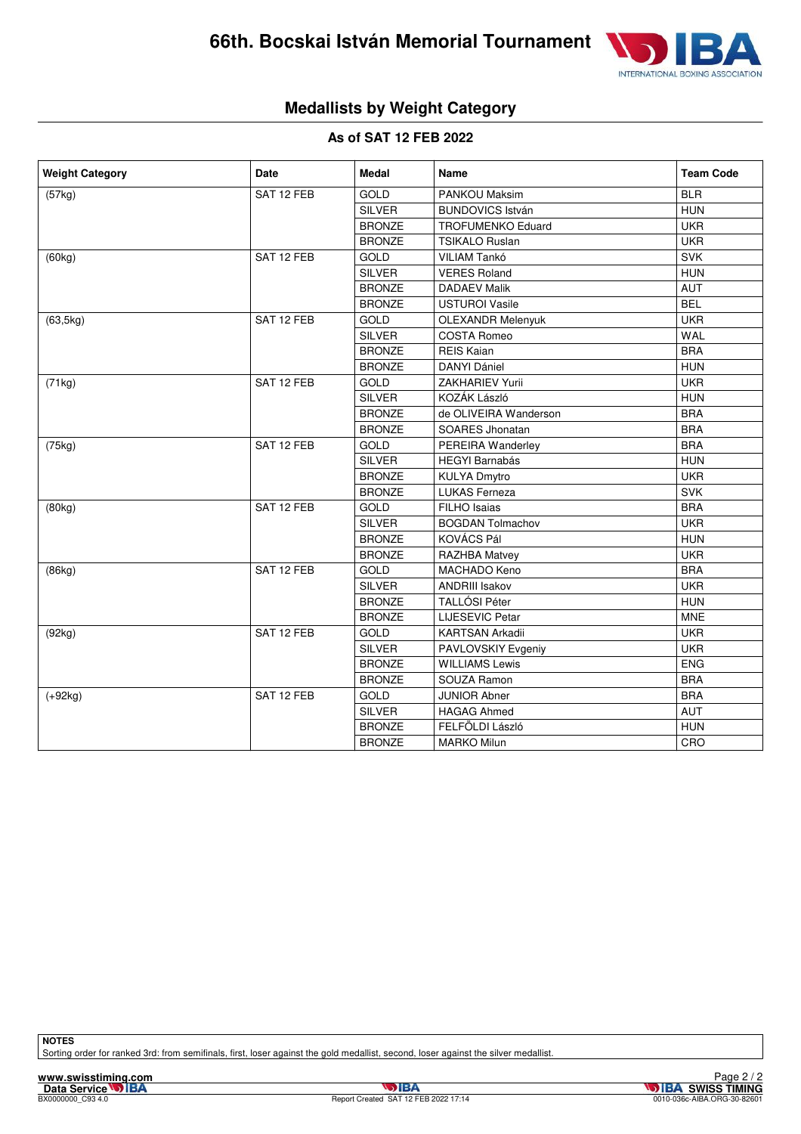

# **Medallists by Weight Category**

#### **As of SAT 12 FEB 2022**

| <b>Weight Category</b> | <b>Date</b> | <b>Medal</b>  | Name                     | <b>Team Code</b> |
|------------------------|-------------|---------------|--------------------------|------------------|
| (57kg)                 | SAT 12 FEB  | GOLD          | <b>PANKOU Maksim</b>     | <b>BLR</b>       |
|                        |             | <b>SILVER</b> | <b>BUNDOVICS István</b>  | <b>HUN</b>       |
|                        |             | <b>BRONZE</b> | <b>TROFUMENKO Eduard</b> | <b>UKR</b>       |
|                        |             | <b>BRONZE</b> | <b>TSIKALO Ruslan</b>    | <b>UKR</b>       |
| (60kg)                 | SAT 12 FEB  | <b>GOLD</b>   | <b>VILIAM Tankó</b>      | <b>SVK</b>       |
|                        |             | <b>SILVER</b> | <b>VERES Roland</b>      | <b>HUN</b>       |
|                        |             | <b>BRONZE</b> | <b>DADAEV Malik</b>      | <b>AUT</b>       |
|                        |             | <b>BRONZE</b> | <b>USTUROI Vasile</b>    | <b>BEL</b>       |
| (63, 5kg)              | SAT 12 FEB  | <b>GOLD</b>   | <b>OLEXANDR Melenyuk</b> | <b>UKR</b>       |
|                        |             | <b>SILVER</b> | <b>COSTA Romeo</b>       | <b>WAL</b>       |
|                        |             | <b>BRONZE</b> | <b>REIS Kaian</b>        | <b>BRA</b>       |
|                        |             | <b>BRONZE</b> | <b>DANYI Dániel</b>      | <b>HUN</b>       |
| (71kg)                 | SAT 12 FEB  | GOLD          | <b>ZAKHARIEV Yurii</b>   | <b>UKR</b>       |
|                        |             | <b>SILVER</b> | KOZÁK László             | <b>HUN</b>       |
|                        |             | <b>BRONZE</b> | de OLIVEIRA Wanderson    | <b>BRA</b>       |
|                        |             | <b>BRONZE</b> | <b>SOARES Jhonatan</b>   | <b>BRA</b>       |
| (75kg)                 | SAT 12 FEB  | GOLD          | PEREIRA Wanderley        | <b>BRA</b>       |
|                        |             | <b>SILVER</b> | <b>HEGYI Barnabás</b>    | <b>HUN</b>       |
|                        |             | <b>BRONZE</b> | <b>KULYA Dmytro</b>      | <b>UKR</b>       |
|                        |             | <b>BRONZE</b> | <b>LUKAS Ferneza</b>     | <b>SVK</b>       |
| (80kg)                 | SAT 12 FEB  | GOLD          | <b>FILHO</b> Isaias      | <b>BRA</b>       |
|                        |             | <b>SILVER</b> | <b>BOGDAN Tolmachov</b>  | <b>UKR</b>       |
|                        |             | <b>BRONZE</b> | KOVÁCS Pál               | <b>HUN</b>       |
|                        |             | <b>BRONZE</b> | RAZHBA Matvey            | <b>UKR</b>       |
| (86kg)                 | SAT 12 FEB  | GOLD          | <b>MACHADO Keno</b>      | <b>BRA</b>       |
|                        |             | <b>SILVER</b> | <b>ANDRIII Isakov</b>    | <b>UKR</b>       |
|                        |             | <b>BRONZE</b> | TALLÓSI Péter            | <b>HUN</b>       |
|                        |             | <b>BRONZE</b> | <b>LIJESEVIC Petar</b>   | <b>MNE</b>       |
| (92kg)                 | SAT 12 FEB  | GOLD          | <b>KARTSAN Arkadii</b>   | <b>UKR</b>       |
|                        |             | <b>SILVER</b> | PAVLOVSKIY Evgeniy       | <b>UKR</b>       |
|                        |             | <b>BRONZE</b> | <b>WILLIAMS Lewis</b>    | <b>ENG</b>       |
|                        |             | <b>BRONZE</b> | SOUZA Ramon              | <b>BRA</b>       |
| $(+92kg)$              | SAT 12 FEB  | GOLD          | <b>JUNIOR Abner</b>      | <b>BRA</b>       |
|                        |             | SILVER        | <b>HAGAG Ahmed</b>       | <b>AUT</b>       |
|                        |             | <b>BRONZE</b> | FELFÖLDI László          | <b>HUN</b>       |
|                        |             | <b>BRONZE</b> | <b>MARKO Milun</b>       | CRO              |

**NOTES**

Sorting order for ranked 3rd: from semifinals, first, loser against the gold medallist, second, loser against the silver medallist.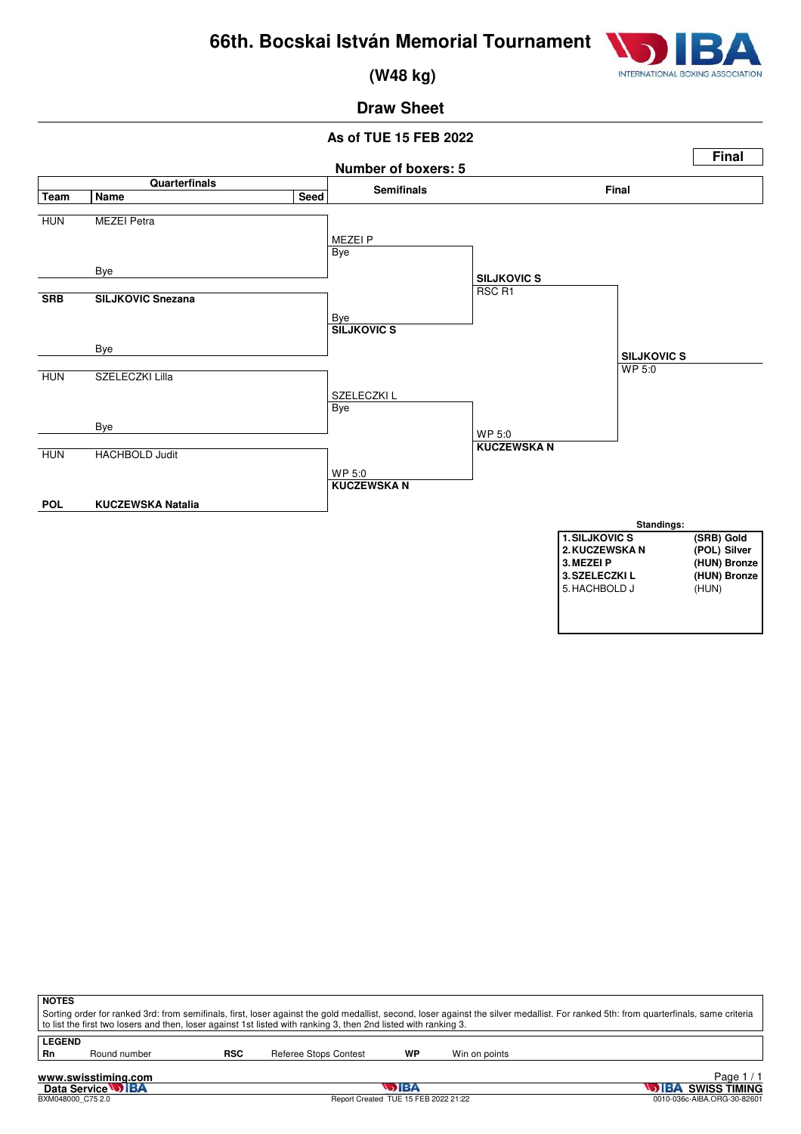

 **(W48 kg)**

# **Draw Sheet**

### **As of TUE 15 FEB 2022**



| <b>NOTES</b><br>Sorting order for ranked 3rd: from semifinals, first, loser against the gold medallist, second, loser against the silver medallist. For ranked 5th: from quarterfinals, same criteria<br>to list the first two losers and then, loser against 1st listed with ranking 3, then 2nd listed with ranking 3. |                             |            |                       |    |               |  |  |  |  |
|--------------------------------------------------------------------------------------------------------------------------------------------------------------------------------------------------------------------------------------------------------------------------------------------------------------------------|-----------------------------|------------|-----------------------|----|---------------|--|--|--|--|
| <b>LEGEND</b><br>Rn                                                                                                                                                                                                                                                                                                      | Round number                | <b>RSC</b> | Referee Stops Contest | WP | Win on points |  |  |  |  |
|                                                                                                                                                                                                                                                                                                                          | Page<br>www.swisstiming.com |            |                       |    |               |  |  |  |  |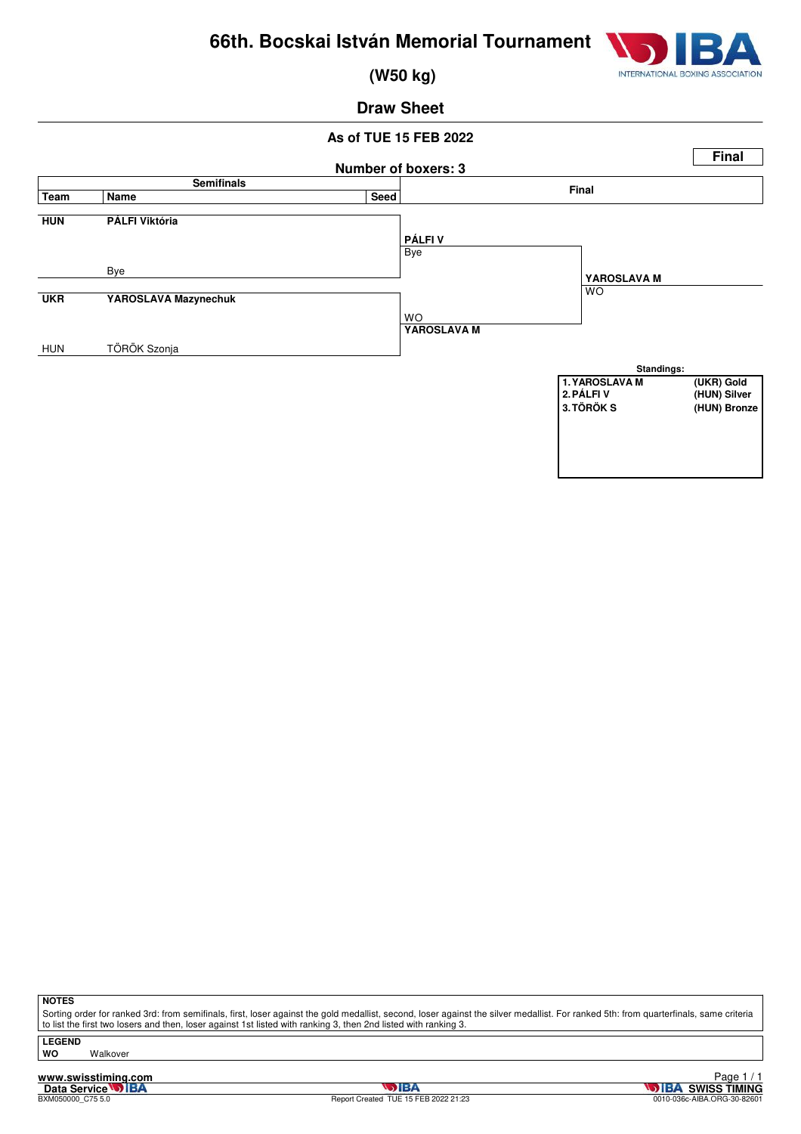

 **(W50 kg)**

### **Draw Sheet**

### **As of TUE 15 FEB 2022 Number of boxers: 3 Final Semifinals Final Team Name Seed HUN PÁLFI Viktória** Bye Bye **UKR YAROSLAVA Mazynechuk** WO HUN TÖRÖK Szonja **PÁLFI V** WO **YAROSLAVA M YAROSLAVA M Standings: 1. YAROSLAVA M** (UKR) Gold<br> **2. PÁLFI V** (HUN) Silver **2. PÁLFI V** (HUN) Silver<br> **2. TÖRÖK S** (HUN) Bronz **3.TÖRÖK S (HUN) Bronze**

**NOTES**

Sorting order for ranked 3rd: from semifinals, first, loser against the gold medallist, second, loser against the silver medallist. For ranked 5th: from quarterfinals, same criteria to list the first two losers and then, loser against 1st listed with ranking 3, then 2nd listed with ranking 3.

**LEGEND**

**WO** Walkover

**www.swisstiming.com**<br>Data Service **DIBA**<br>BXM050000\_C75 5.0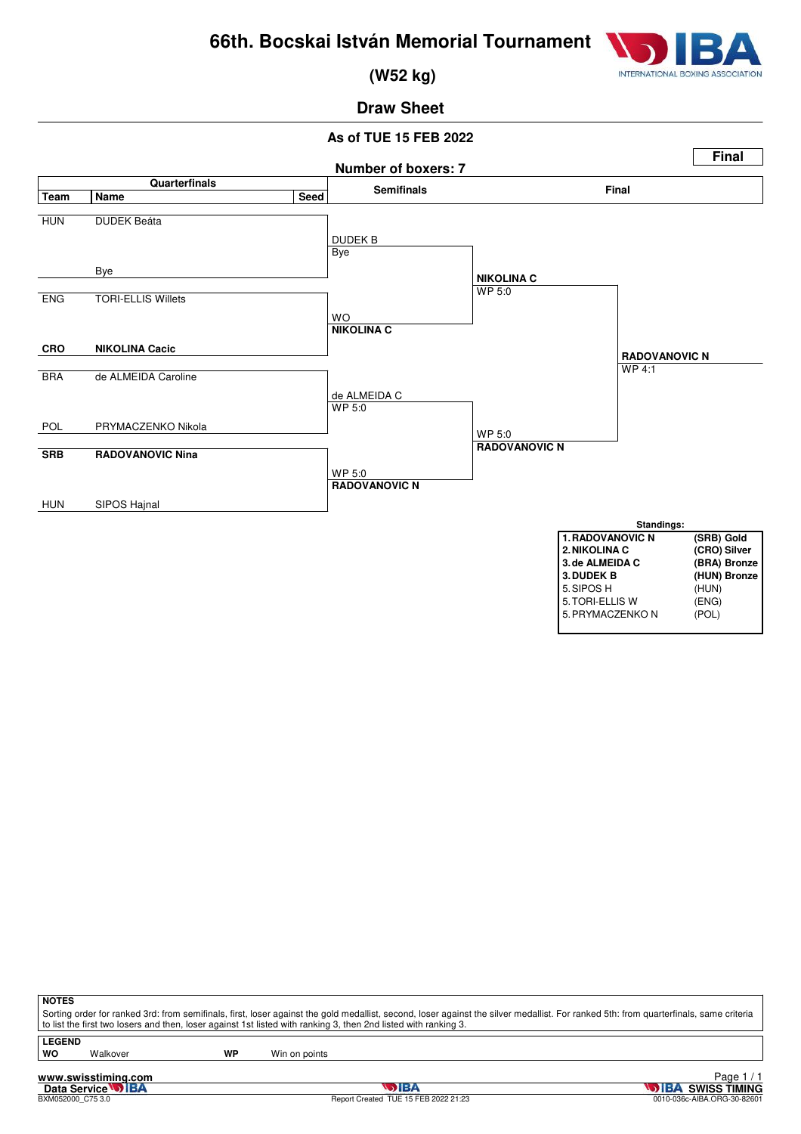

 **(W52 kg)**

# **Draw Sheet**

#### **As of TUE 15 FEB 2022**



| 5. SIPOS H       | (HUN) |
|------------------|-------|
| 5. TORI-ELLIS W  | (ENG) |
| 5. PRYMACZENKO N | (POL) |
|                  |       |

| Π.<br>×<br>۰, |  |
|---------------|--|
|               |  |

Sorting order for ranked 3rd: from semifinals, first, loser against the gold medallist, second, loser against the silver medallist. For ranked 5th: from quarterfinals, same criteria to list the first two losers and then, loser against 1st listed with ranking 3, then 2nd listed with ranking 3.

**LEGEND**

Walkover **WP** Win on points

**www.swisstiming.com**<br>Data Service **DIBA**<br>BXM052000\_C75 3.0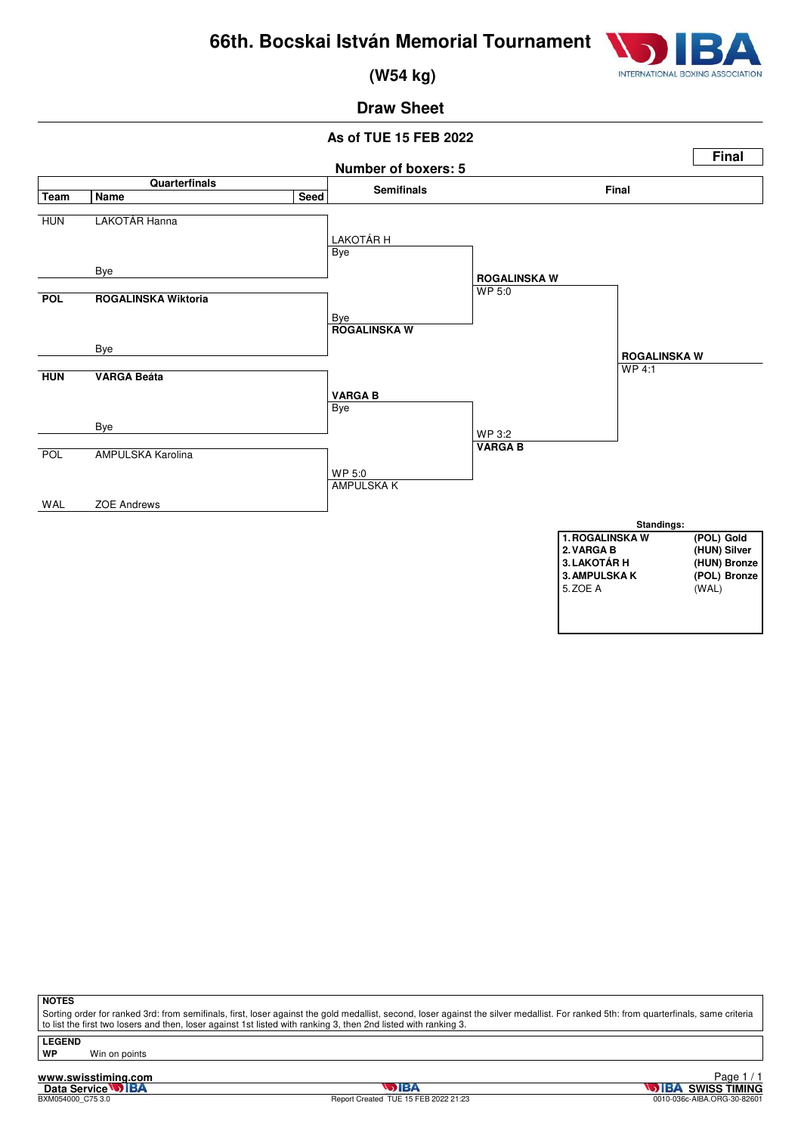

 **(W54 kg)**

# **Draw Sheet**

### **As of TUE 15 FEB 2022**



**NOTES**

Sorting order for ranked 3rd: from semifinals, first, loser against the gold medallist, second, loser against the silver medallist. For ranked 5th: from quarterfinals, same criteria to list the first two losers and then, loser against 1st listed with ranking 3, then 2nd listed with ranking 3.

**LEGEND**

**WP** Win on points

**www.swisstiming.com**<br>Data Service **DIBA**<br>BXM054000\_C75 3.0

**DIBA**<br>TUE 15 FEB 2022 21:23 0010-036c-AIBA.ORG-30-82601 Page 1 / 1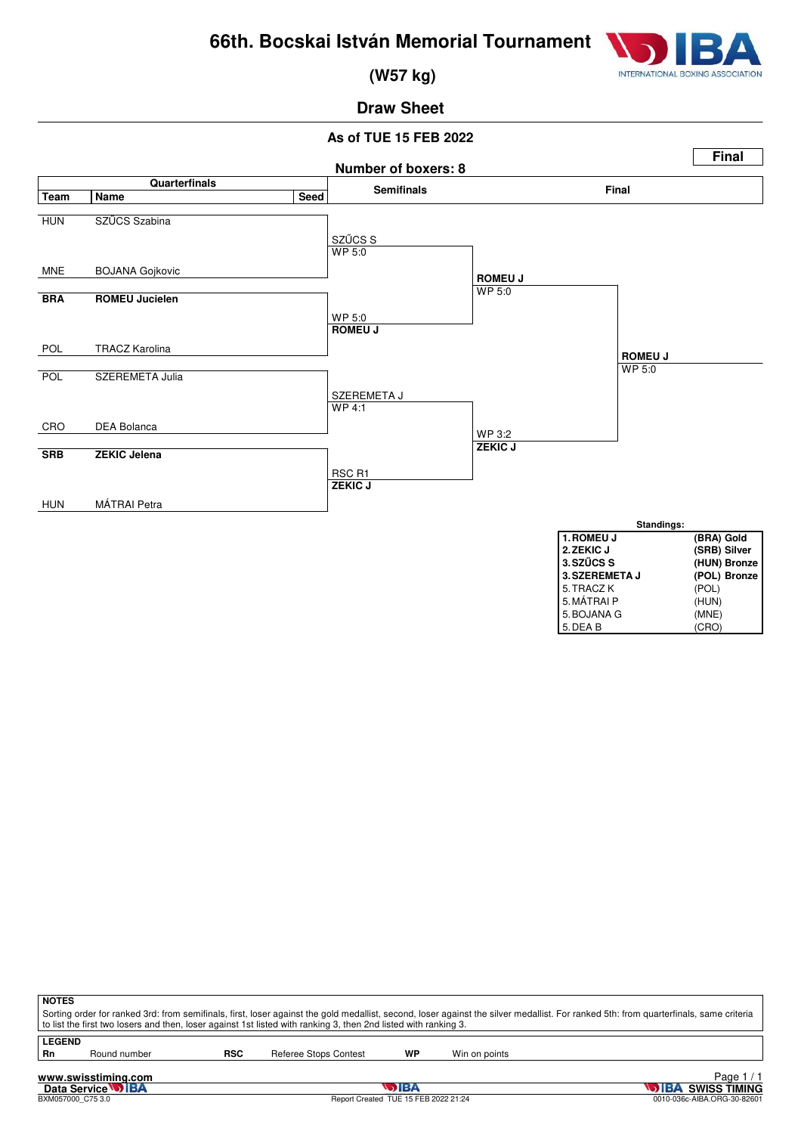

 **(W57 kg)**

# **Draw Sheet**

### **As of TUE 15 FEB 2022**



| <b>NOTES</b>                                                                                                                                                                          |                                                                                                                 |  |  |  |  |  |  |  |  |  |  |
|---------------------------------------------------------------------------------------------------------------------------------------------------------------------------------------|-----------------------------------------------------------------------------------------------------------------|--|--|--|--|--|--|--|--|--|--|
| Sorting order for ranked 3rd: from semifinals, first, loser against the gold medallist, second, loser against the silver medallist. For ranked 5th: from quarterfinals, same criteria |                                                                                                                 |  |  |  |  |  |  |  |  |  |  |
|                                                                                                                                                                                       | to list the first two losers and then, loser against 1st listed with ranking 3, then 2nd listed with ranking 3. |  |  |  |  |  |  |  |  |  |  |
| <b>LEGEND</b>                                                                                                                                                                         |                                                                                                                 |  |  |  |  |  |  |  |  |  |  |
| Rn                                                                                                                                                                                    | WP<br><b>RSC</b><br>Referee Stops Contest<br>Win on points<br>Round number                                      |  |  |  |  |  |  |  |  |  |  |
|                                                                                                                                                                                       |                                                                                                                 |  |  |  |  |  |  |  |  |  |  |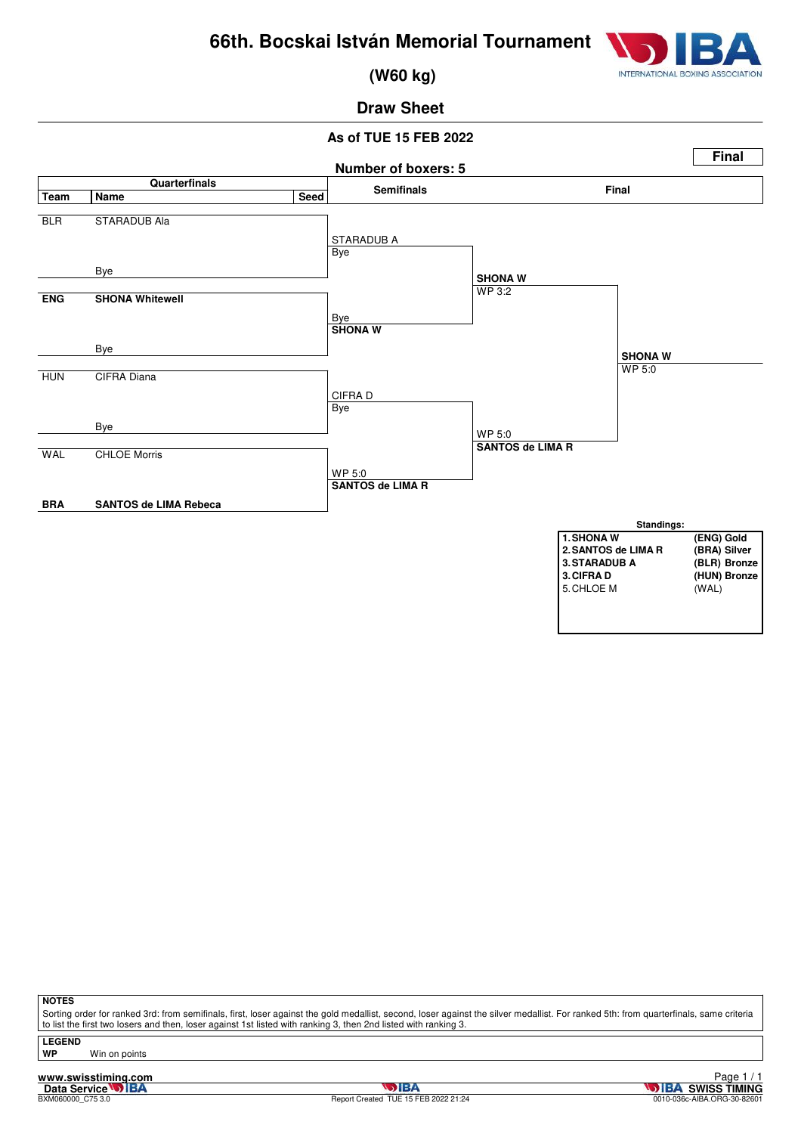

 **(W60 kg)**

# **Draw Sheet**

### **As of TUE 15 FEB 2022**



**NOTES**

Sorting order for ranked 3rd: from semifinals, first, loser against the gold medallist, second, loser against the silver medallist. For ranked 5th: from quarterfinals, same criteria to list the first two losers and then, loser against 1st listed with ranking 3, then 2nd listed with ranking 3.

**LEGEND**

**Win on points** 

**www.swisstiming.com**<br>Data Service **DIBA**<br>BXM060000\_C75 3.0

**DIBA**<br>TUE 15 FEB 2022 21:24 0010-036c-AIBA.ORG-30-82601 Page 1 / 1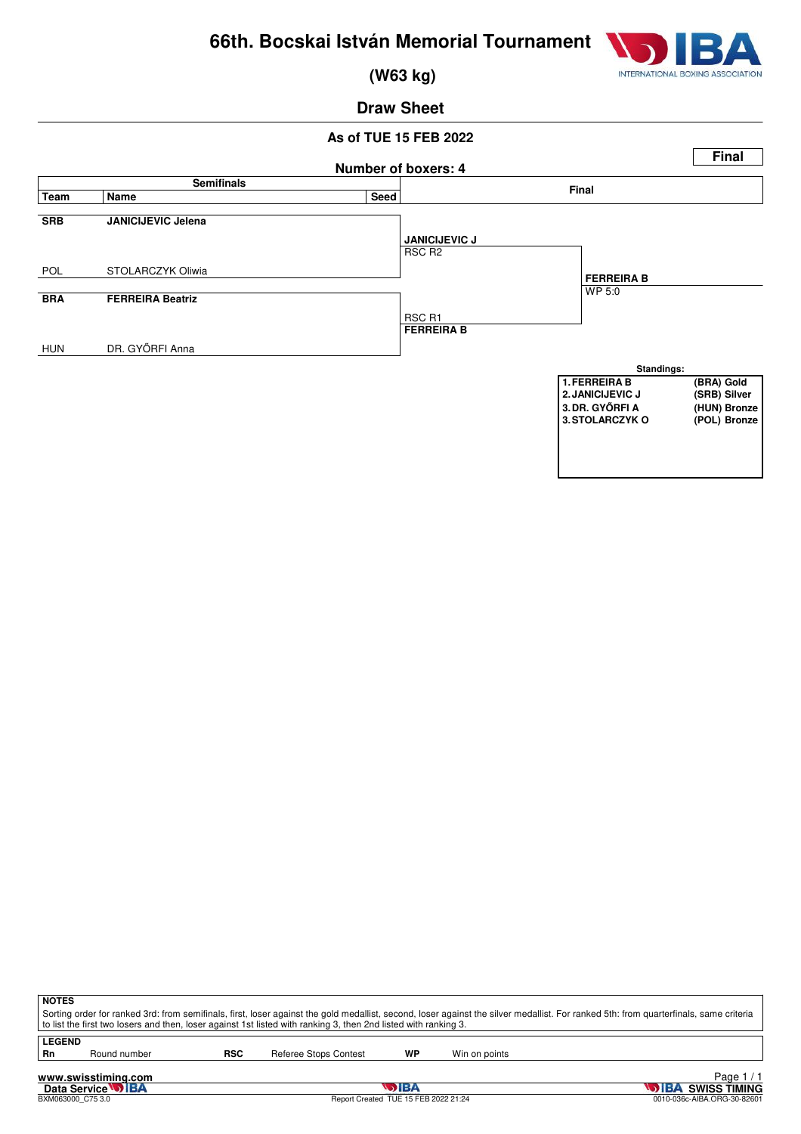

 **(W63 kg)**

# **Draw Sheet**

### **As of TUE 15 FEB 2022**



| ∣ NOTES                                                                                                                                                                                                                                                                                                  |
|----------------------------------------------------------------------------------------------------------------------------------------------------------------------------------------------------------------------------------------------------------------------------------------------------------|
| Sorting order for ranked 3rd: from semifinals, first, loser against the gold medallist, second, loser against the silver medallist. For ranked 5th: from quarterfinals, same criteria<br>to list the first two losers and then, loser against 1st listed with ranking 3, then 2nd listed with ranking 3. |
|                                                                                                                                                                                                                                                                                                          |

LEGEND<br>Rn

Round number **RSC** Referee Stops Contest **WP** Win on points

**www.swisstiming.com**<br>Data Service **DIBA**<br>BXM063000\_C75 3.0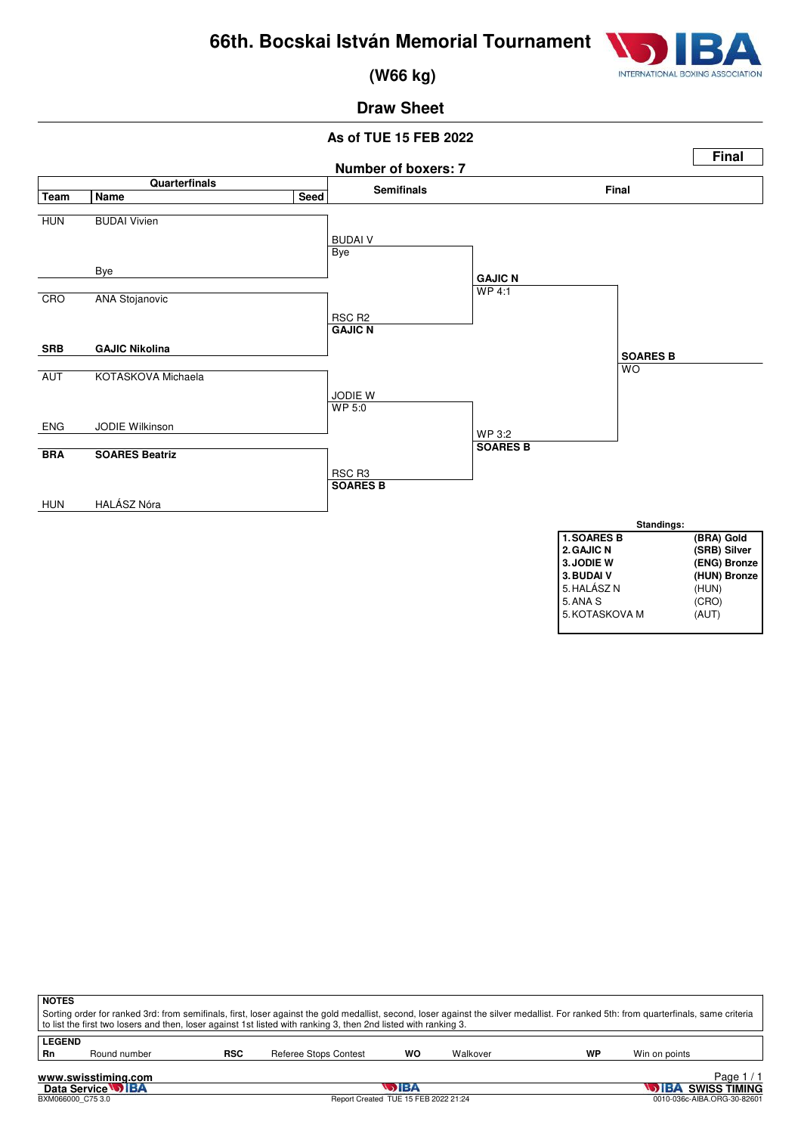

 **(W66 kg)**

# **Draw Sheet**

#### **As of TUE 15 FEB 2022**



| <b>NOTES</b>   |                                                                                                                                                                                                      |            | Sorting order for ranked 3rd: from semifinals, first, loser against the gold medallist, second, loser against the silver medallist. For ranked 5th: from quarterfinals, same criteria<br>to list the first two losers and then, loser against 1st listed with ranking 3, then 2nd listed with ranking 3. |    |          |    |               |  |  |
|----------------|------------------------------------------------------------------------------------------------------------------------------------------------------------------------------------------------------|------------|----------------------------------------------------------------------------------------------------------------------------------------------------------------------------------------------------------------------------------------------------------------------------------------------------------|----|----------|----|---------------|--|--|
| LEGEND<br>- Rn | Round number                                                                                                                                                                                         | <b>RSC</b> | Referee Stops Contest                                                                                                                                                                                                                                                                                    | WO | Walkover | WP | Win on points |  |  |
|                | Page $1/1$<br>www.swisstiming.com<br>Data Service <b>WIBA</b><br><b>SIBA</b><br><b>WEBA SWISS TIMING</b><br>Report Created TUE 15 FEB 2022 21:24<br>0010-036c-AIBA.ORG-30-82601<br>BXM066000 C75 3.0 |            |                                                                                                                                                                                                                                                                                                          |    |          |    |               |  |  |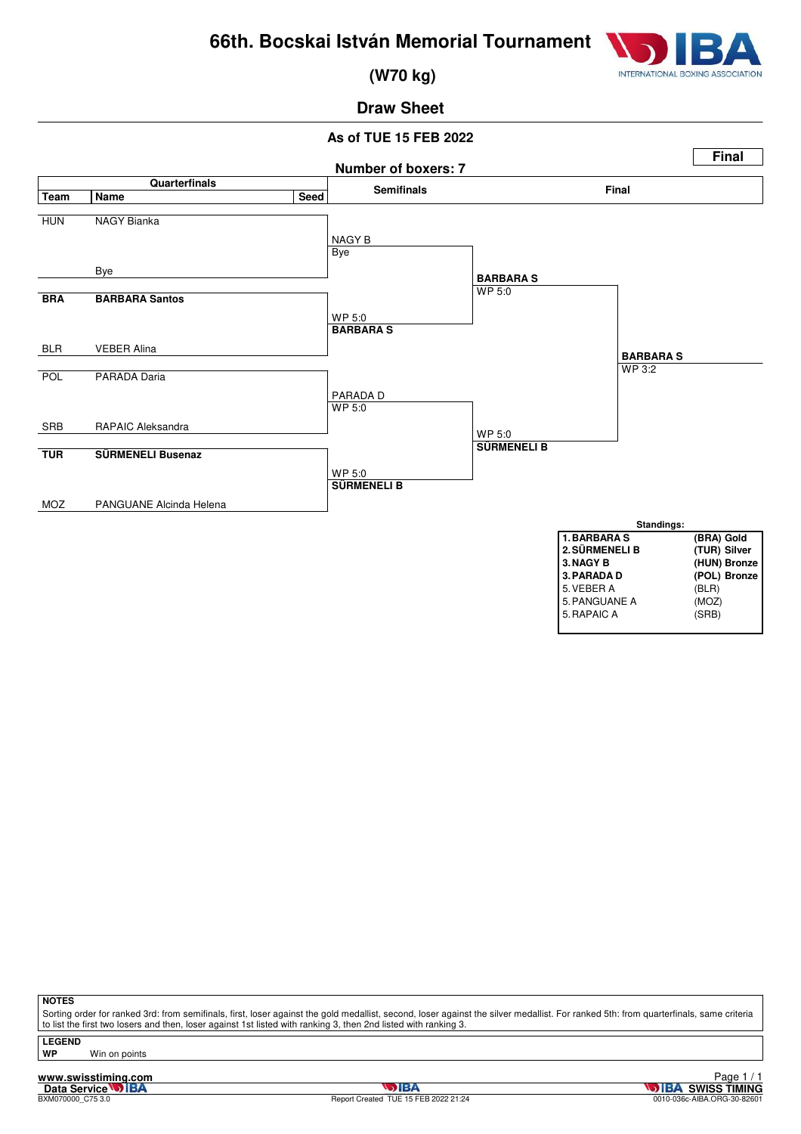

 **(W70 kg)**

# **Draw Sheet**

### **As of TUE 15 FEB 2022**



**NOTES**

Sorting order for ranked 3rd: from semifinals, first, loser against the gold medallist, second, loser against the silver medallist. For ranked 5th: from quarterfinals, same criteria to list the first two losers and then, loser against 1st listed with ranking 3, then 2nd listed with ranking 3.

**LEGEND**

**WP** Win on points

**www.swisstiming.com**<br>Data Service **DIBA**<br>BXM070000\_C75 3.0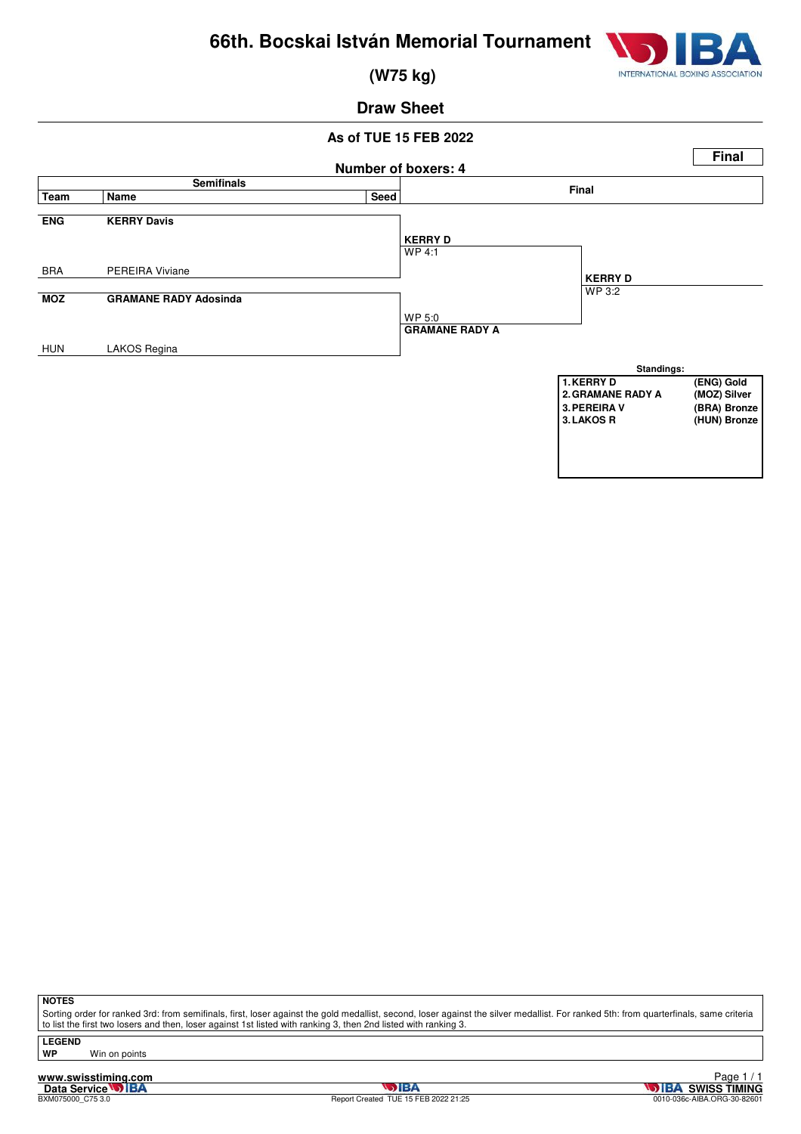

 **(W75 kg)**

### **Draw Sheet**

### **As of TUE 15 FEB 2022**



**NOTES**

Sorting order for ranked 3rd: from semifinals, first, loser against the gold medallist, second, loser against the silver medallist. For ranked 5th: from quarterfinals, same criteria to list the first two losers and then, loser against 1st listed with ranking 3, then 2nd listed with ranking 3.

**LEGEND**

**Win on points** 

**www.swisstiming.com**<br>Data Service **DIBA**<br>BXM075000\_C75 3.0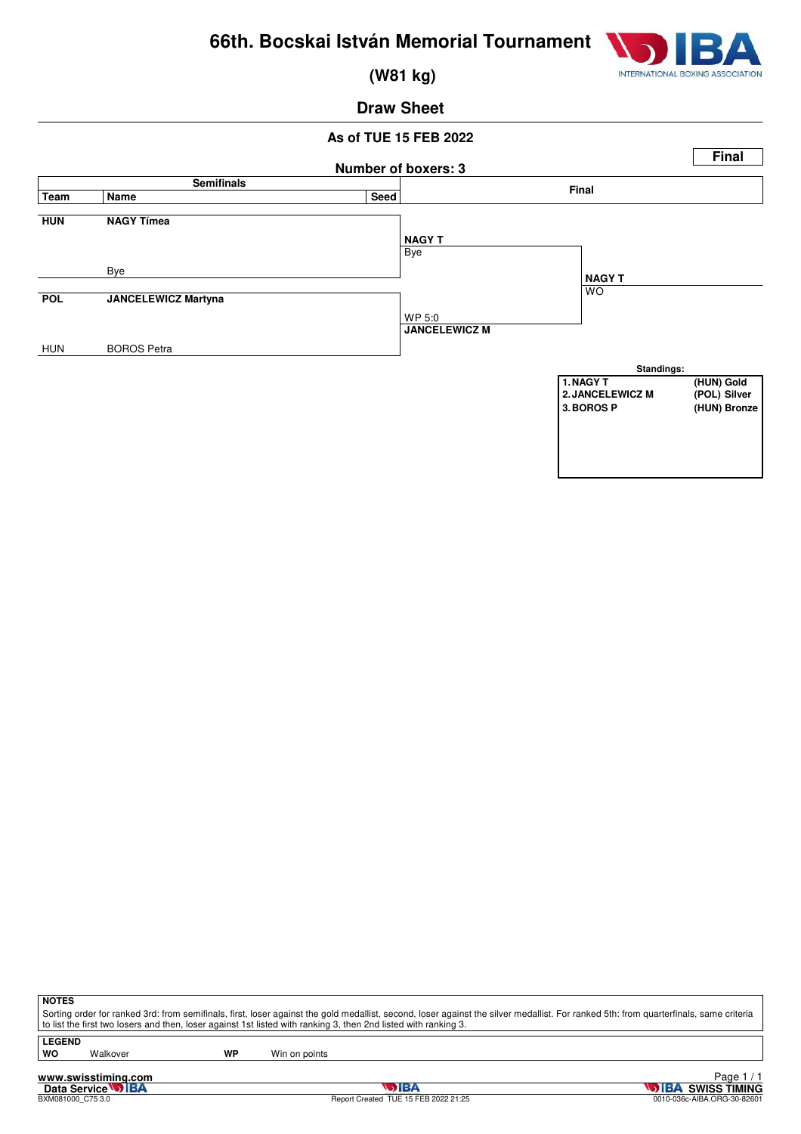

 **(W81 kg)**

### **Draw Sheet**

### **As of TUE 15 FEB 2022 Number of boxers: 3 Final Semifinals Final Team Name Seed HUN NAGY Tímea** Bye Bye **POL JANCELEWICZ Martyna** WP 5:0 HUN BOROS Petra **NAGY T** WO **JANCELEWICZ M NAGY T Standings: 1. NAGY T** (HUN) Gold<br> **2. JANCELEWICZ M** (POL) Silver **2. JANCELEWICZ M**<br>3. BOROS P **3.BOROS P (HUN) Bronze**

**NOTES**

Sorting order for ranked 3rd: from semifinals, first, loser against the gold medallist, second, loser against the silver medallist. For ranked 5th: from quarterfinals, same criteria to list the first two losers and then, loser against 1st listed with ranking 3, then 2nd listed with ranking 3.

**LEGEND**

Walkover **WP** Win on points

**www.swisstiming.com**<br>Data Service **DIBA**<br>**BXM081000\_C75** 3.0

BXM081000\_C75 3.0 Report Created TUE 15 FEB 2022 21:25 0010-036c-AIBA.ORG-30-82601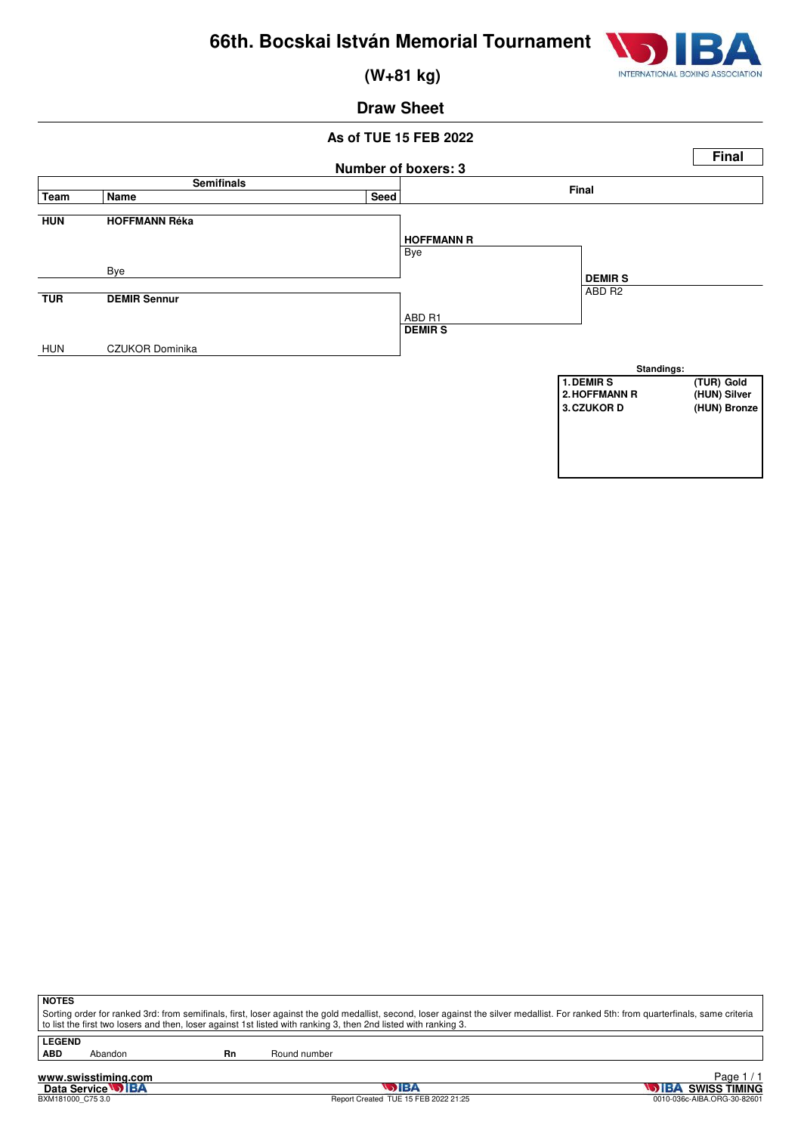

 **(W+81 kg)**

### **Draw Sheet**

#### **As of TUE 15 FEB 2022 Number of boxers: 3 Final Semifinals Final Team Name Seed HUN HOFFMANN Réka** Bye Bye **TUR DEMIR Sennur** ABD R1 HUN CZUKOR Dominika **HOFFMANN R** ABD R2 **DEMIR S DEMIR S Standings: 1. DEMIR S** (TUR) Gold<br> **2. HOFFMANN R** (HUN) Silver 2. HOFFMANN R<br>3. CZUKOR D  $(HUN)$  Bronze

**NOTES**

Sorting order for ranked 3rd: from semifinals, first, loser against the gold medallist, second, loser against the silver medallist. For ranked 5th: from quarterfinals, same criteria to list the first two losers and then, loser against 1st listed with ranking 3, then 2nd listed with ranking 3.

**LEGEND**

Abandon **Rn** Round number

**www.swisstiming.com**<br>Data Service **DIBA**<br>BXM181000\_C75 3.0

BXM181000\_C75 3.0 Report Created TUE 15 FEB 2022 21:25 0010-036c-AIBA.ORG-30-82601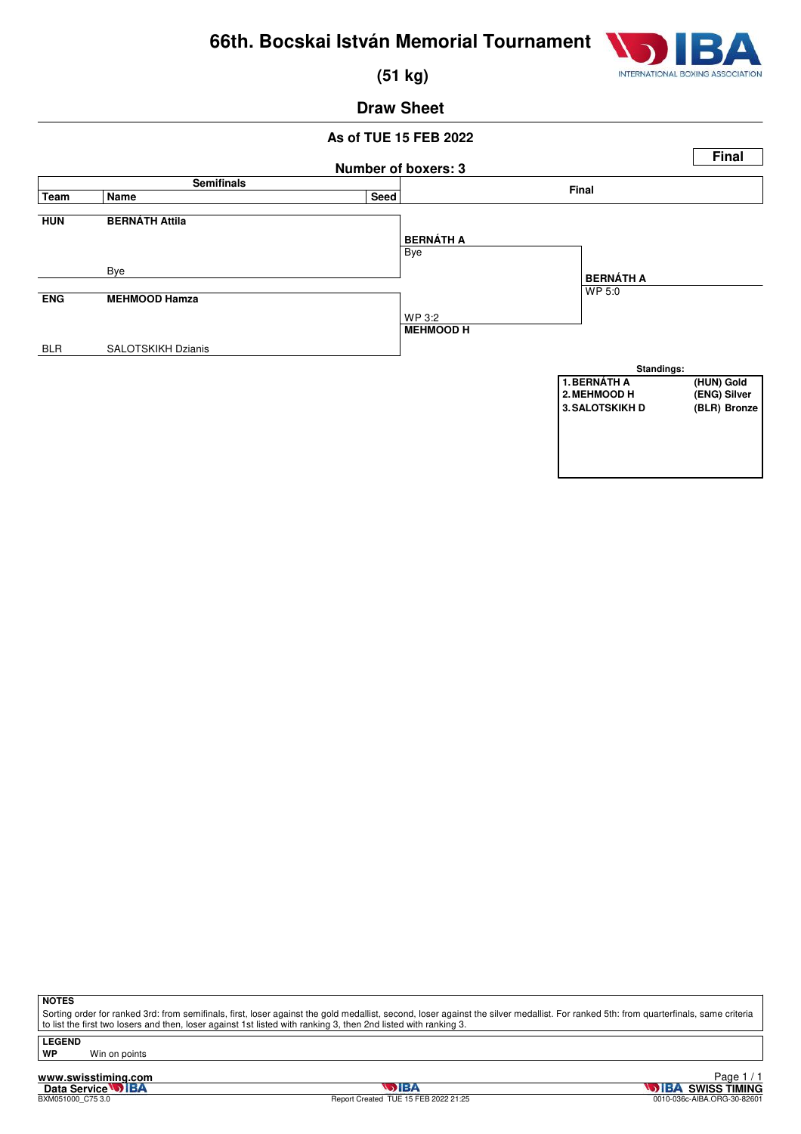

 **(51 kg)**

### **Draw Sheet**

### **As of TUE 15 FEB 2022 Number of boxers: 3 Final Semifinals Final Team Name Seed HUN BERNÁTH Attila** Bye Bye **ENG MEHMOOD Hamza** WP 3:2 BLR SALOTSKIKH Dzianis **BERNÁTH A** WP 5:0 **MEHMOOD H BERNÁTH A Standings: 1. BERNÁTH A (HUN) Gold**<br> **2. MEHMOOD H** (ENG) Silver **2.MEHMOOD Silver**<br> **2.MEH**<br> **2.MEHMOOD BRONZE 3. SALOTSKIKH D**

**NOTES**

Sorting order for ranked 3rd: from semifinals, first, loser against the gold medallist, second, loser against the silver medallist. For ranked 5th: from quarterfinals, same criteria to list the first two losers and then, loser against 1st listed with ranking 3, then 2nd listed with ranking 3.

**LEGEND**

**WP** Win on points

**www.swisstiming.com**<br>Data Service **DIBA**<br>BXM051000\_C75 3.0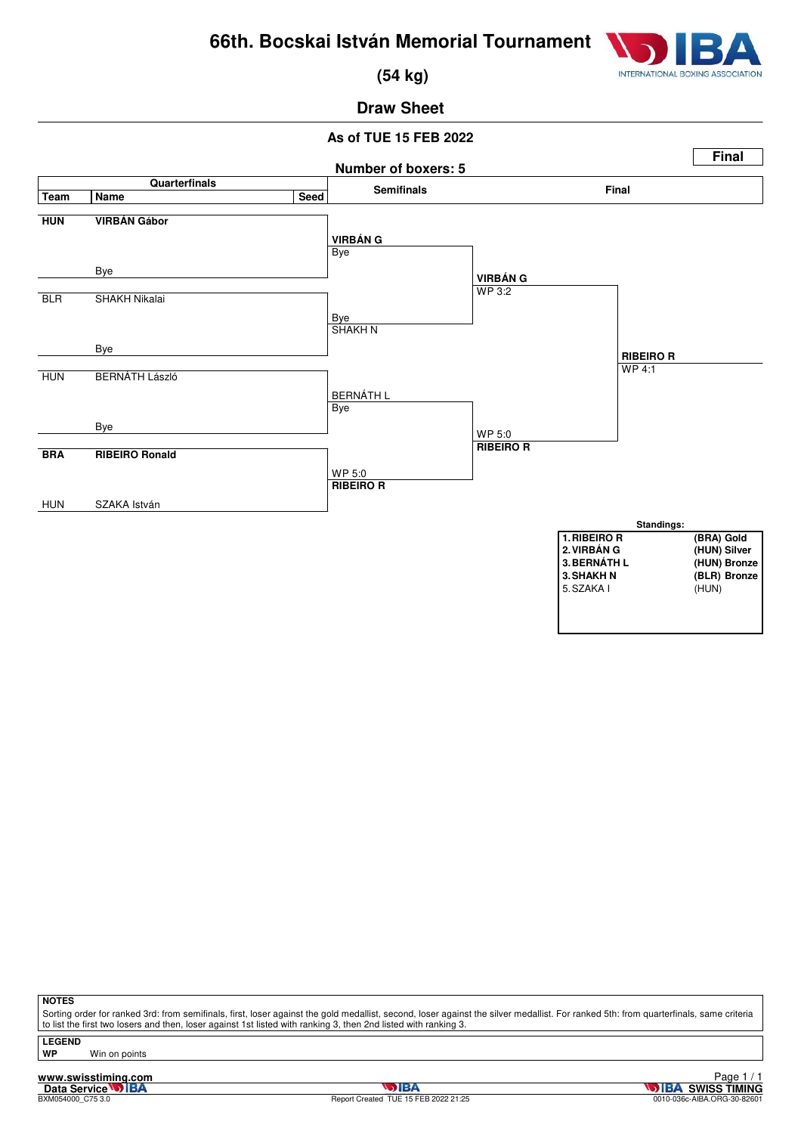

 **(54 kg)**

# **Draw Sheet**

### **As of TUE 15 FEB 2022**



**NOTES**

Sorting order for ranked 3rd: from semifinals, first, loser against the gold medallist, second, loser against the silver medallist. For ranked 5th: from quarterfinals, same criteria to list the first two losers and then, loser against 1st listed with ranking 3, then 2nd listed with ranking 3.

**LEGEND WP** Win on points

**www.swisstiming.com**<br>Data Service **DIBA**<br>BXM054000\_C75 3.0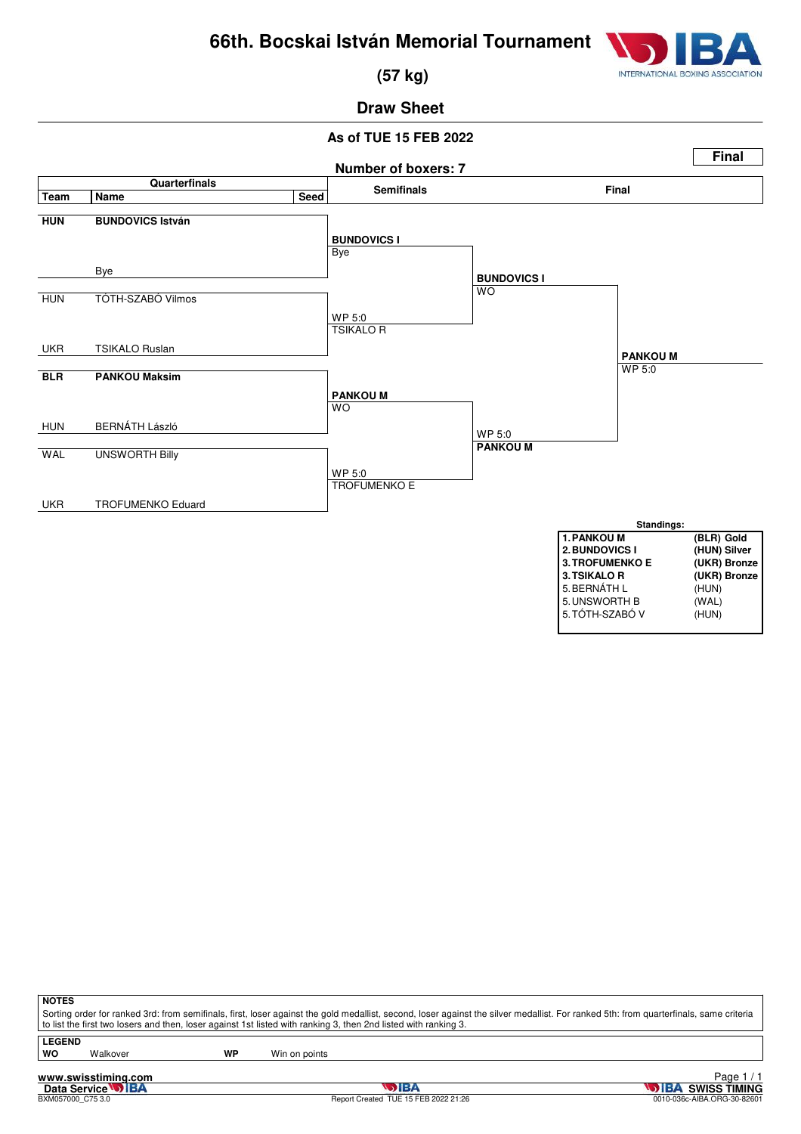

 **(57 kg)**

# **Draw Sheet**

### **As of TUE 15 FEB 2022**



| <b>NOTES</b>  |          |    |                                                                                                                                                                                                                                                                                                          |
|---------------|----------|----|----------------------------------------------------------------------------------------------------------------------------------------------------------------------------------------------------------------------------------------------------------------------------------------------------------|
|               |          |    | Sorting order for ranked 3rd: from semifinals, first, loser against the gold medallist, second, loser against the silver medallist. For ranked 5th: from quarterfinals, same criteria<br>to list the first two losers and then, loser against 1st listed with ranking 3, then 2nd listed with ranking 3. |
| <b>LEGEND</b> |          |    |                                                                                                                                                                                                                                                                                                          |
| wo            | Walkover | WP | Win on points                                                                                                                                                                                                                                                                                            |
|               |          |    |                                                                                                                                                                                                                                                                                                          |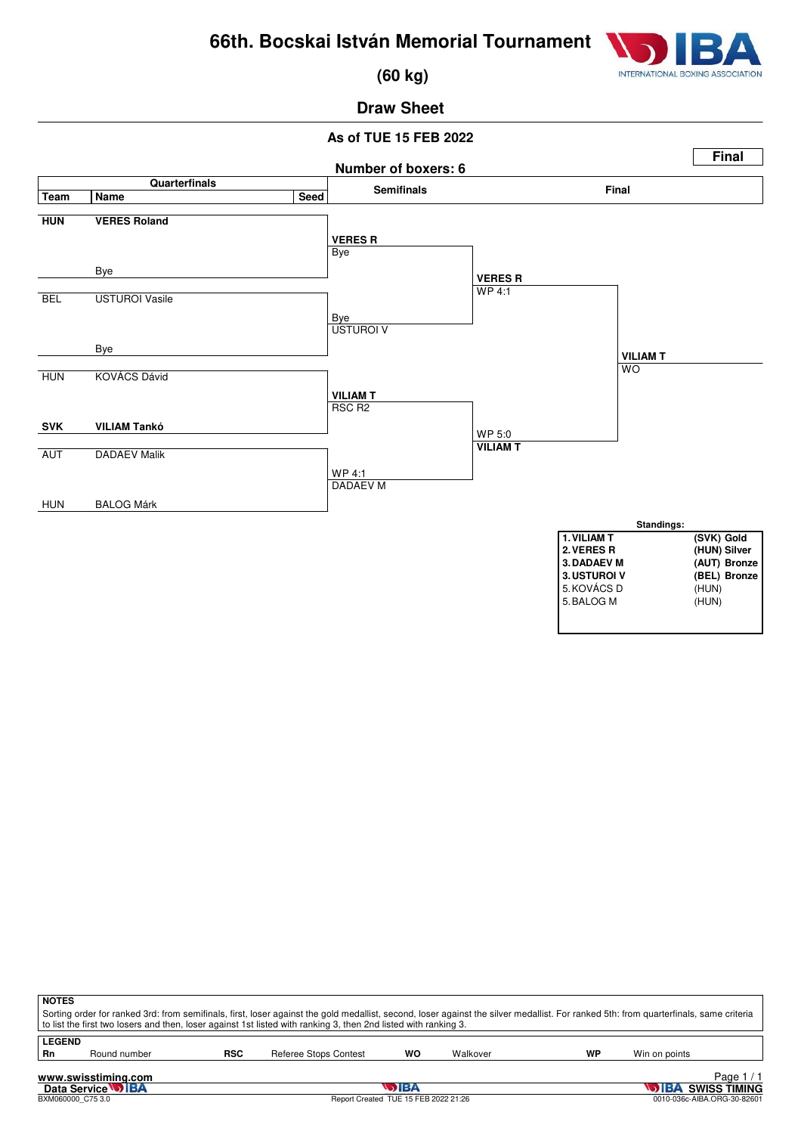

 **(60 kg)**

# **Draw Sheet**

### **As of TUE 15 FEB 2022**



| <b>NOTES</b>                                                                                                                                                                          |                                   |            |                                                                                                                 |    |          |    |                          |                             |  |  |  |
|---------------------------------------------------------------------------------------------------------------------------------------------------------------------------------------|-----------------------------------|------------|-----------------------------------------------------------------------------------------------------------------|----|----------|----|--------------------------|-----------------------------|--|--|--|
| Sorting order for ranked 3rd: from semifinals, first, loser against the gold medallist, second, loser against the silver medallist. For ranked 5th: from quarterfinals, same criteria |                                   |            |                                                                                                                 |    |          |    |                          |                             |  |  |  |
|                                                                                                                                                                                       |                                   |            | to list the first two losers and then, loser against 1st listed with ranking 3, then 2nd listed with ranking 3. |    |          |    |                          |                             |  |  |  |
| LEGEND                                                                                                                                                                                |                                   |            |                                                                                                                 |    |          |    |                          |                             |  |  |  |
|                                                                                                                                                                                       |                                   |            |                                                                                                                 |    |          |    |                          |                             |  |  |  |
| Rn                                                                                                                                                                                    | Round number                      | <b>RSC</b> | Referee Stops Contest                                                                                           | WO | Walkover | WP | Win on points            |                             |  |  |  |
|                                                                                                                                                                                       |                                   |            |                                                                                                                 |    |          |    |                          |                             |  |  |  |
|                                                                                                                                                                                       | Page $1/1$<br>www.swisstiming.com |            |                                                                                                                 |    |          |    |                          |                             |  |  |  |
| Data Service <b>WIBA</b><br>5 IBA                                                                                                                                                     |                                   |            |                                                                                                                 |    |          |    | <b>DIBA SWISS TIMING</b> |                             |  |  |  |
|                                                                                                                                                                                       | BXM060000 C75 3.0                 |            | Report Created TUE 15 FEB 2022 21:26                                                                            |    |          |    |                          | 0010-036c-AIBA.ORG-30-82601 |  |  |  |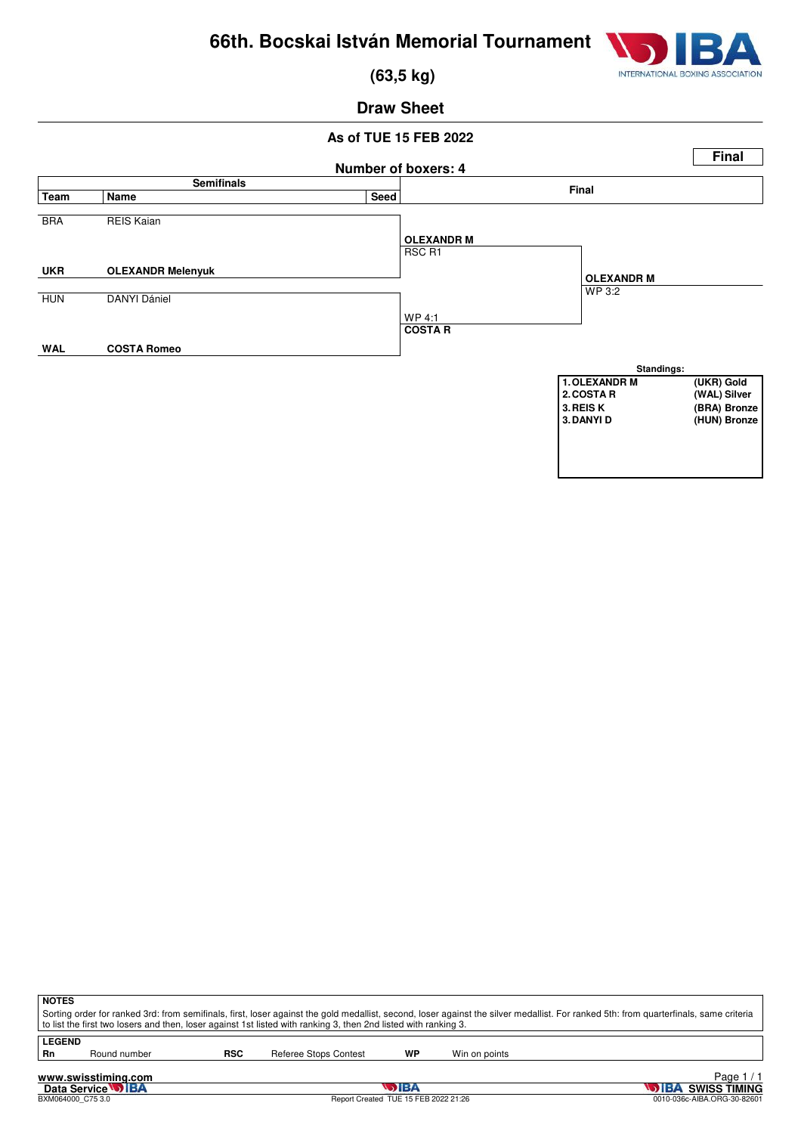

 **(63,5 kg)**

### **Draw Sheet**

#### **As of TUE 15 FEB 2022**



**NOTES**

Sorting order for ranked 3rd: from semifinals, first, loser against the gold medallist, second, loser against the silver medallist. For ranked 5th: from quarterfinals, same criteria to list the first two losers and then, loser against 1st listed with ranking 3, then 2nd listed with ranking 3.

**LEGEND**<br>Rn

Round number **RSC** Referee Stops Contest **WP** Win on points

**www.swisstiming.com**<br>Data Service **DIBA**<br>BXM064000\_C75 3.0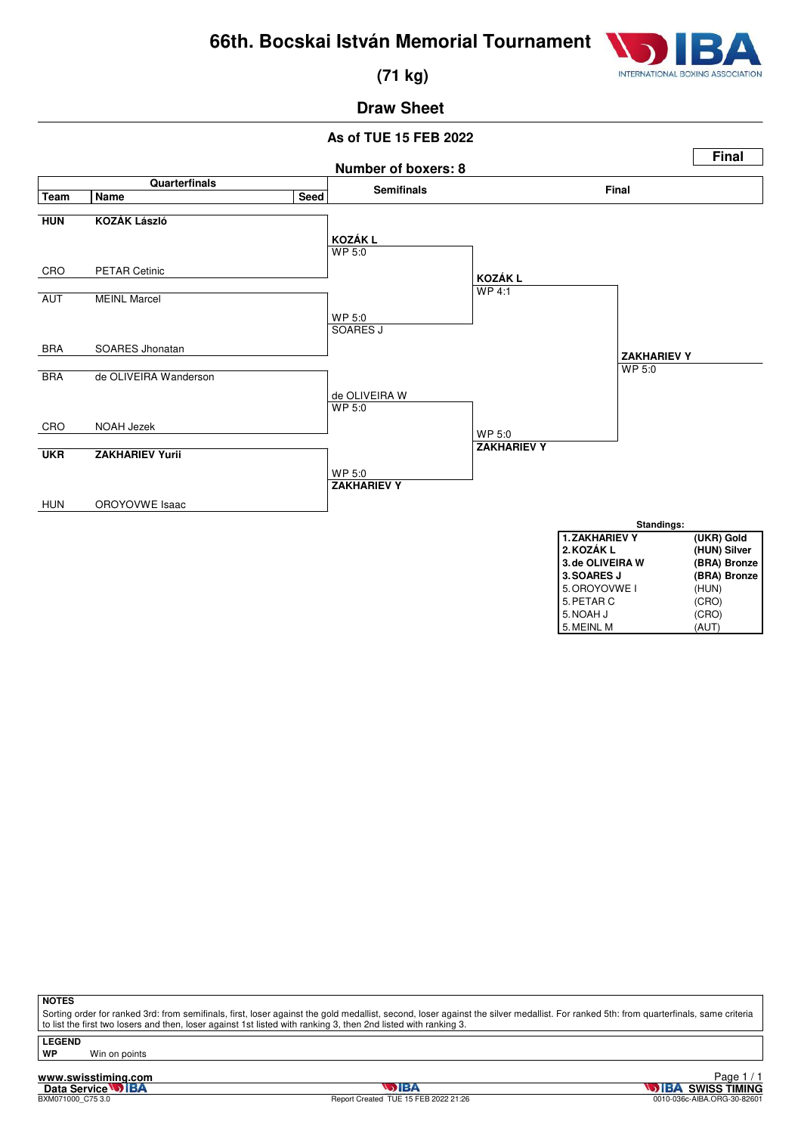

 **(71 kg)**

# **Draw Sheet**

# **As of TUE 15 FEB 2022**



**NOTES**

Sorting order for ranked 3rd: from semifinals, first, loser against the gold medallist, second, loser against the silver medallist. For ranked 5th: from quarterfinals, same criteria to list the first two losers and then, loser against 1st listed with ranking 3, then 2nd listed with ranking 3.

**LEGEND WP** Win on points

**www.swisstiming.com**<br>Data Service **DIBA**<br>BXM071000\_C75 3.0

5. MEINL M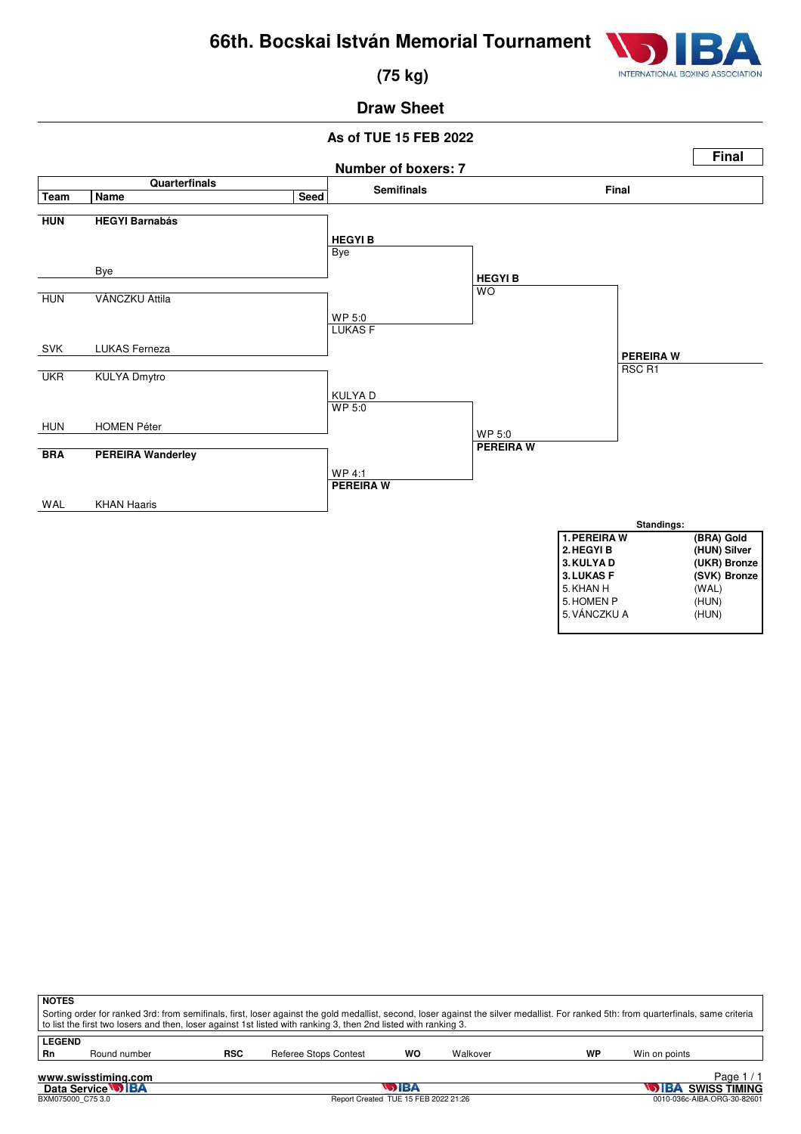

 **(75 kg)**

# **Draw Sheet**

### **As of TUE 15 FEB 2022**



| <b>NOTES</b>                                                                                                                                                                                                                                                                                             |              |            |                       |    |          |    |               |  |  |  |
|----------------------------------------------------------------------------------------------------------------------------------------------------------------------------------------------------------------------------------------------------------------------------------------------------------|--------------|------------|-----------------------|----|----------|----|---------------|--|--|--|
| Sorting order for ranked 3rd: from semifinals, first, loser against the gold medallist, second, loser against the silver medallist. For ranked 5th: from quarterfinals, same criteria<br>to list the first two losers and then, loser against 1st listed with ranking 3, then 2nd listed with ranking 3. |              |            |                       |    |          |    |               |  |  |  |
|                                                                                                                                                                                                                                                                                                          |              |            |                       |    |          |    |               |  |  |  |
| <b>LEGEND</b>                                                                                                                                                                                                                                                                                            |              |            |                       |    |          |    |               |  |  |  |
| Rn                                                                                                                                                                                                                                                                                                       | Round number | <b>RSC</b> | Referee Stops Contest | WO | Walkover | WP | Win on points |  |  |  |
| Page 1<br>www.swisstiming.com                                                                                                                                                                                                                                                                            |              |            |                       |    |          |    |               |  |  |  |

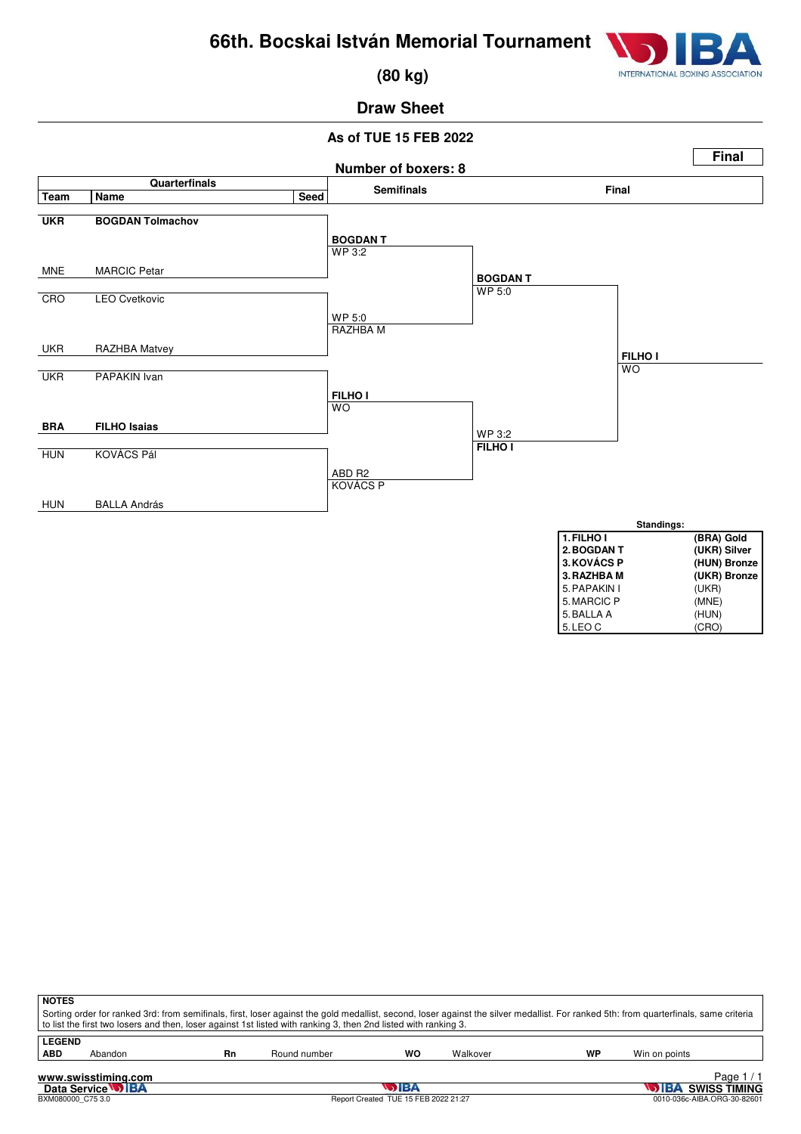

 **(80 kg)**

# **Draw Sheet**

### **As of TUE 15 FEB 2022**



|                                   | <b>NOTES</b><br>Sorting order for ranked 3rd: from semifinals, first, loser against the gold medallist, second, loser against the silver medallist. For ranked 5th: from quarterfinals, same criteria<br>to list the first two losers and then, loser against 1st listed with ranking 3, then 2nd listed with ranking 3. |    |              |    |          |    |               |  |  |  |  |  |
|-----------------------------------|--------------------------------------------------------------------------------------------------------------------------------------------------------------------------------------------------------------------------------------------------------------------------------------------------------------------------|----|--------------|----|----------|----|---------------|--|--|--|--|--|
| <b>LEGEND</b><br><b>ABD</b>       | Abandon                                                                                                                                                                                                                                                                                                                  | Rn | Round number | wo | Walkover | WP | Win on points |  |  |  |  |  |
| Page $1/1$<br>www.swisstiming.com |                                                                                                                                                                                                                                                                                                                          |    |              |    |          |    |               |  |  |  |  |  |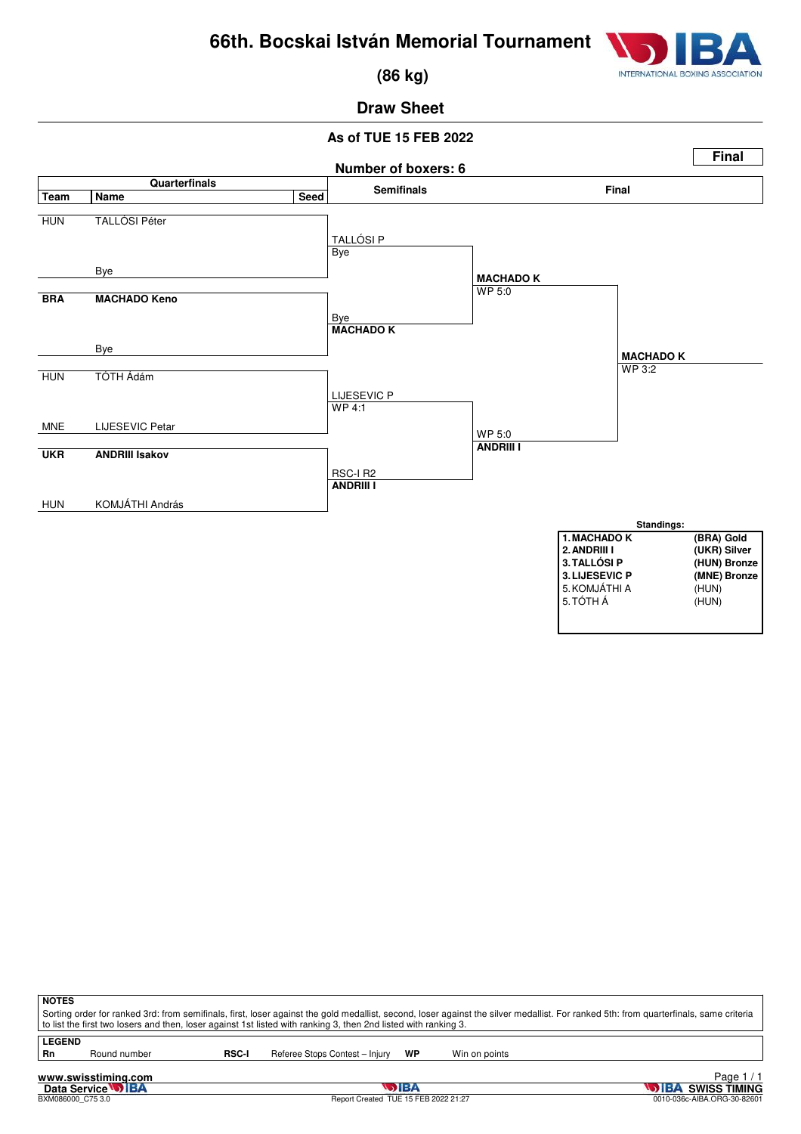

 **(86 kg)**

# **Draw Sheet**

### **As of TUE 15 FEB 2022**



| <b>NOTES</b>                                                                                                                                                                          |              |              |                                |    |               |  |
|---------------------------------------------------------------------------------------------------------------------------------------------------------------------------------------|--------------|--------------|--------------------------------|----|---------------|--|
| Sorting order for ranked 3rd: from semifinals, first, loser against the gold medallist, second, loser against the silver medallist. For ranked 5th: from quarterfinals, same criteria |              |              |                                |    |               |  |
| to list the first two losers and then, loser against 1st listed with ranking 3, then 2nd listed with ranking 3.                                                                       |              |              |                                |    |               |  |
| <b>LEGEND</b>                                                                                                                                                                         |              |              |                                |    |               |  |
| Rn                                                                                                                                                                                    | Round number | <b>RSC-I</b> | Referee Stops Contest - Injury | WP | Win on points |  |
|                                                                                                                                                                                       |              |              |                                |    |               |  |

# **www.swisstiming.com**<br>Data Service **DIBA**<br>BXM086000\_C75 3.0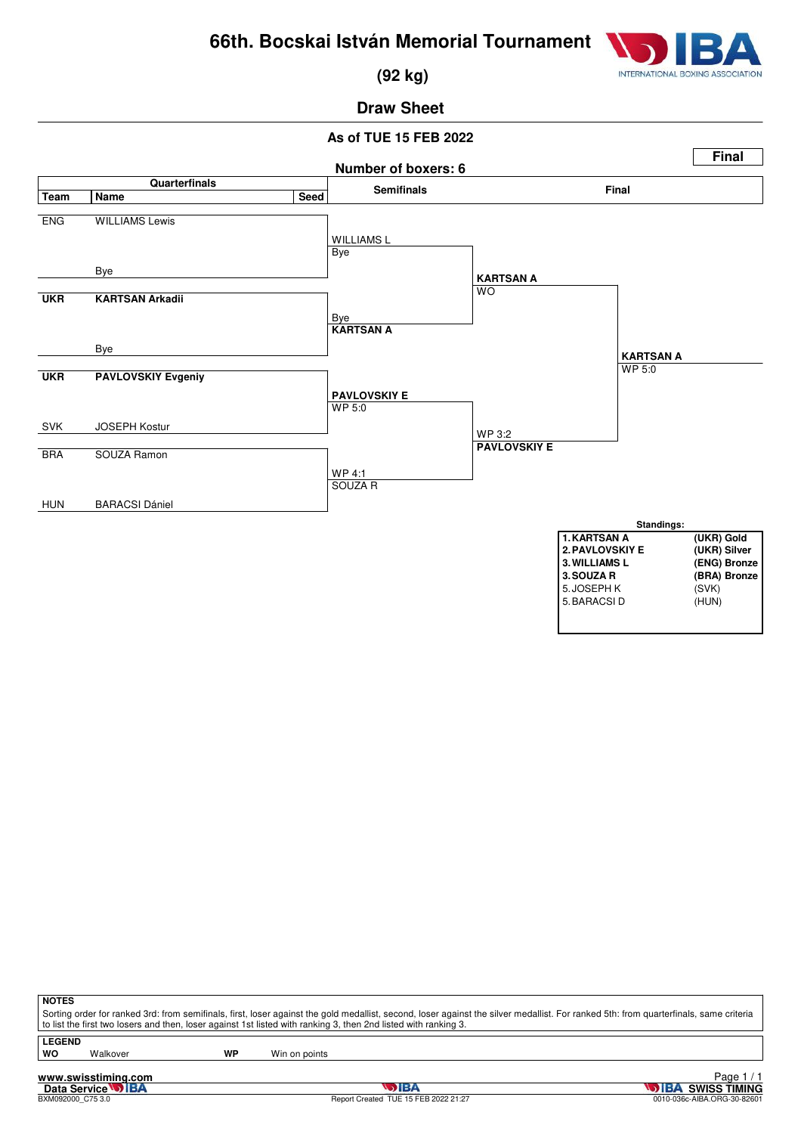

 **(92 kg)**

# **Draw Sheet**

### **As of TUE 15 FEB 2022**



| <b>NOTES</b> |  |
|--------------|--|
| Cortina ora  |  |

Sorting order for ranked 3rd: from semifinals, first, loser against the gold medallist, second, loser against the silver medallist. For ranked 5th: from quarterfinals, same criteria<br>to list the first two losers and then, l

**LEGEND**

Walkover **WP** Win on points

**www.swisstiming.com**<br>Data Service **DIBA**<br>BXM092000\_C75 3.0